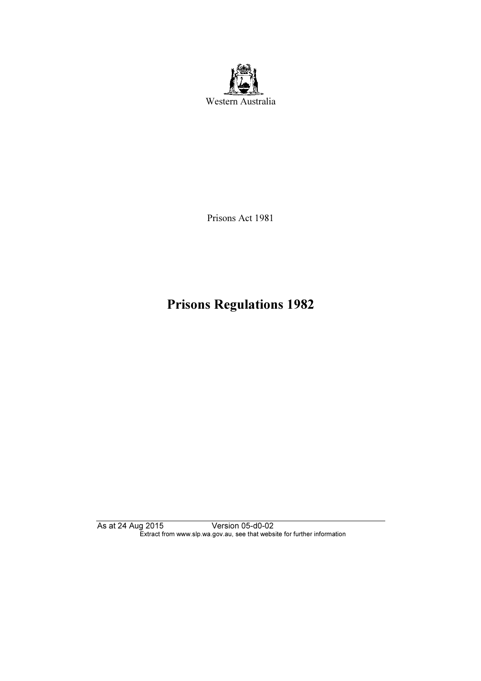

Prisons Act 1981

# Prisons Regulations 1982

As at 24 Aug 2015 Version 05-d0-02 Extract from www.slp.wa.gov.au, see that website for further information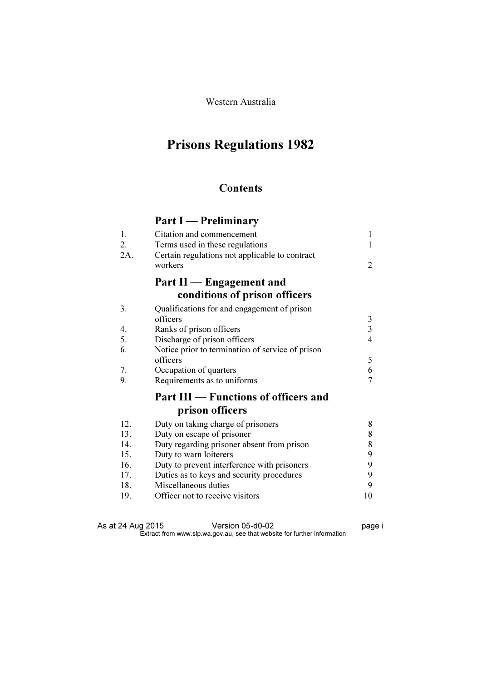Western Australia

## Prisons Regulations 1982

### **Contents**

## Part I — Preliminary

| 1.<br>2. | Citation and commencement<br>Terms used in these regulations | $\mathbf{1}$<br>1       |
|----------|--------------------------------------------------------------|-------------------------|
| 2A.      | Certain regulations not applicable to contract               |                         |
|          | workers                                                      | 2                       |
|          | Part II — Engagement and                                     |                         |
|          | conditions of prison officers                                |                         |
| 3.       | Qualifications for and engagement of prison                  |                         |
|          | officers                                                     | 3                       |
| 4.       | Ranks of prison officers                                     | $\overline{\mathbf{3}}$ |
| 5.       | Discharge of prison officers                                 | 4                       |
| 6.       | Notice prior to termination of service of prison             |                         |
|          | officers                                                     | 5                       |
| 7.       | Occupation of quarters                                       | 6                       |
| 9.       | Requirements as to uniforms                                  | 7                       |
|          | Part III - Functions of officers and                         |                         |
|          | prison officers                                              |                         |
| 12.      | Duty on taking charge of prisoners                           | 8                       |
| 13.      | Duty on escape of prisoner                                   | 8                       |
| 14.      | Duty regarding prisoner absent from prison                   | 8                       |
| 15.      | Duty to warn loiterers                                       | 9                       |
| 16.      | Duty to prevent interference with prisoners                  | 9                       |
| 17.      | Duties as to keys and security procedures                    | 9                       |
| 18.      | Miscellaneous duties                                         | 9                       |
| 19.      | Officer not to receive visitors                              | 10                      |

As at 24 Aug 2015 Version 05-d0-02 page i  $\mathbf{F}$  from which was the set that we besite for further information  $\mathbf{F}$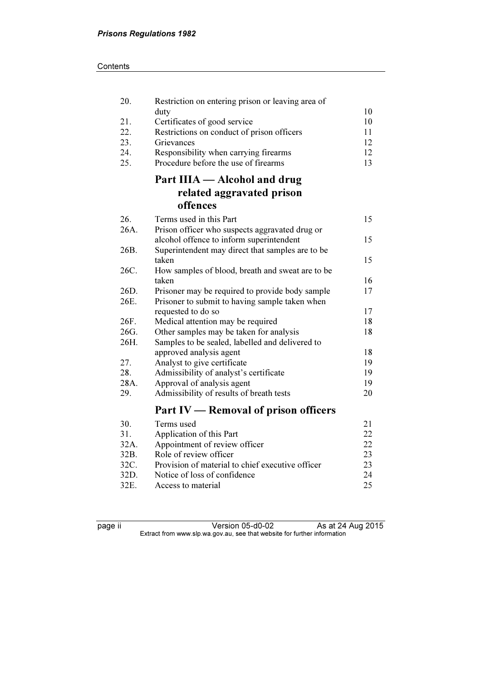| 20.  | Restriction on entering prison or leaving area of |    |
|------|---------------------------------------------------|----|
|      | duty                                              | 10 |
| 21.  | Certificates of good service                      | 10 |
| 22.  | Restrictions on conduct of prison officers        | 11 |
| 23.  | Grievances                                        | 12 |
| 24.  | Responsibility when carrying firearms             | 12 |
| 25.  | Procedure before the use of firearms              | 13 |
|      | Part IIIA — Alcohol and drug                      |    |
|      | related aggravated prison                         |    |
|      | offences                                          |    |
| 26.  | Terms used in this Part                           | 15 |
| 26A. | Prison officer who suspects aggravated drug or    |    |
|      | alcohol offence to inform superintendent          | 15 |
| 26B. | Superintendent may direct that samples are to be  |    |
|      | taken                                             | 15 |
| 26C. | How samples of blood, breath and sweat are to be  |    |
|      | taken                                             | 16 |
| 26D. | Prisoner may be required to provide body sample   | 17 |
| 26E. | Prisoner to submit to having sample taken when    |    |
|      | requested to do so                                | 17 |
| 26F. | Medical attention may be required                 | 18 |
| 26G. | Other samples may be taken for analysis           | 18 |
| 26H. | Samples to be sealed, labelled and delivered to   |    |
|      | approved analysis agent                           | 18 |
| 27.  | Analyst to give certificate                       | 19 |
| 28.  | Admissibility of analyst's certificate            | 19 |
| 28A. | Approval of analysis agent                        | 19 |
| 29.  | Admissibility of results of breath tests          | 20 |
|      | Part IV — Removal of prison officers              |    |
| 30.  | Terms used                                        | 21 |
| 31.  | Application of this Part                          | 22 |
| 32A. | Appointment of review officer                     | 22 |
| 32B. | Role of review officer                            | 23 |
| 32C. | Provision of material to chief executive officer  | 23 |
| 32D. | Notice of loss of confidence                      | 24 |

page ii Version 05-d0-02 As at 24 Aug 2015  $\mathbf{F}$  from which was the set that we besite for further information  $\mathbf{F}$ 

32D. Notice of loss of confidence 24<br>32E. Access to material 25

Access to material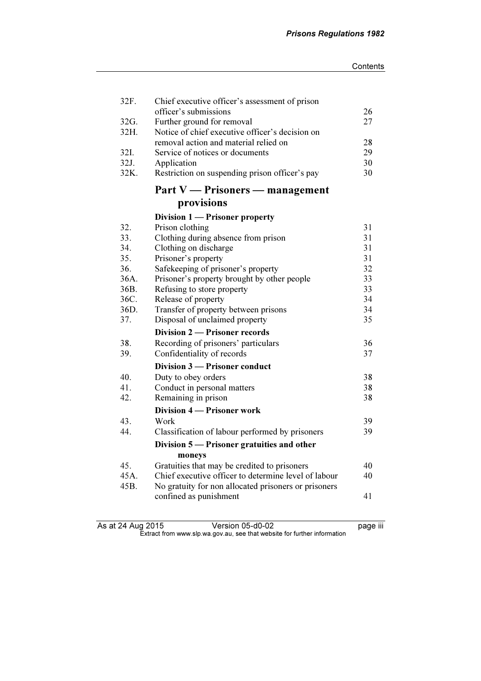| 32F. | Chief executive officer's assessment of prison       |    |
|------|------------------------------------------------------|----|
|      | officer's submissions                                | 26 |
| 32G. | Further ground for removal                           | 27 |
| 32H. | Notice of chief executive officer's decision on      |    |
|      | removal action and material relied on                | 28 |
| 32I. | Service of notices or documents                      | 29 |
| 32J. | Application                                          | 30 |
| 32K. | Restriction on suspending prison officer's pay       | 30 |
|      | Part V — Prisoners — management                      |    |
|      | provisions                                           |    |
|      | Division 1 - Prisoner property                       |    |
| 32.  | Prison clothing                                      | 31 |
| 33.  | Clothing during absence from prison                  | 31 |
| 34.  | Clothing on discharge                                | 31 |
| 35.  | Prisoner's property                                  | 31 |
| 36.  | Safekeeping of prisoner's property                   | 32 |
| 36A. | Prisoner's property brought by other people          | 33 |
| 36B. | Refusing to store property                           | 33 |
| 36C. | Release of property                                  | 34 |
| 36D. | Transfer of property between prisons                 | 34 |
| 37.  | Disposal of unclaimed property                       | 35 |
|      | Division 2 – Prisoner records                        |    |
| 38.  | Recording of prisoners' particulars                  | 36 |
| 39.  | Confidentiality of records                           | 37 |
|      | Division 3 - Prisoner conduct                        |    |
| 40.  | Duty to obey orders                                  | 38 |
| 41.  | Conduct in personal matters                          | 38 |
| 42.  | Remaining in prison                                  | 38 |
|      | Division 4 – Prisoner work                           |    |
| 43.  | Work                                                 | 39 |
| 44.  | Classification of labour performed by prisoners      | 39 |
|      | Division 5 — Prisoner gratuities and other           |    |
|      | moneys                                               |    |
| 45.  | Gratuities that may be credited to prisoners         | 40 |
| 45A. | Chief executive officer to determine level of labour | 40 |
| 45B. | No gratuity for non allocated prisoners or prisoners |    |
|      | confined as punishment                               | 41 |
|      |                                                      |    |

As at 24 Aug 2015 Version 05-d0-02 page iii  $\mathbf{F}$  from which was the set that we besite for further information  $\mathbf{F}$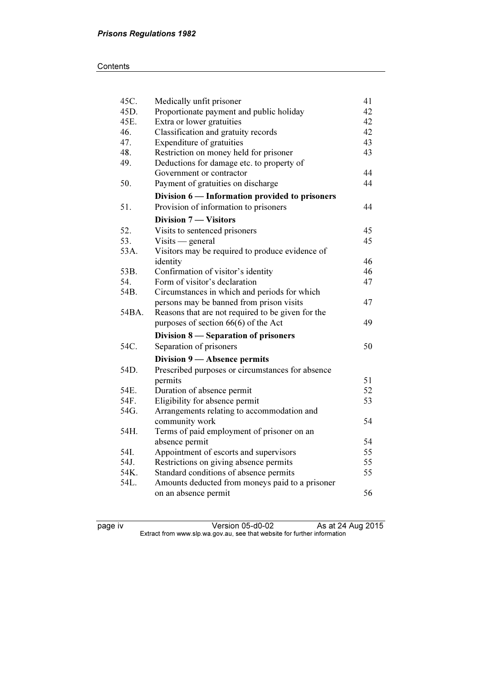#### **Contents**

| 45C.  | Medically unfit prisoner                          | 41 |
|-------|---------------------------------------------------|----|
| 45D.  | Proportionate payment and public holiday          | 42 |
| 45E.  | Extra or lower gratuities                         | 42 |
| 46.   | Classification and gratuity records               | 42 |
| 47.   | Expenditure of gratuities                         | 43 |
| 48.   | Restriction on money held for prisoner            | 43 |
| 49.   | Deductions for damage etc. to property of         |    |
|       | Government or contractor                          | 44 |
| 50.   | Payment of gratuities on discharge                | 44 |
|       | Division 6 — Information provided to prisoners    |    |
| 51.   | Provision of information to prisoners             | 44 |
|       | <b>Division 7 - Visitors</b>                      |    |
| 52.   | Visits to sentenced prisoners                     | 45 |
| 53.   | $Visits$ - general                                | 45 |
| 53A.  | Visitors may be required to produce evidence of   |    |
|       | identity                                          | 46 |
| 53B.  | Confirmation of visitor's identity                | 46 |
| 54.   | Form of visitor's declaration                     | 47 |
| 54B.  | Circumstances in which and periods for which      |    |
|       | persons may be banned from prison visits          | 47 |
| 54BA. | Reasons that are not required to be given for the |    |
|       | purposes of section $66(6)$ of the Act            | 49 |
|       | Division 8 – Separation of prisoners              |    |
| 54C.  | Separation of prisoners                           | 50 |
|       | Division 9 - Absence permits                      |    |
| 54D.  | Prescribed purposes or circumstances for absence  |    |
|       | permits                                           | 51 |
| 54E.  | Duration of absence permit                        | 52 |
| 54F.  | Eligibility for absence permit                    | 53 |
| 54G.  | Arrangements relating to accommodation and        |    |
|       | community work                                    | 54 |
| 54H.  | Terms of paid employment of prisoner on an        |    |
|       | absence permit                                    | 54 |
| 54I.  | Appointment of escorts and supervisors            | 55 |
| 54J.  | Restrictions on giving absence permits            | 55 |
| 54K.  | Standard conditions of absence permits            | 55 |
| 54L.  | Amounts deducted from moneys paid to a prisoner   |    |
|       | on an absence permit                              | 56 |
|       |                                                   |    |

page iv Version 05-d0-02 As at 24 Aug 2015  $\mathbf{F}$  from which was the set that we besite for further information  $\mathbf{F}$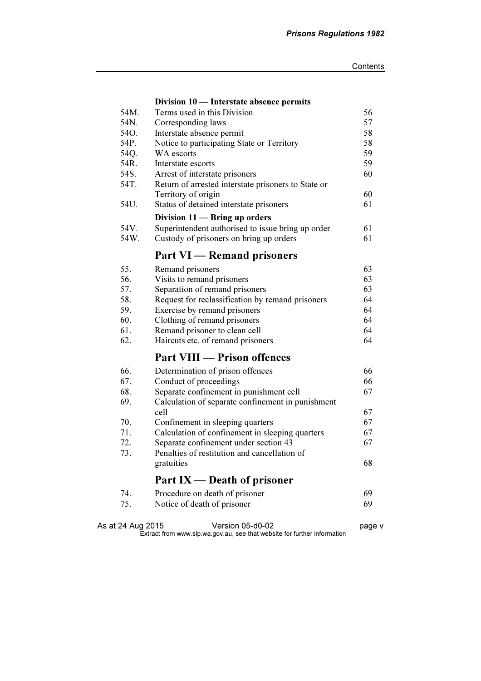|      | Division 10 — Interstate absence permits            |    |
|------|-----------------------------------------------------|----|
| 54M. | Terms used in this Division                         | 56 |
| 54N. | Corresponding laws                                  | 57 |
| 54O. | Interstate absence permit                           | 58 |
| 54P. | Notice to participating State or Territory          | 58 |
| 54Q. | WA escorts                                          | 59 |
| 54R. | Interstate escorts                                  | 59 |
| 54S. | Arrest of interstate prisoners                      | 60 |
| 54T. | Return of arrested interstate prisoners to State or |    |
|      | Territory of origin                                 | 60 |
| 54U. | Status of detained interstate prisoners             | 61 |
|      | Division 11 - Bring up orders                       |    |
| 54V. | Superintendent authorised to issue bring up order   | 61 |
| 54W. | Custody of prisoners on bring up orders             | 61 |
|      | <b>Part VI</b> — Remand prisoners                   |    |
| 55.  | Remand prisoners                                    | 63 |
| 56.  | Visits to remand prisoners                          | 63 |
| 57.  | Separation of remand prisoners                      | 63 |
| 58.  | Request for reclassification by remand prisoners    | 64 |
| 59.  | Exercise by remand prisoners                        | 64 |
| 60.  | Clothing of remand prisoners                        | 64 |
| 61.  | Remand prisoner to clean cell                       | 64 |
| 62.  | Haircuts etc. of remand prisoners                   | 64 |
|      | <b>Part VIII — Prison offences</b>                  |    |
| 66.  | Determination of prison offences                    | 66 |
| 67.  | Conduct of proceedings                              | 66 |
| 68.  | Separate confinement in punishment cell             | 67 |
| 69.  | Calculation of separate confinement in punishment   |    |
|      | cell                                                | 67 |
| 70.  | Confinement in sleeping quarters                    | 67 |
| 71.  | Calculation of confinement in sleeping quarters     | 67 |
| 72.  | Separate confinement under section 43               | 67 |
| 73.  | Penalties of restitution and cancellation of        |    |
|      | gratuities                                          | 68 |
|      | Part $IX$ — Death of prisoner                       |    |
| 74.  | Procedure on death of prisoner                      | 69 |
| 75.  | Notice of death of prisoner                         | 69 |
|      |                                                     |    |

As at 24 Aug 2015 Version 05-d0-02 page v  $\mathbf{F}$  from which was the set that we besite for further information  $\mathbf{F}$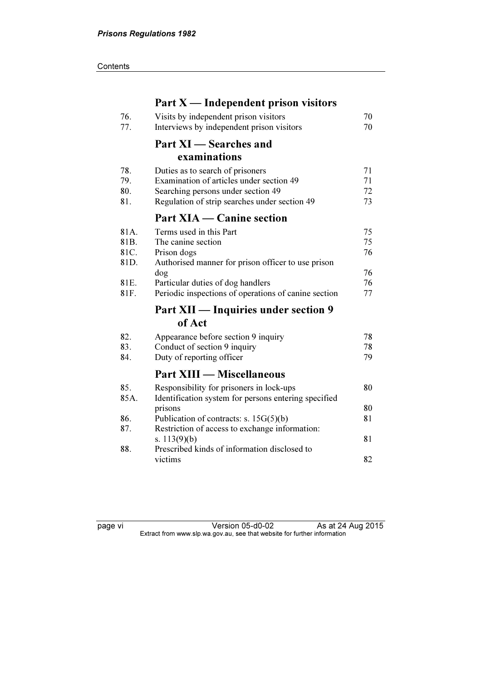#### **Contents**

|      | Part $X$ — Independent prison visitors                  |    |
|------|---------------------------------------------------------|----|
| 76.  | Visits by independent prison visitors                   | 70 |
| 77.  | Interviews by independent prison visitors               | 70 |
|      | Part XI — Searches and                                  |    |
|      | examinations                                            |    |
| 78.  | Duties as to search of prisoners                        | 71 |
| 79.  | Examination of articles under section 49                | 71 |
| 80.  | Searching persons under section 49                      | 72 |
| 81.  | Regulation of strip searches under section 49           | 73 |
|      | <b>Part XIA — Canine section</b>                        |    |
| 81A. | Terms used in this Part                                 | 75 |
| 81B. | The canine section                                      | 75 |
| 81C. | Prison dogs                                             | 76 |
| 81D. | Authorised manner for prison officer to use prison      |    |
|      | dog                                                     | 76 |
| 81E. | Particular duties of dog handlers                       | 76 |
| 81F. | Periodic inspections of operations of canine section    | 77 |
|      | Part XII — Inquiries under section 9                    |    |
|      | of Act                                                  |    |
| 82.  | Appearance before section 9 inquiry                     | 78 |
| 83.  | Conduct of section 9 inquiry                            | 78 |
| 84.  | Duty of reporting officer                               | 79 |
|      | <b>Part XIII — Miscellaneous</b>                        |    |
| 85.  | Responsibility for prisoners in lock-ups                | 80 |
| 85A. | Identification system for persons entering specified    |    |
|      | prisons                                                 | 80 |
| 86.  | Publication of contracts: s. $15G(5)(b)$                | 81 |
| 87.  | Restriction of access to exchange information:          |    |
|      | s. $113(9)(b)$                                          | 81 |
| 88.  | Prescribed kinds of information disclosed to<br>victims |    |
|      |                                                         | 82 |

page vi Version 05-d0-02 As at 24 Aug 2015  $\mathbf{F}$  from which was the set that we besite for further information  $\mathbf{F}$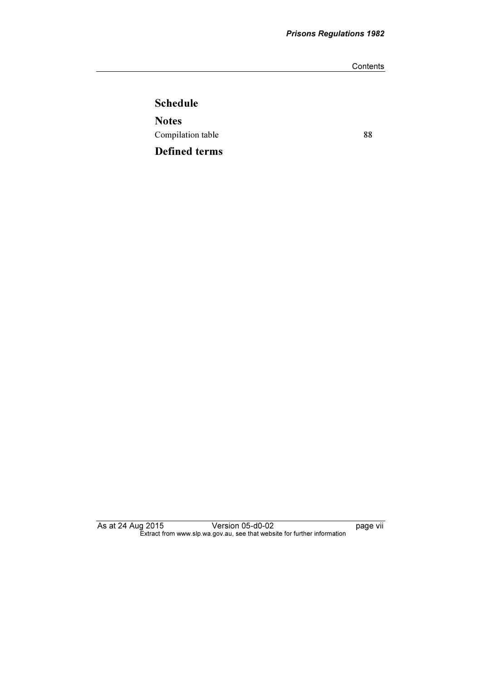**Contents** 

## Schedule **Notes** Compilation table 88 Defined terms

As at 24 Aug 2015 Version 05-d0-02 page vii  $\mathbf{F}$  from which was the set that we besite for further information  $\mathbf{F}$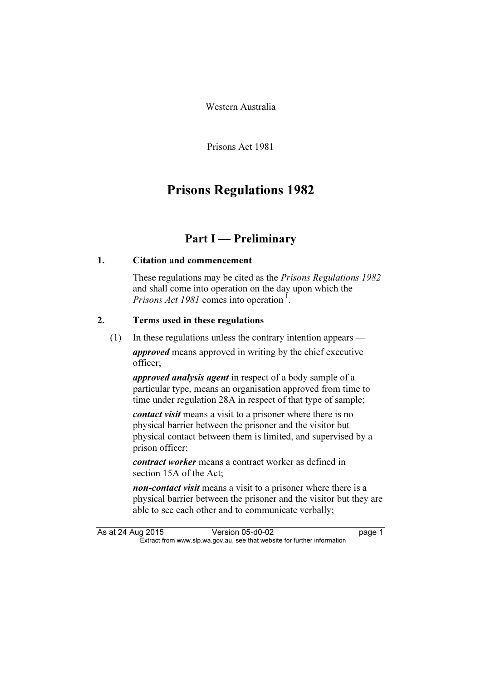Western Australia

Prisons Act 1981

## Prisons Regulations 1982

### Part I — Preliminary

#### 1. Citation and commencement

 These regulations may be cited as the Prisons Regulations 1982 and shall come into operation on the day upon which the *Prisons Act 1981* comes into operation<sup>1</sup>.

#### 2. Terms used in these regulations

(1) In these regulations unless the contrary intention appears —

approved means approved in writing by the chief executive officer;

approved analysis agent in respect of a body sample of a particular type, means an organisation approved from time to time under regulation 28A in respect of that type of sample;

contact visit means a visit to a prisoner where there is no physical barrier between the prisoner and the visitor but physical contact between them is limited, and supervised by a prison officer;

contract worker means a contract worker as defined in section 15A of the Act;

non-contact visit means a visit to a prisoner where there is a physical barrier between the prisoner and the visitor but they are able to see each other and to communicate verbally;

As at 24 Aug 2015 Version 05-d0-02 page 1<br>Extract from www.slp.wa.gov.au, see that website for further information  $\mathbf{F}$  from which was the set that we besite for further information  $\mathbf{F}$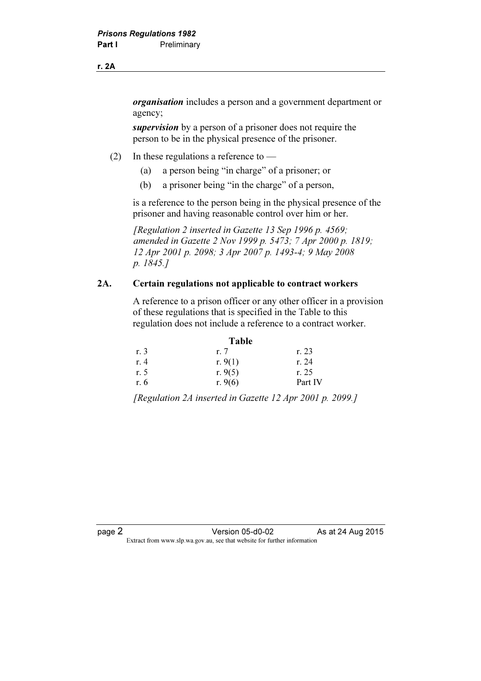#### r. 2A

organisation includes a person and a government department or agency;

supervision by a person of a prisoner does not require the person to be in the physical presence of the prisoner.

- (2) In these regulations a reference to
	- (a) a person being "in charge" of a prisoner; or
	- (b) a prisoner being "in the charge" of a person,

 is a reference to the person being in the physical presence of the prisoner and having reasonable control over him or her.

[Regulation 2 inserted in Gazette 13 Sep 1996 p. 4569; amended in Gazette 2 Nov 1999 p. 5473; 7 Apr 2000 p. 1819; 12 Apr 2001 p. 2098; 3 Apr 2007 p. 1493-4; 9 May 2008 p. 1845.]

#### 2A. Certain regulations not applicable to contract workers

 A reference to a prison officer or any other officer in a provision of these regulations that is specified in the Table to this regulation does not include a reference to a contract worker.

| <b>Table</b> |           |         |
|--------------|-----------|---------|
| r. 3         | r. 7      | r. 23   |
| r. 4         | r. $9(1)$ | r. 24   |
| r. 5         | r. $9(5)$ | r. 25   |
| r. 6         | r. $9(6)$ | Part IV |

[Regulation 2A inserted in Gazette 12 Apr 2001 p. 2099.]

page 2<br>Extract from www.slp.wa.gov.au, see that website for further information<br>Extract from www.slp.wa.gov.au, see that website for further information  $\mathbf{F}$  from which we be the website for further information for further information  $\mathbf{F}$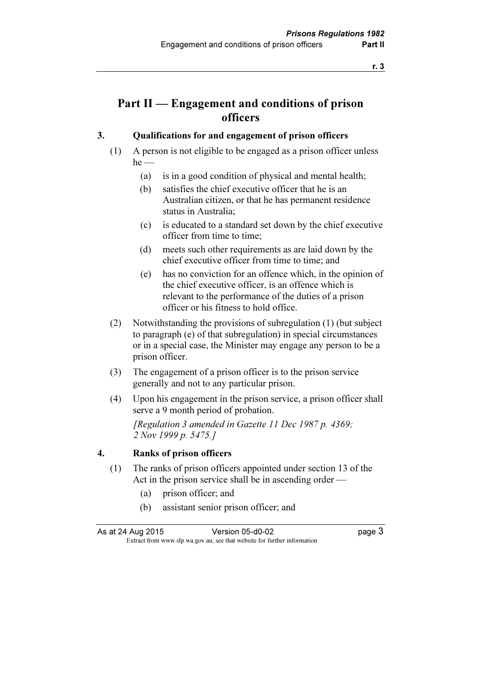## Part II — Engagement and conditions of prison officers

#### 3. Qualifications for and engagement of prison officers

- (1) A person is not eligible to be engaged as a prison officer unless  $he$  —
	- (a) is in a good condition of physical and mental health;
	- (b) satisfies the chief executive officer that he is an Australian citizen, or that he has permanent residence status in Australia;
	- (c) is educated to a standard set down by the chief executive officer from time to time;
	- (d) meets such other requirements as are laid down by the chief executive officer from time to time; and
	- (e) has no conviction for an offence which, in the opinion of the chief executive officer, is an offence which is relevant to the performance of the duties of a prison officer or his fitness to hold office.
- (2) Notwithstanding the provisions of subregulation (1) (but subject to paragraph (e) of that subregulation) in special circumstances or in a special case, the Minister may engage any person to be a prison officer.
- (3) The engagement of a prison officer is to the prison service generally and not to any particular prison.
- (4) Upon his engagement in the prison service, a prison officer shall serve a 9 month period of probation.

 [Regulation 3 amended in Gazette 11 Dec 1987 p. 4369; 2 Nov 1999 p. 5475.]

#### 4. Ranks of prison officers

- (1) The ranks of prison officers appointed under section 13 of the Act in the prison service shall be in ascending order —
	- (a) prison officer; and
	- (b) assistant senior prison officer; and

As at 24 Aug 2015 Version 05-d0-02 page 3  $\mathbf{F}$  from which we be the website for further information for further information  $\mathbf{F}$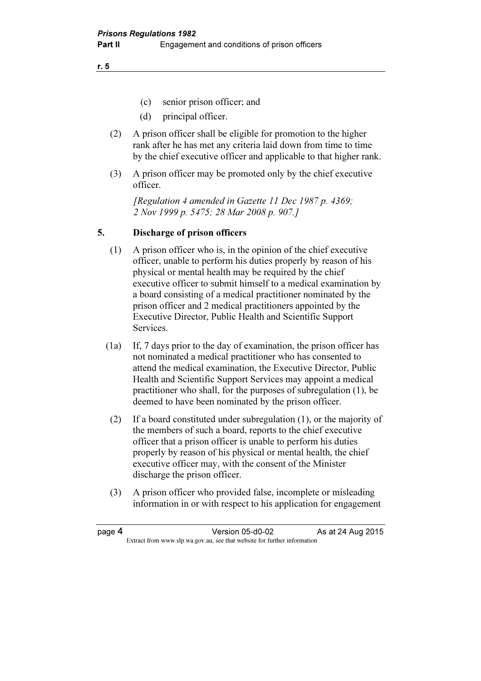r. 5

- (c) senior prison officer; and
- (d) principal officer.
- (2) A prison officer shall be eligible for promotion to the higher rank after he has met any criteria laid down from time to time by the chief executive officer and applicable to that higher rank.
- (3) A prison officer may be promoted only by the chief executive officer.

 [Regulation 4 amended in Gazette 11 Dec 1987 p. 4369; 2 Nov 1999 p. 5475; 28 Mar 2008 p. 907.]

#### 5. Discharge of prison officers

- (1) A prison officer who is, in the opinion of the chief executive officer, unable to perform his duties properly by reason of his physical or mental health may be required by the chief executive officer to submit himself to a medical examination by a board consisting of a medical practitioner nominated by the prison officer and 2 medical practitioners appointed by the Executive Director, Public Health and Scientific Support Services.
- (1a) If, 7 days prior to the day of examination, the prison officer has not nominated a medical practitioner who has consented to attend the medical examination, the Executive Director, Public Health and Scientific Support Services may appoint a medical practitioner who shall, for the purposes of subregulation (1), be deemed to have been nominated by the prison officer.
- (2) If a board constituted under subregulation (1), or the majority of the members of such a board, reports to the chief executive officer that a prison officer is unable to perform his duties properly by reason of his physical or mental health, the chief executive officer may, with the consent of the Minister discharge the prison officer.
- (3) A prison officer who provided false, incomplete or misleading information in or with respect to his application for engagement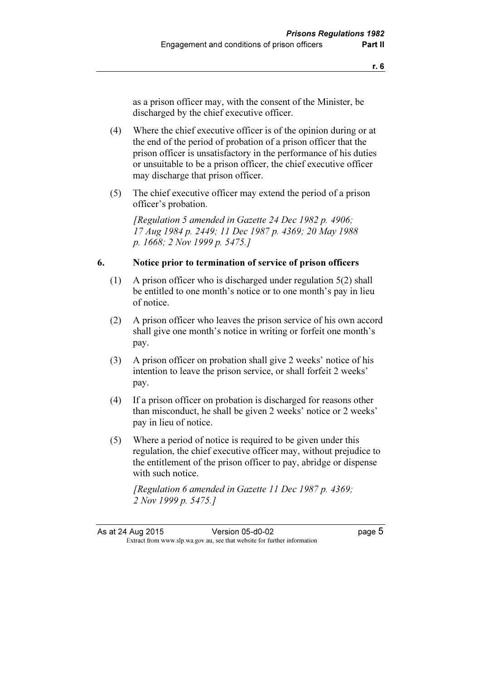as a prison officer may, with the consent of the Minister, be discharged by the chief executive officer.

- (4) Where the chief executive officer is of the opinion during or at the end of the period of probation of a prison officer that the prison officer is unsatisfactory in the performance of his duties or unsuitable to be a prison officer, the chief executive officer may discharge that prison officer.
- (5) The chief executive officer may extend the period of a prison officer's probation.

 [Regulation 5 amended in Gazette 24 Dec 1982 p. 4906; 17 Aug 1984 p. 2449; 11 Dec 1987 p. 4369; 20 May 1988 p. 1668; 2 Nov 1999 p. 5475.]

#### 6. Notice prior to termination of service of prison officers

- (1) A prison officer who is discharged under regulation 5(2) shall be entitled to one month's notice or to one month's pay in lieu of notice.
- (2) A prison officer who leaves the prison service of his own accord shall give one month's notice in writing or forfeit one month's pay.
- (3) A prison officer on probation shall give 2 weeks' notice of his intention to leave the prison service, or shall forfeit 2 weeks' pay.
- (4) If a prison officer on probation is discharged for reasons other than misconduct, he shall be given 2 weeks' notice or 2 weeks' pay in lieu of notice.
- (5) Where a period of notice is required to be given under this regulation, the chief executive officer may, without prejudice to the entitlement of the prison officer to pay, abridge or dispense with such notice.

[Regulation 6 amended in Gazette 11 Dec 1987 p. 4369; 2 Nov 1999 p. 5475.]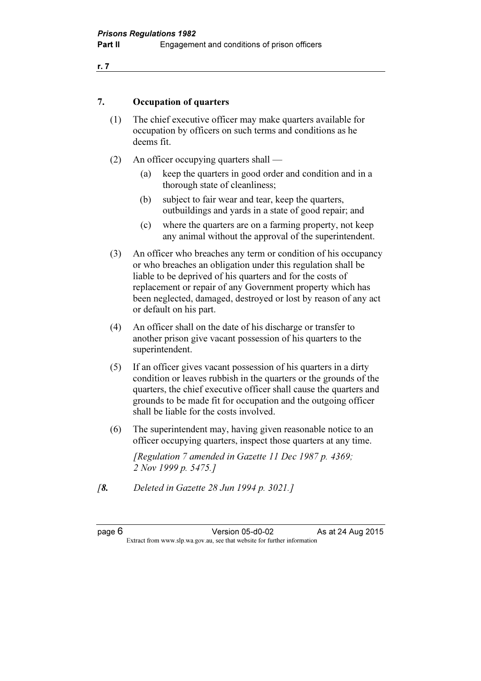#### 7. Occupation of quarters

- (1) The chief executive officer may make quarters available for occupation by officers on such terms and conditions as he deems fit.
- (2) An officer occupying quarters shall
	- (a) keep the quarters in good order and condition and in a thorough state of cleanliness;
	- (b) subject to fair wear and tear, keep the quarters, outbuildings and yards in a state of good repair; and
	- (c) where the quarters are on a farming property, not keep any animal without the approval of the superintendent.
- (3) An officer who breaches any term or condition of his occupancy or who breaches an obligation under this regulation shall be liable to be deprived of his quarters and for the costs of replacement or repair of any Government property which has been neglected, damaged, destroyed or lost by reason of any act or default on his part.
- (4) An officer shall on the date of his discharge or transfer to another prison give vacant possession of his quarters to the superintendent.
- (5) If an officer gives vacant possession of his quarters in a dirty condition or leaves rubbish in the quarters or the grounds of the quarters, the chief executive officer shall cause the quarters and grounds to be made fit for occupation and the outgoing officer shall be liable for the costs involved.
- (6) The superintendent may, having given reasonable notice to an officer occupying quarters, inspect those quarters at any time.

 [Regulation 7 amended in Gazette 11 Dec 1987 p. 4369; 2 Nov 1999 p. 5475.]

[8. Deleted in Gazette 28 Jun 1994 p. 3021.]

| page |  |
|------|--|
|------|--|

page 6 Version 05-d0-02 As at 24 Aug 2015  $\mathbf{F}$  from which we be the website for further information for further information  $\mathbf{F}$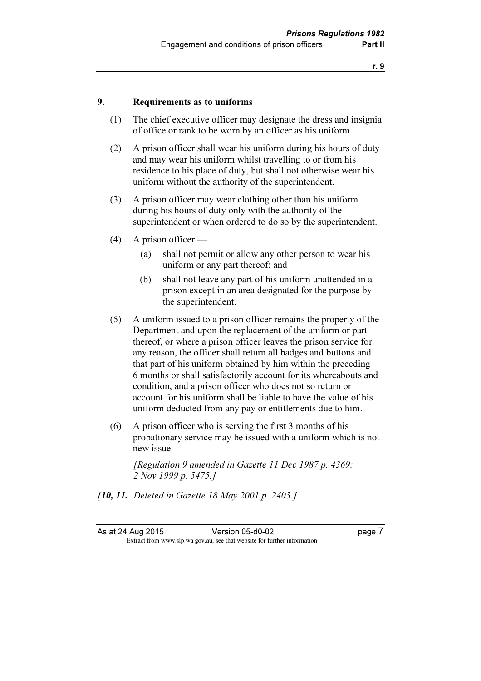#### 9. Requirements as to uniforms

- (1) The chief executive officer may designate the dress and insignia of office or rank to be worn by an officer as his uniform.
- (2) A prison officer shall wear his uniform during his hours of duty and may wear his uniform whilst travelling to or from his residence to his place of duty, but shall not otherwise wear his uniform without the authority of the superintendent.
- (3) A prison officer may wear clothing other than his uniform during his hours of duty only with the authority of the superintendent or when ordered to do so by the superintendent.
- (4) A prison officer
	- (a) shall not permit or allow any other person to wear his uniform or any part thereof; and
	- (b) shall not leave any part of his uniform unattended in a prison except in an area designated for the purpose by the superintendent.
- (5) A uniform issued to a prison officer remains the property of the Department and upon the replacement of the uniform or part thereof, or where a prison officer leaves the prison service for any reason, the officer shall return all badges and buttons and that part of his uniform obtained by him within the preceding 6 months or shall satisfactorily account for its whereabouts and condition, and a prison officer who does not so return or account for his uniform shall be liable to have the value of his uniform deducted from any pay or entitlements due to him.
- (6) A prison officer who is serving the first 3 months of his probationary service may be issued with a uniform which is not new issue.

 [Regulation 9 amended in Gazette 11 Dec 1987 p. 4369; 2 Nov 1999 p. 5475.]

[**10, 11.** Deleted in Gazette 18 May 2001 p. 2403.]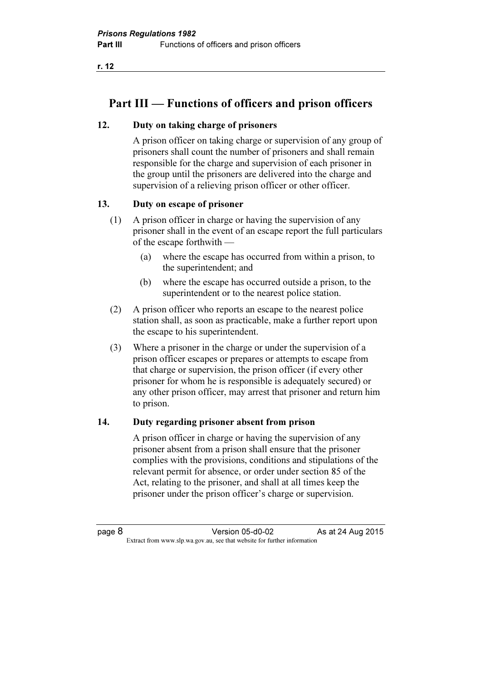r. 12

## Part III — Functions of officers and prison officers

#### 12. Duty on taking charge of prisoners

 A prison officer on taking charge or supervision of any group of prisoners shall count the number of prisoners and shall remain responsible for the charge and supervision of each prisoner in the group until the prisoners are delivered into the charge and supervision of a relieving prison officer or other officer.

#### 13. Duty on escape of prisoner

- (1) A prison officer in charge or having the supervision of any prisoner shall in the event of an escape report the full particulars of the escape forthwith —
	- (a) where the escape has occurred from within a prison, to the superintendent; and
	- (b) where the escape has occurred outside a prison, to the superintendent or to the nearest police station.
- (2) A prison officer who reports an escape to the nearest police station shall, as soon as practicable, make a further report upon the escape to his superintendent.
- (3) Where a prisoner in the charge or under the supervision of a prison officer escapes or prepares or attempts to escape from that charge or supervision, the prison officer (if every other prisoner for whom he is responsible is adequately secured) or any other prison officer, may arrest that prisoner and return him to prison.

#### 14. Duty regarding prisoner absent from prison

 A prison officer in charge or having the supervision of any prisoner absent from a prison shall ensure that the prisoner complies with the provisions, conditions and stipulations of the relevant permit for absence, or order under section 85 of the Act, relating to the prisoner, and shall at all times keep the prisoner under the prison officer's charge or supervision.

page 8 Version 05-d0-02 As at 24 Aug 2015  $\mathbf{F}$  from which we be the website for further information for further information  $\mathbf{F}$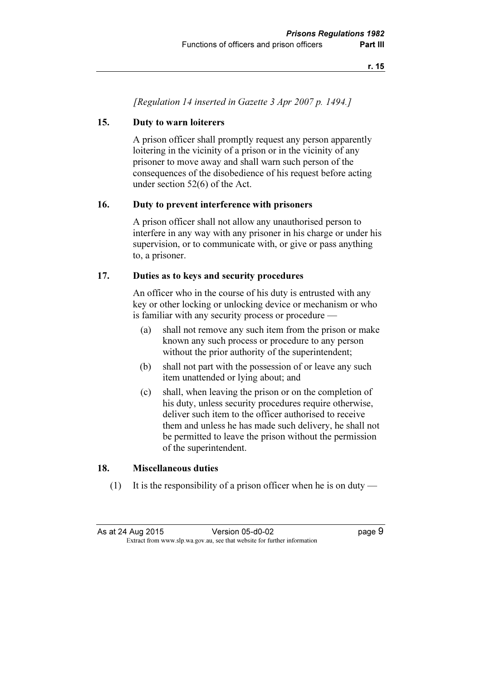[Regulation 14 inserted in Gazette 3 Apr 2007 p. 1494.]

#### 15. Duty to warn loiterers

 A prison officer shall promptly request any person apparently loitering in the vicinity of a prison or in the vicinity of any prisoner to move away and shall warn such person of the consequences of the disobedience of his request before acting under section 52(6) of the Act.

#### 16. Duty to prevent interference with prisoners

 A prison officer shall not allow any unauthorised person to interfere in any way with any prisoner in his charge or under his supervision, or to communicate with, or give or pass anything to, a prisoner.

#### 17. Duties as to keys and security procedures

 An officer who in the course of his duty is entrusted with any key or other locking or unlocking device or mechanism or who is familiar with any security process or procedure —

- (a) shall not remove any such item from the prison or make known any such process or procedure to any person without the prior authority of the superintendent;
- (b) shall not part with the possession of or leave any such item unattended or lying about; and
- (c) shall, when leaving the prison or on the completion of his duty, unless security procedures require otherwise, deliver such item to the officer authorised to receive them and unless he has made such delivery, he shall not be permitted to leave the prison without the permission of the superintendent.

#### 18. Miscellaneous duties

(1) It is the responsibility of a prison officer when he is on duty —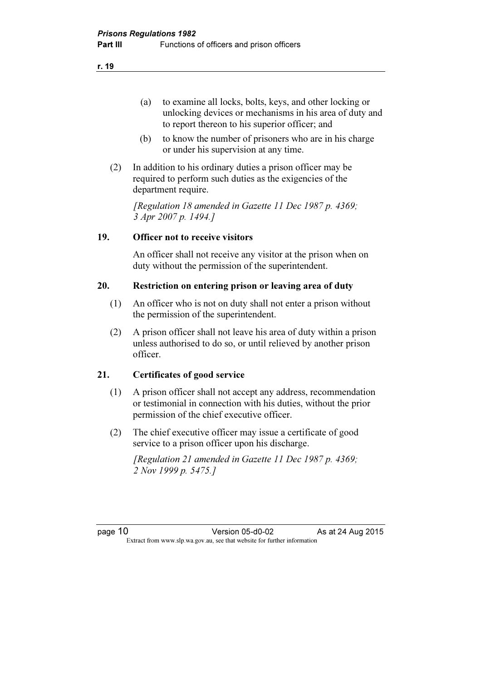- (a) to examine all locks, bolts, keys, and other locking or unlocking devices or mechanisms in his area of duty and to report thereon to his superior officer; and
- (b) to know the number of prisoners who are in his charge or under his supervision at any time.
- (2) In addition to his ordinary duties a prison officer may be required to perform such duties as the exigencies of the department require.

 [Regulation 18 amended in Gazette 11 Dec 1987 p. 4369; 3 Apr 2007 p. 1494.]

#### 19. Officer not to receive visitors

 An officer shall not receive any visitor at the prison when on duty without the permission of the superintendent.

#### 20. Restriction on entering prison or leaving area of duty

- (1) An officer who is not on duty shall not enter a prison without the permission of the superintendent.
- (2) A prison officer shall not leave his area of duty within a prison unless authorised to do so, or until relieved by another prison officer.

#### 21. Certificates of good service

- (1) A prison officer shall not accept any address, recommendation or testimonial in connection with his duties, without the prior permission of the chief executive officer.
- (2) The chief executive officer may issue a certificate of good service to a prison officer upon his discharge.

 [Regulation 21 amended in Gazette 11 Dec 1987 p. 4369; 2 Nov 1999 p. 5475.]

page 10 **Version 05-d0-02** As at 24 Aug 2015  $\mathbf{F}$  from which we be the website for further information for further information  $\mathbf{F}$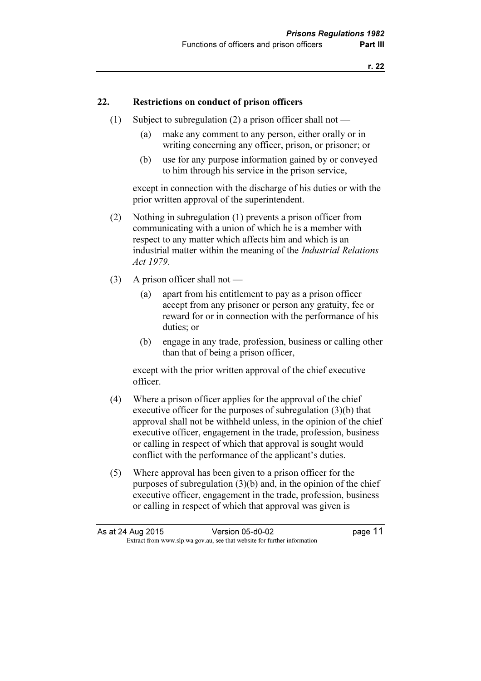#### 22. Restrictions on conduct of prison officers

- (1) Subject to subregulation (2) a prison officer shall not
	- (a) make any comment to any person, either orally or in writing concerning any officer, prison, or prisoner; or
	- (b) use for any purpose information gained by or conveyed to him through his service in the prison service,

 except in connection with the discharge of his duties or with the prior written approval of the superintendent.

- (2) Nothing in subregulation (1) prevents a prison officer from communicating with a union of which he is a member with respect to any matter which affects him and which is an industrial matter within the meaning of the Industrial Relations Act 1979.
- (3) A prison officer shall not
	- (a) apart from his entitlement to pay as a prison officer accept from any prisoner or person any gratuity, fee or reward for or in connection with the performance of his duties; or
	- (b) engage in any trade, profession, business or calling other than that of being a prison officer,

 except with the prior written approval of the chief executive officer.

- (4) Where a prison officer applies for the approval of the chief executive officer for the purposes of subregulation (3)(b) that approval shall not be withheld unless, in the opinion of the chief executive officer, engagement in the trade, profession, business or calling in respect of which that approval is sought would conflict with the performance of the applicant's duties.
- (5) Where approval has been given to a prison officer for the purposes of subregulation (3)(b) and, in the opinion of the chief executive officer, engagement in the trade, profession, business or calling in respect of which that approval was given is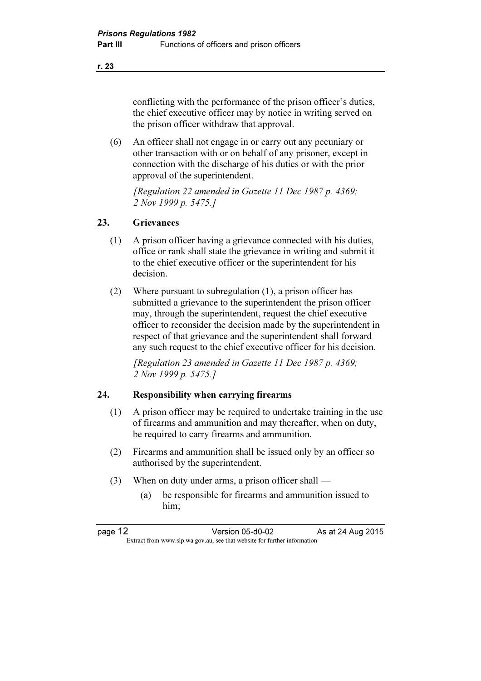conflicting with the performance of the prison officer's duties, the chief executive officer may by notice in writing served on the prison officer withdraw that approval.

 (6) An officer shall not engage in or carry out any pecuniary or other transaction with or on behalf of any prisoner, except in connection with the discharge of his duties or with the prior approval of the superintendent.

 [Regulation 22 amended in Gazette 11 Dec 1987 p. 4369; 2 Nov 1999 p. 5475.]

#### 23. Grievances

- (1) A prison officer having a grievance connected with his duties, office or rank shall state the grievance in writing and submit it to the chief executive officer or the superintendent for his decision.
- (2) Where pursuant to subregulation (1), a prison officer has submitted a grievance to the superintendent the prison officer may, through the superintendent, request the chief executive officer to reconsider the decision made by the superintendent in respect of that grievance and the superintendent shall forward any such request to the chief executive officer for his decision.

 [Regulation 23 amended in Gazette 11 Dec 1987 p. 4369; 2 Nov 1999 p. 5475.]

#### 24. Responsibility when carrying firearms

- (1) A prison officer may be required to undertake training in the use of firearms and ammunition and may thereafter, when on duty, be required to carry firearms and ammunition.
- (2) Firearms and ammunition shall be issued only by an officer so authorised by the superintendent.
- (3) When on duty under arms, a prison officer shall
	- (a) be responsible for firearms and ammunition issued to him;

r. 23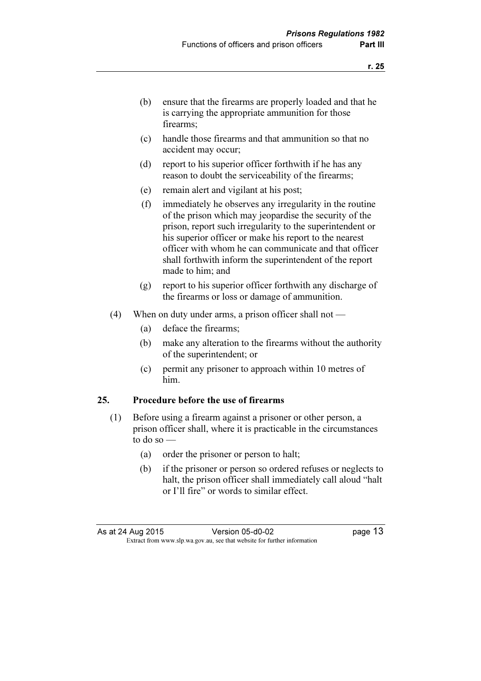- (b) ensure that the firearms are properly loaded and that he is carrying the appropriate ammunition for those firearms;
- (c) handle those firearms and that ammunition so that no accident may occur;
- (d) report to his superior officer forthwith if he has any reason to doubt the serviceability of the firearms;
- (e) remain alert and vigilant at his post;
- (f) immediately he observes any irregularity in the routine of the prison which may jeopardise the security of the prison, report such irregularity to the superintendent or his superior officer or make his report to the nearest officer with whom he can communicate and that officer shall forthwith inform the superintendent of the report made to him; and
- (g) report to his superior officer forthwith any discharge of the firearms or loss or damage of ammunition.
- (4) When on duty under arms, a prison officer shall not
	- (a) deface the firearms;
	- (b) make any alteration to the firearms without the authority of the superintendent; or
	- (c) permit any prisoner to approach within 10 metres of him.

#### 25. Procedure before the use of firearms

- (1) Before using a firearm against a prisoner or other person, a prison officer shall, where it is practicable in the circumstances to do so  $-$ 
	- (a) order the prisoner or person to halt;
	- (b) if the prisoner or person so ordered refuses or neglects to halt, the prison officer shall immediately call aloud "halt or I'll fire" or words to similar effect.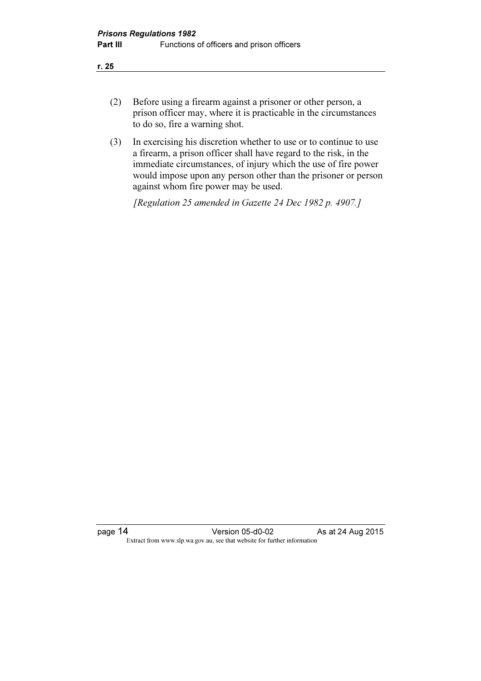- (2) Before using a firearm against a prisoner or other person, a prison officer may, where it is practicable in the circumstances to do so, fire a warning shot.
- (3) In exercising his discretion whether to use or to continue to use a firearm, a prison officer shall have regard to the risk, in the immediate circumstances, of injury which the use of fire power would impose upon any person other than the prisoner or person against whom fire power may be used.

[Regulation 25 amended in Gazette 24 Dec 1982 p. 4907.]

page 14 Version 05-d0-02 As at 24 Aug 2015 Extract from www.slp.wa.gov.au, see that website for further information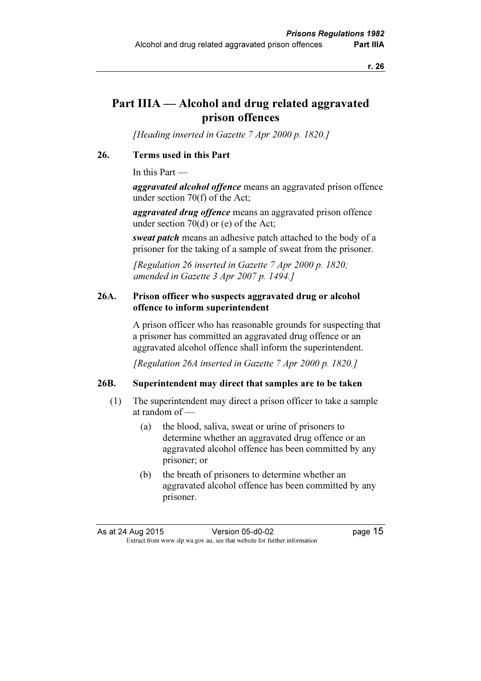### Part IIIA — Alcohol and drug related aggravated prison offences

[Heading inserted in Gazette 7 Apr 2000 p. 1820.]

#### 26. Terms used in this Part

In this Part —

aggravated alcohol offence means an aggravated prison offence under section 70(f) of the Act;

aggravated drug offence means an aggravated prison offence under section 70(d) or (e) of the Act;

sweat patch means an adhesive patch attached to the body of a prisoner for the taking of a sample of sweat from the prisoner.

[Regulation 26 inserted in Gazette  $7$  Apr 2000 p. 1820; amended in Gazette 3 Apr 2007 p. 1494.]

#### 26A. Prison officer who suspects aggravated drug or alcohol offence to inform superintendent

 A prison officer who has reasonable grounds for suspecting that a prisoner has committed an aggravated drug offence or an aggravated alcohol offence shall inform the superintendent.

[Regulation 26A inserted in Gazette 7 Apr 2000 p. 1820.]

#### 26B. Superintendent may direct that samples are to be taken

- (1) The superintendent may direct a prison officer to take a sample at random of —
	- (a) the blood, saliva, sweat or urine of prisoners to determine whether an aggravated drug offence or an aggravated alcohol offence has been committed by any prisoner; or
	- (b) the breath of prisoners to determine whether an aggravated alcohol offence has been committed by any prisoner.

As at 24 Aug 2015 Version 05-d0-02 page 15  $\mathbf{F}$  from which we be the website for further information for further information  $\mathbf{F}$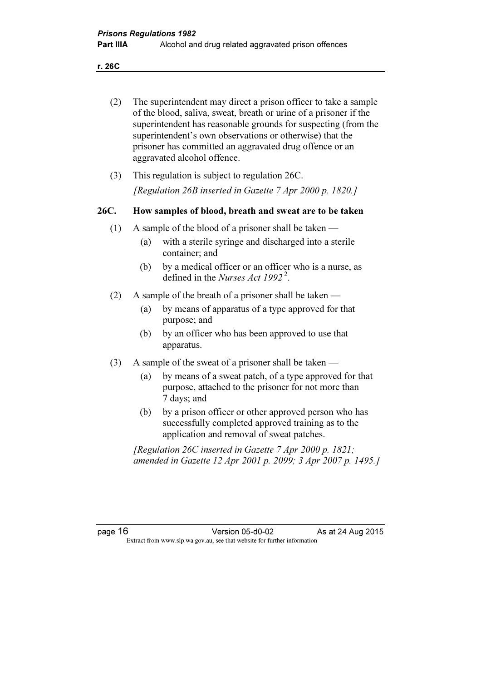r. 26C

| (2)     | The superintendent may direct a prison officer to take a sample<br>of the blood, saliva, sweat, breath or urine of a prisoner if the<br>superintendent has reasonable grounds for suspecting (from the<br>superintendent's own observations or otherwise) that the<br>prisoner has committed an aggravated drug offence or an<br>aggravated alcohol offence. |                                                                                                                                                                                                                                                                                                                                                                                                                                                                          |  |
|---------|--------------------------------------------------------------------------------------------------------------------------------------------------------------------------------------------------------------------------------------------------------------------------------------------------------------------------------------------------------------|--------------------------------------------------------------------------------------------------------------------------------------------------------------------------------------------------------------------------------------------------------------------------------------------------------------------------------------------------------------------------------------------------------------------------------------------------------------------------|--|
| (3)     |                                                                                                                                                                                                                                                                                                                                                              | This regulation is subject to regulation 26C.                                                                                                                                                                                                                                                                                                                                                                                                                            |  |
|         |                                                                                                                                                                                                                                                                                                                                                              | [Regulation 26B inserted in Gazette $7$ Apr 2000 p. 1820.]                                                                                                                                                                                                                                                                                                                                                                                                               |  |
| 26C.    |                                                                                                                                                                                                                                                                                                                                                              | How samples of blood, breath and sweat are to be taken                                                                                                                                                                                                                                                                                                                                                                                                                   |  |
| (1)     | (a)<br>(b)                                                                                                                                                                                                                                                                                                                                                   | A sample of the blood of a prisoner shall be taken —<br>with a sterile syringe and discharged into a sterile<br>container; and<br>by a medical officer or an officer who is a nurse, as<br>defined in the <i>Nurses Act 1992</i> <sup>2</sup> .                                                                                                                                                                                                                          |  |
| (2)     | (a)<br>(b)                                                                                                                                                                                                                                                                                                                                                   | A sample of the breath of a prisoner shall be taken —<br>by means of apparatus of a type approved for that<br>purpose; and<br>by an officer who has been approved to use that<br>apparatus.                                                                                                                                                                                                                                                                              |  |
| (3)     | (a)<br>(b)                                                                                                                                                                                                                                                                                                                                                   | A sample of the sweat of a prisoner shall be taken<br>by means of a sweat patch, of a type approved for that<br>purpose, attached to the prisoner for not more than<br>7 days; and<br>by a prison officer or other approved person who has<br>successfully completed approved training as to the<br>application and removal of sweat patches.<br>[Regulation 26C inserted in Gazette 7 Apr 2000 p. 1821;<br>amended in Gazette 12 Apr 2001 p. 2099; 3 Apr 2007 p. 1495.] |  |
| page 16 |                                                                                                                                                                                                                                                                                                                                                              | Version 05-d0-02<br>As at 24 Aug 2015<br>Extract from www.slp.wa.gov.au, see that website for further information                                                                                                                                                                                                                                                                                                                                                        |  |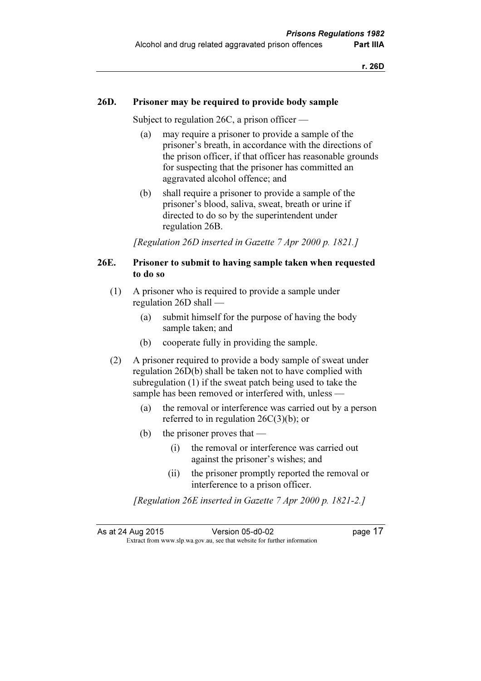#### 26D. Prisoner may be required to provide body sample

Subject to regulation 26C, a prison officer —

- (a) may require a prisoner to provide a sample of the prisoner's breath, in accordance with the directions of the prison officer, if that officer has reasonable grounds for suspecting that the prisoner has committed an aggravated alcohol offence; and
- (b) shall require a prisoner to provide a sample of the prisoner's blood, saliva, sweat, breath or urine if directed to do so by the superintendent under regulation 26B.

[Regulation 26D inserted in Gazette 7 Apr 2000 p. 1821.]

#### 26E. Prisoner to submit to having sample taken when requested to do so

- (1) A prisoner who is required to provide a sample under regulation 26D shall —
	- (a) submit himself for the purpose of having the body sample taken; and
	- (b) cooperate fully in providing the sample.
- (2) A prisoner required to provide a body sample of sweat under regulation 26D(b) shall be taken not to have complied with subregulation (1) if the sweat patch being used to take the sample has been removed or interfered with, unless —
	- (a) the removal or interference was carried out by a person referred to in regulation 26C(3)(b); or
	- (b) the prisoner proves that
		- (i) the removal or interference was carried out against the prisoner's wishes; and
		- (ii) the prisoner promptly reported the removal or interference to a prison officer.

[Regulation 26E inserted in Gazette 7 Apr 2000 p. 1821-2.]

As at 24 Aug 2015 Version 05-d0-02 page 17  $\mathbf{F}$  from which we be the website for further information for further information  $\mathbf{F}$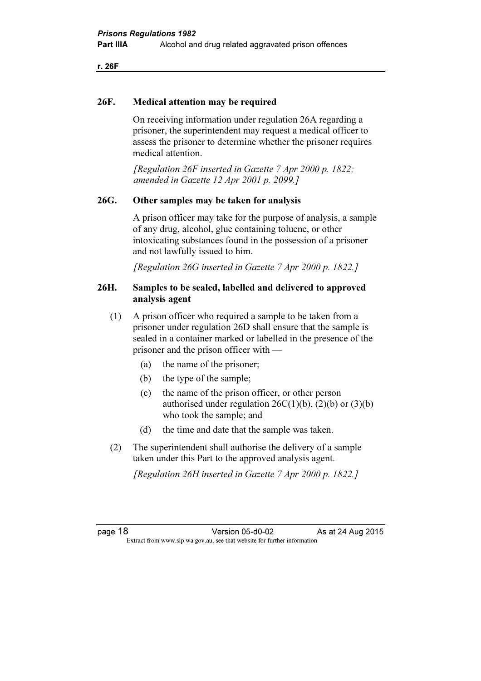r. 26F

#### 26F. Medical attention may be required

 On receiving information under regulation 26A regarding a prisoner, the superintendent may request a medical officer to assess the prisoner to determine whether the prisoner requires medical attention.

 [Regulation 26F inserted in Gazette 7 Apr 2000 p. 1822; amended in Gazette 12 Apr 2001 p. 2099.]

#### 26G. Other samples may be taken for analysis

 A prison officer may take for the purpose of analysis, a sample of any drug, alcohol, glue containing toluene, or other intoxicating substances found in the possession of a prisoner and not lawfully issued to him.

[Regulation 26G inserted in Gazette 7 Apr 2000 p. 1822.]

#### 26H. Samples to be sealed, labelled and delivered to approved analysis agent

- (1) A prison officer who required a sample to be taken from a prisoner under regulation 26D shall ensure that the sample is sealed in a container marked or labelled in the presence of the prisoner and the prison officer with —
	- (a) the name of the prisoner;
	- (b) the type of the sample;
	- (c) the name of the prison officer, or other person authorised under regulation  $26C(1)(b)$ ,  $(2)(b)$  or  $(3)(b)$ who took the sample; and
	- (d) the time and date that the sample was taken.
- (2) The superintendent shall authorise the delivery of a sample taken under this Part to the approved analysis agent.

[Regulation 26H inserted in Gazette 7 Apr 2000 p. 1822.]

page 18 **Version 05-d0-02** As at 24 Aug 2015  $\mathbf{F}$  from which we be the website for further information for further information  $\mathbf{F}$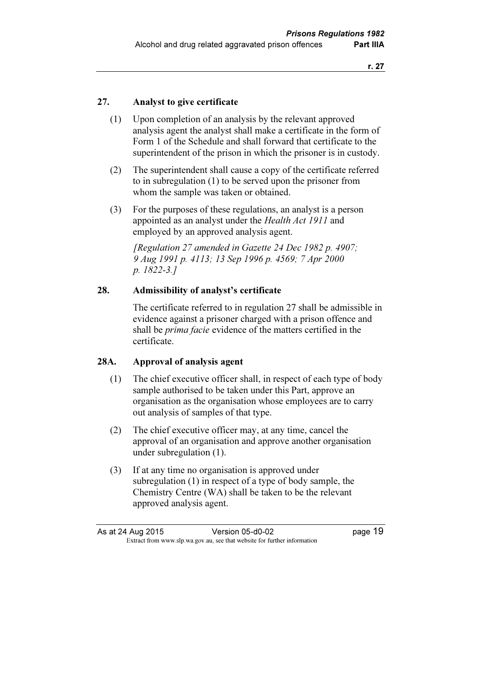#### 27. Analyst to give certificate

- (1) Upon completion of an analysis by the relevant approved analysis agent the analyst shall make a certificate in the form of Form 1 of the Schedule and shall forward that certificate to the superintendent of the prison in which the prisoner is in custody.
- (2) The superintendent shall cause a copy of the certificate referred to in subregulation (1) to be served upon the prisoner from whom the sample was taken or obtained.
- (3) For the purposes of these regulations, an analyst is a person appointed as an analyst under the Health Act 1911 and employed by an approved analysis agent.

 [Regulation 27 amended in Gazette 24 Dec 1982 p. 4907; 9 Aug 1991 p. 4113; 13 Sep 1996 p. 4569; 7 Apr 2000 p. 1822-3.]

#### 28. Admissibility of analyst's certificate

 The certificate referred to in regulation 27 shall be admissible in evidence against a prisoner charged with a prison offence and shall be *prima facie* evidence of the matters certified in the certificate.

#### 28A. Approval of analysis agent

- (1) The chief executive officer shall, in respect of each type of body sample authorised to be taken under this Part, approve an organisation as the organisation whose employees are to carry out analysis of samples of that type.
- (2) The chief executive officer may, at any time, cancel the approval of an organisation and approve another organisation under subregulation (1).
- (3) If at any time no organisation is approved under subregulation (1) in respect of a type of body sample, the Chemistry Centre (WA) shall be taken to be the relevant approved analysis agent.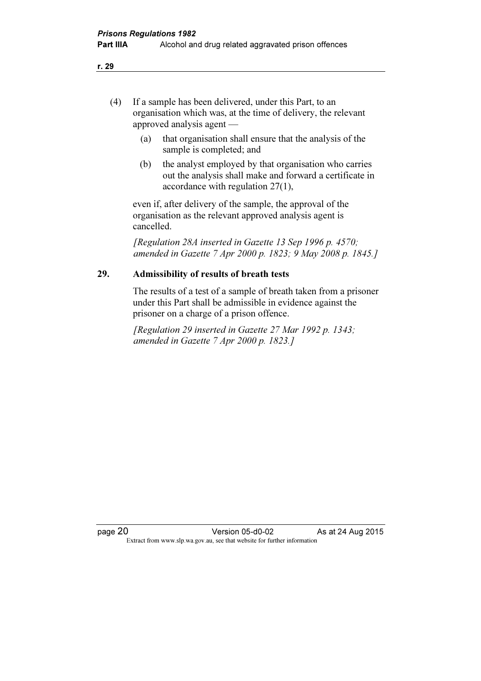- (4) If a sample has been delivered, under this Part, to an organisation which was, at the time of delivery, the relevant approved analysis agent —
	- (a) that organisation shall ensure that the analysis of the sample is completed; and
	- (b) the analyst employed by that organisation who carries out the analysis shall make and forward a certificate in accordance with regulation 27(1),

 even if, after delivery of the sample, the approval of the organisation as the relevant approved analysis agent is cancelled.

 [Regulation 28A inserted in Gazette 13 Sep 1996 p. 4570; amended in Gazette 7 Apr 2000 p. 1823; 9 May 2008 p. 1845.]

#### 29. Admissibility of results of breath tests

 The results of a test of a sample of breath taken from a prisoner under this Part shall be admissible in evidence against the prisoner on a charge of a prison offence.

 [Regulation 29 inserted in Gazette 27 Mar 1992 p. 1343; amended in Gazette 7 Apr 2000 p. 1823.]

page 20 Version 05-d0-02 As at 24 Aug 2015<br>Extract from www.slp.wa.gov.au, see that website for further information  $\mathbf{F}$  from which we be the website for further information for further information  $\mathbf{F}$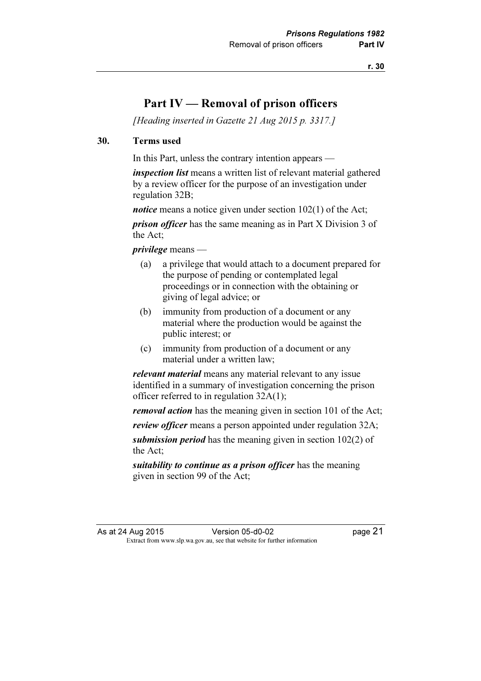### Part IV — Removal of prison officers

[Heading inserted in Gazette 21 Aug 2015 p. 3317.]

#### 30. Terms used

In this Part, unless the contrary intention appears —

*inspection list* means a written list of relevant material gathered by a review officer for the purpose of an investigation under regulation 32B;

*notice* means a notice given under section 102(1) of the Act;

*prison officer* has the same meaning as in Part X Division 3 of the Act;

privilege means —

- (a) a privilege that would attach to a document prepared for the purpose of pending or contemplated legal proceedings or in connection with the obtaining or giving of legal advice; or
- (b) immunity from production of a document or any material where the production would be against the public interest; or
- (c) immunity from production of a document or any material under a written law;

relevant material means any material relevant to any issue identified in a summary of investigation concerning the prison officer referred to in regulation 32A(1);

*removal action* has the meaning given in section 101 of the Act;

review officer means a person appointed under regulation 32A;

submission period has the meaning given in section 102(2) of the Act;

suitability to continue as a prison officer has the meaning given in section 99 of the Act;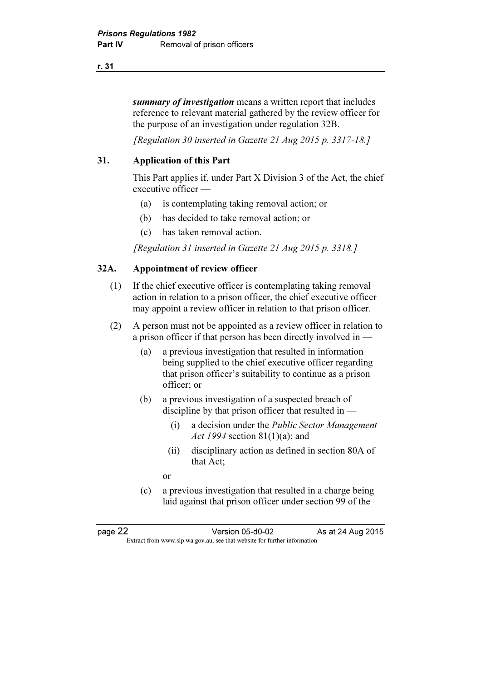r. 31

summary of investigation means a written report that includes reference to relevant material gathered by the review officer for the purpose of an investigation under regulation 32B.

[Regulation 30 inserted in Gazette 21 Aug 2015 p. 3317-18.]

#### 31. Application of this Part

 This Part applies if, under Part X Division 3 of the Act, the chief executive officer —

- (a) is contemplating taking removal action; or
- (b) has decided to take removal action; or
- (c) has taken removal action.

[Regulation 31 inserted in Gazette 21 Aug 2015 p. 3318.]

#### 32A. Appointment of review officer

- (1) If the chief executive officer is contemplating taking removal action in relation to a prison officer, the chief executive officer may appoint a review officer in relation to that prison officer.
- (2) A person must not be appointed as a review officer in relation to a prison officer if that person has been directly involved in —
	- (a) a previous investigation that resulted in information being supplied to the chief executive officer regarding that prison officer's suitability to continue as a prison officer; or
	- (b) a previous investigation of a suspected breach of discipline by that prison officer that resulted in —
		- (i) a decision under the Public Sector Management Act 1994 section 81(1)(a); and
		- (ii) disciplinary action as defined in section 80A of that Act;
- or
	- (c) a previous investigation that resulted in a charge being laid against that prison officer under section 99 of the

page 22 **Version 05-d0-02** As at 24 Aug 2015  $\mathbf{F}$  from which we be the website for further information for further information  $\mathbf{F}$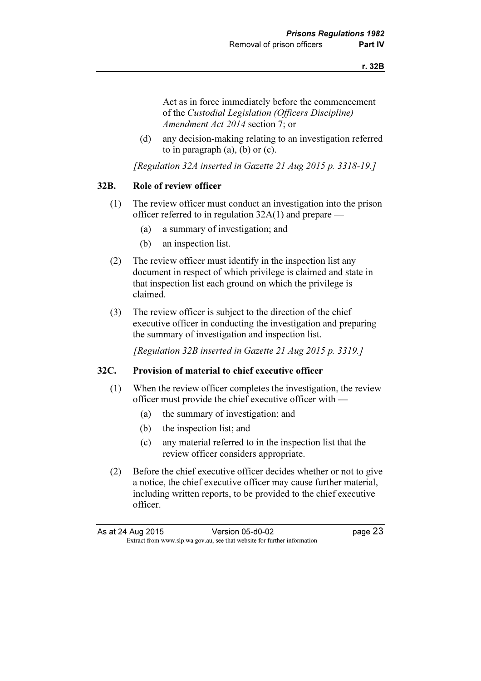Act as in force immediately before the commencement of the Custodial Legislation (Officers Discipline) Amendment Act 2014 section 7; or

 (d) any decision-making relating to an investigation referred to in paragraph (a), (b) or (c).

[Regulation 32A inserted in Gazette 21 Aug 2015 p. 3318-19.]

#### 32B. Role of review officer

- (1) The review officer must conduct an investigation into the prison officer referred to in regulation 32A(1) and prepare —
	- (a) a summary of investigation; and
	- (b) an inspection list.
- (2) The review officer must identify in the inspection list any document in respect of which privilege is claimed and state in that inspection list each ground on which the privilege is claimed.
- (3) The review officer is subject to the direction of the chief executive officer in conducting the investigation and preparing the summary of investigation and inspection list.

[Regulation 32B inserted in Gazette 21 Aug 2015 p. 3319.]

#### 32C. Provision of material to chief executive officer

- (1) When the review officer completes the investigation, the review officer must provide the chief executive officer with —
	- (a) the summary of investigation; and
	- (b) the inspection list; and
	- (c) any material referred to in the inspection list that the review officer considers appropriate.
- (2) Before the chief executive officer decides whether or not to give a notice, the chief executive officer may cause further material, including written reports, to be provided to the chief executive officer.

As at 24 Aug 2015 Version 05-d0-02 page 23  $\mathbf{F}$  from which we be the website for further information for further information  $\mathbf{F}$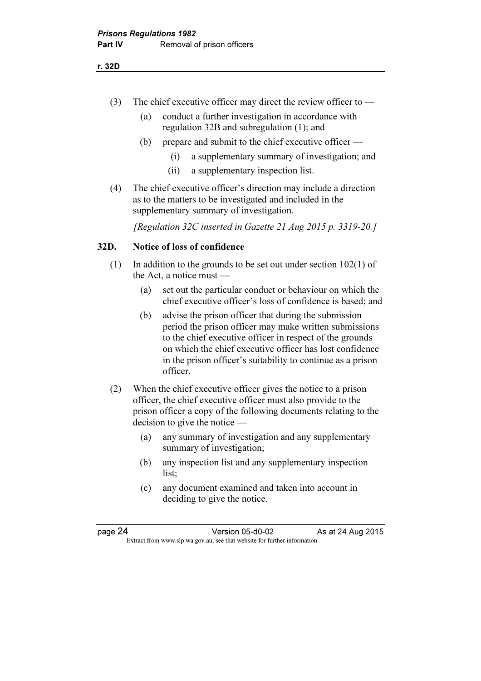- (3) The chief executive officer may direct the review officer to
	- (a) conduct a further investigation in accordance with regulation 32B and subregulation (1); and
	- (b) prepare and submit to the chief executive officer
		- (i) a supplementary summary of investigation; and
		- (ii) a supplementary inspection list.
- (4) The chief executive officer's direction may include a direction as to the matters to be investigated and included in the supplementary summary of investigation.

[Regulation 32C inserted in Gazette 21 Aug 2015 p. 3319-20.]

#### 32D. Notice of loss of confidence

- (1) In addition to the grounds to be set out under section 102(1) of the Act, a notice must —
	- (a) set out the particular conduct or behaviour on which the chief executive officer's loss of confidence is based; and
	- (b) advise the prison officer that during the submission period the prison officer may make written submissions to the chief executive officer in respect of the grounds on which the chief executive officer has lost confidence in the prison officer's suitability to continue as a prison officer.
- (2) When the chief executive officer gives the notice to a prison officer, the chief executive officer must also provide to the prison officer a copy of the following documents relating to the decision to give the notice —
	- (a) any summary of investigation and any supplementary summary of investigation;
	- (b) any inspection list and any supplementary inspection list;
	- (c) any document examined and taken into account in deciding to give the notice.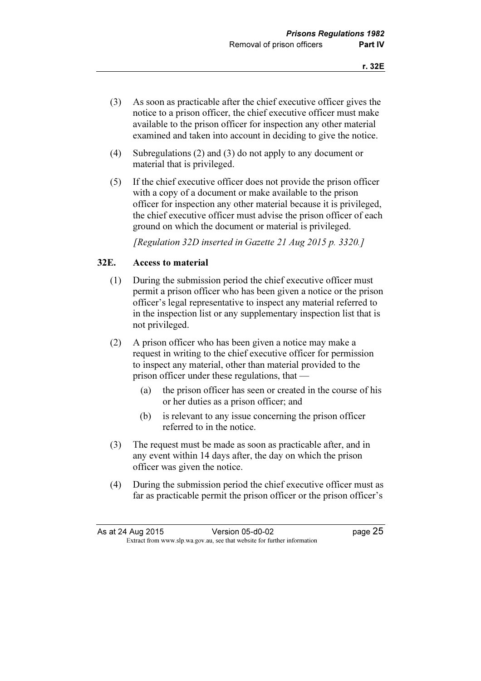- (3) As soon as practicable after the chief executive officer gives the notice to a prison officer, the chief executive officer must make available to the prison officer for inspection any other material examined and taken into account in deciding to give the notice.
- (4) Subregulations (2) and (3) do not apply to any document or material that is privileged.
- (5) If the chief executive officer does not provide the prison officer with a copy of a document or make available to the prison officer for inspection any other material because it is privileged, the chief executive officer must advise the prison officer of each ground on which the document or material is privileged.

[Regulation 32D inserted in Gazette 21 Aug 2015 p. 3320.]

#### 32E. Access to material

- (1) During the submission period the chief executive officer must permit a prison officer who has been given a notice or the prison officer's legal representative to inspect any material referred to in the inspection list or any supplementary inspection list that is not privileged.
- (2) A prison officer who has been given a notice may make a request in writing to the chief executive officer for permission to inspect any material, other than material provided to the prison officer under these regulations, that —
	- (a) the prison officer has seen or created in the course of his or her duties as a prison officer; and
	- (b) is relevant to any issue concerning the prison officer referred to in the notice.
- (3) The request must be made as soon as practicable after, and in any event within 14 days after, the day on which the prison officer was given the notice.
- (4) During the submission period the chief executive officer must as far as practicable permit the prison officer or the prison officer's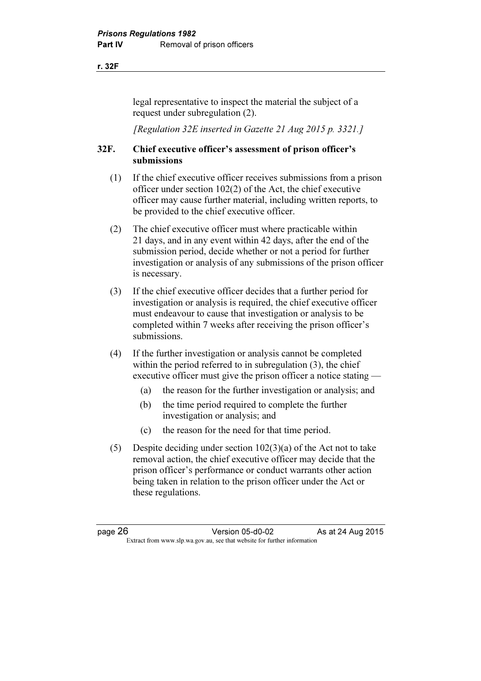r. 32F

legal representative to inspect the material the subject of a request under subregulation (2).

[Regulation 32E inserted in Gazette 21 Aug 2015 p. 3321.]

#### 32F. Chief executive officer's assessment of prison officer's submissions

- (1) If the chief executive officer receives submissions from a prison officer under section 102(2) of the Act, the chief executive officer may cause further material, including written reports, to be provided to the chief executive officer.
- (2) The chief executive officer must where practicable within 21 days, and in any event within 42 days, after the end of the submission period, decide whether or not a period for further investigation or analysis of any submissions of the prison officer is necessary.
- (3) If the chief executive officer decides that a further period for investigation or analysis is required, the chief executive officer must endeavour to cause that investigation or analysis to be completed within 7 weeks after receiving the prison officer's submissions.
- (4) If the further investigation or analysis cannot be completed within the period referred to in subregulation (3), the chief executive officer must give the prison officer a notice stating —
	- (a) the reason for the further investigation or analysis; and
	- (b) the time period required to complete the further investigation or analysis; and
	- (c) the reason for the need for that time period.
- (5) Despite deciding under section 102(3)(a) of the Act not to take removal action, the chief executive officer may decide that the prison officer's performance or conduct warrants other action being taken in relation to the prison officer under the Act or these regulations.

page 26 **Version 05-d0-02** As at 24 Aug 2015  $\mathbf{F}$  from which we be the website for further information for further information  $\mathbf{F}$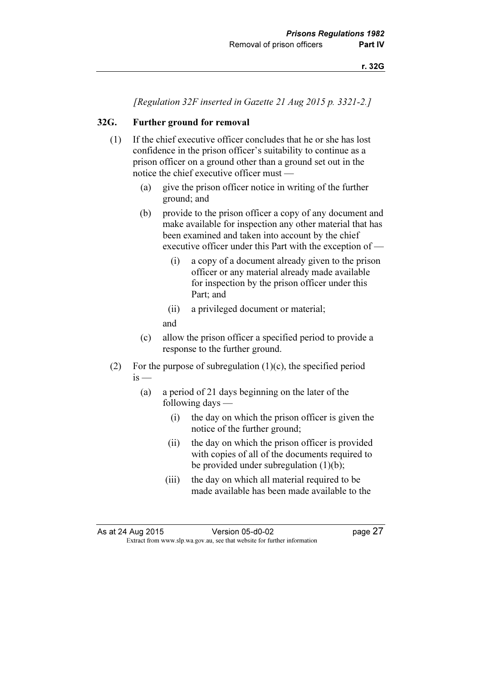[Regulation 32F inserted in Gazette 21 Aug 2015 p. 3321-2.]

# 32G. Further ground for removal

- (1) If the chief executive officer concludes that he or she has lost confidence in the prison officer's suitability to continue as a prison officer on a ground other than a ground set out in the notice the chief executive officer must —
	- (a) give the prison officer notice in writing of the further ground; and
	- (b) provide to the prison officer a copy of any document and make available for inspection any other material that has been examined and taken into account by the chief executive officer under this Part with the exception of —
		- (i) a copy of a document already given to the prison officer or any material already made available for inspection by the prison officer under this Part; and
		- (ii) a privileged document or material;

and

- (c) allow the prison officer a specified period to provide a response to the further ground.
- (2) For the purpose of subregulation  $(1)(c)$ , the specified period  $i<sub>s</sub>$ 
	- (a) a period of 21 days beginning on the later of the following days —
		- (i) the day on which the prison officer is given the notice of the further ground;
		- (ii) the day on which the prison officer is provided with copies of all of the documents required to be provided under subregulation (1)(b);
		- (iii) the day on which all material required to be made available has been made available to the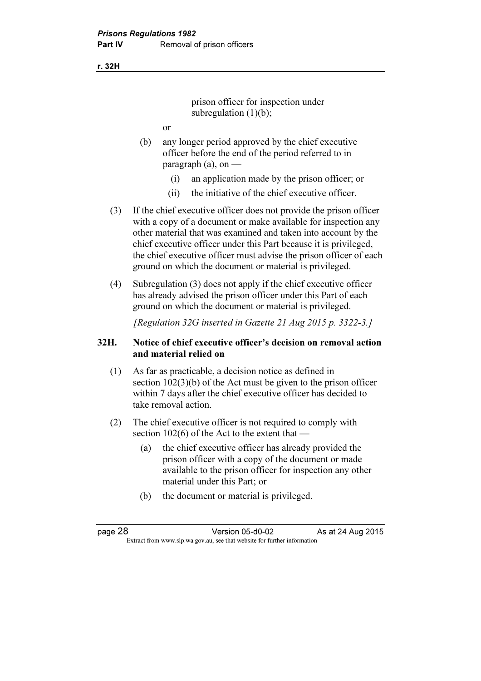r. 32H

prison officer for inspection under subregulation  $(1)(b)$ ;

- or
- (b) any longer period approved by the chief executive officer before the end of the period referred to in paragraph  $(a)$ , on —
	- (i) an application made by the prison officer; or
	- (ii) the initiative of the chief executive officer.
- (3) If the chief executive officer does not provide the prison officer with a copy of a document or make available for inspection any other material that was examined and taken into account by the chief executive officer under this Part because it is privileged, the chief executive officer must advise the prison officer of each ground on which the document or material is privileged.
- (4) Subregulation (3) does not apply if the chief executive officer has already advised the prison officer under this Part of each ground on which the document or material is privileged.

[Regulation 32G inserted in Gazette 21 Aug 2015 p. 3322-3.]

#### 32H. Notice of chief executive officer's decision on removal action and material relied on

- (1) As far as practicable, a decision notice as defined in section 102(3)(b) of the Act must be given to the prison officer within 7 days after the chief executive officer has decided to take removal action.
- (2) The chief executive officer is not required to comply with section 102(6) of the Act to the extent that —
	- (a) the chief executive officer has already provided the prison officer with a copy of the document or made available to the prison officer for inspection any other material under this Part; or
	- (b) the document or material is privileged.

page 28 **Version 05-d0-02** As at 24 Aug 2015  $\mathbf{F}$  from which we be the website for further information for further information  $\mathbf{F}$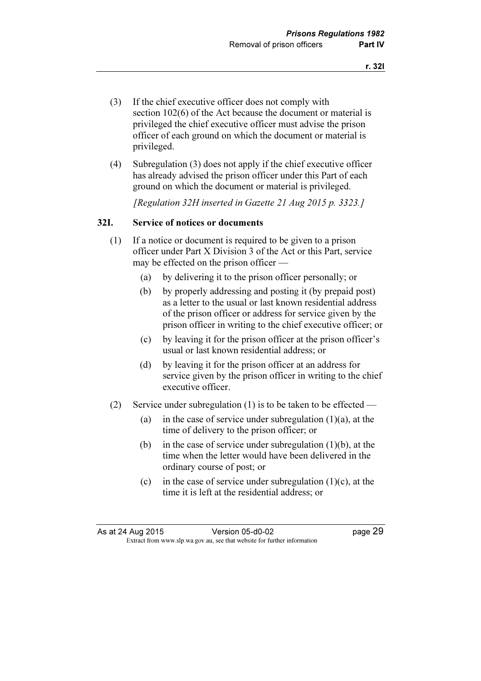- (3) If the chief executive officer does not comply with section 102(6) of the Act because the document or material is privileged the chief executive officer must advise the prison officer of each ground on which the document or material is privileged.
- (4) Subregulation (3) does not apply if the chief executive officer has already advised the prison officer under this Part of each ground on which the document or material is privileged.

[Regulation 32H inserted in Gazette 21 Aug 2015 p. 3323.]

#### 32I. Service of notices or documents

- (1) If a notice or document is required to be given to a prison officer under Part X Division 3 of the Act or this Part, service may be effected on the prison officer —
	- (a) by delivering it to the prison officer personally; or
	- (b) by properly addressing and posting it (by prepaid post) as a letter to the usual or last known residential address of the prison officer or address for service given by the prison officer in writing to the chief executive officer; or
	- (c) by leaving it for the prison officer at the prison officer's usual or last known residential address; or
	- (d) by leaving it for the prison officer at an address for service given by the prison officer in writing to the chief executive officer.
- (2) Service under subregulation (1) is to be taken to be effected
	- (a) in the case of service under subregulation  $(1)(a)$ , at the time of delivery to the prison officer; or
	- (b) in the case of service under subregulation  $(1)(b)$ , at the time when the letter would have been delivered in the ordinary course of post; or
	- (c) in the case of service under subregulation  $(1)(c)$ , at the time it is left at the residential address; or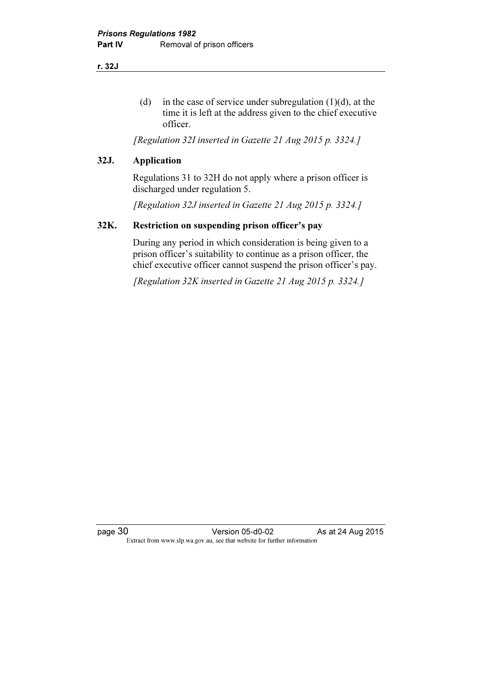r. 32J

(d) in the case of service under subregulation  $(1)(d)$ , at the time it is left at the address given to the chief executive officer.

[Regulation 32I inserted in Gazette 21 Aug 2015 p. 3324.]

#### 32J. Application

 Regulations 31 to 32H do not apply where a prison officer is discharged under regulation 5.

[Regulation 32J inserted in Gazette 21 Aug 2015 p. 3324.]

#### 32K. Restriction on suspending prison officer's pay

 During any period in which consideration is being given to a prison officer's suitability to continue as a prison officer, the chief executive officer cannot suspend the prison officer's pay.

[Regulation 32K inserted in Gazette 21 Aug 2015 p. 3324.]

page 30 **Version 05-d0-02** As at 24 Aug 2015 Extract from www.slp.wa.gov.au, see that website for further information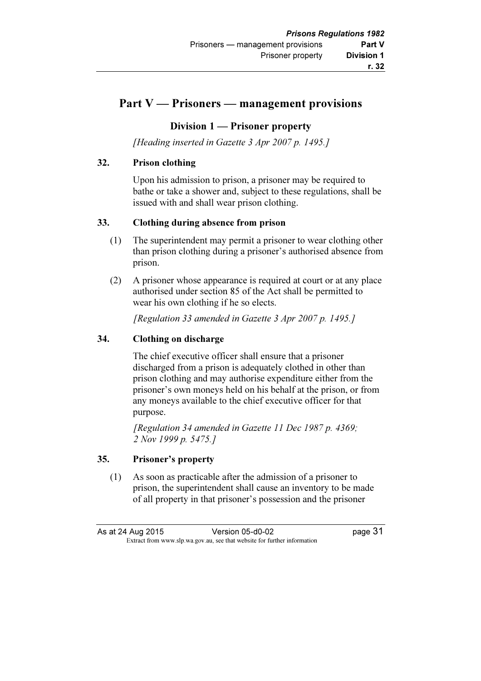# Part V — Prisoners — management provisions

#### Division 1 — Prisoner property

[Heading inserted in Gazette 3 Apr 2007 p. 1495.]

#### 32. Prison clothing

 Upon his admission to prison, a prisoner may be required to bathe or take a shower and, subject to these regulations, shall be issued with and shall wear prison clothing.

#### 33. Clothing during absence from prison

- (1) The superintendent may permit a prisoner to wear clothing other than prison clothing during a prisoner's authorised absence from prison.
- (2) A prisoner whose appearance is required at court or at any place authorised under section 85 of the Act shall be permitted to wear his own clothing if he so elects.

[Regulation 33 amended in Gazette 3 Apr 2007 p. 1495.]

#### 34. Clothing on discharge

 The chief executive officer shall ensure that a prisoner discharged from a prison is adequately clothed in other than prison clothing and may authorise expenditure either from the prisoner's own moneys held on his behalf at the prison, or from any moneys available to the chief executive officer for that purpose.

 [Regulation 34 amended in Gazette 11 Dec 1987 p. 4369; 2 Nov 1999 p. 5475.1

#### 35. Prisoner's property

 (1) As soon as practicable after the admission of a prisoner to prison, the superintendent shall cause an inventory to be made of all property in that prisoner's possession and the prisoner

As at 24 Aug 2015 Version 05-d0-02 page 31  $\mathbf{F}$  from which we be the website for further information for further information  $\mathbf{F}$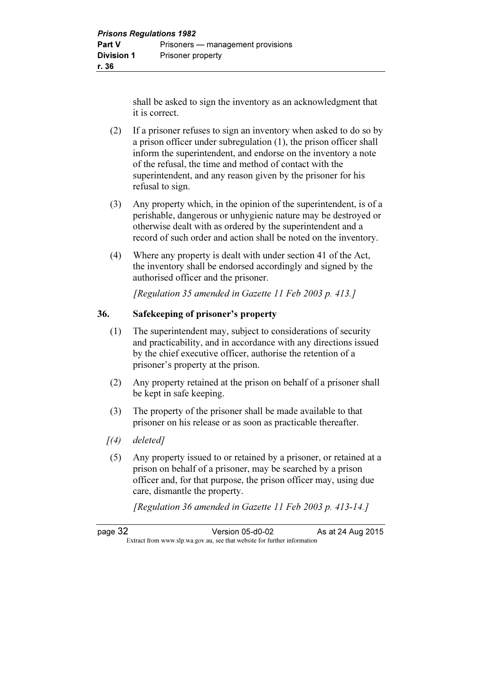shall be asked to sign the inventory as an acknowledgment that it is correct.

- (2) If a prisoner refuses to sign an inventory when asked to do so by a prison officer under subregulation (1), the prison officer shall inform the superintendent, and endorse on the inventory a note of the refusal, the time and method of contact with the superintendent, and any reason given by the prisoner for his refusal to sign.
- (3) Any property which, in the opinion of the superintendent, is of a perishable, dangerous or unhygienic nature may be destroyed or otherwise dealt with as ordered by the superintendent and a record of such order and action shall be noted on the inventory.
- (4) Where any property is dealt with under section 41 of the Act, the inventory shall be endorsed accordingly and signed by the authorised officer and the prisoner.

[Regulation 35 amended in Gazette 11 Feb 2003 p. 413.]

#### 36. Safekeeping of prisoner's property

- (1) The superintendent may, subject to considerations of security and practicability, and in accordance with any directions issued by the chief executive officer, authorise the retention of a prisoner's property at the prison.
- (2) Any property retained at the prison on behalf of a prisoner shall be kept in safe keeping.
- (3) The property of the prisoner shall be made available to that prisoner on his release or as soon as practicable thereafter.
- $(4)$  deleted]
- (5) Any property issued to or retained by a prisoner, or retained at a prison on behalf of a prisoner, may be searched by a prison officer and, for that purpose, the prison officer may, using due care, dismantle the property.

[Regulation 36 amended in Gazette 11 Feb 2003 p. 413-14.]

| page 32 | Version 05-d0-02                                                         | As at 24 Aug 2015 |
|---------|--------------------------------------------------------------------------|-------------------|
|         | Extract from www.slp.wa.gov.au, see that website for further information |                   |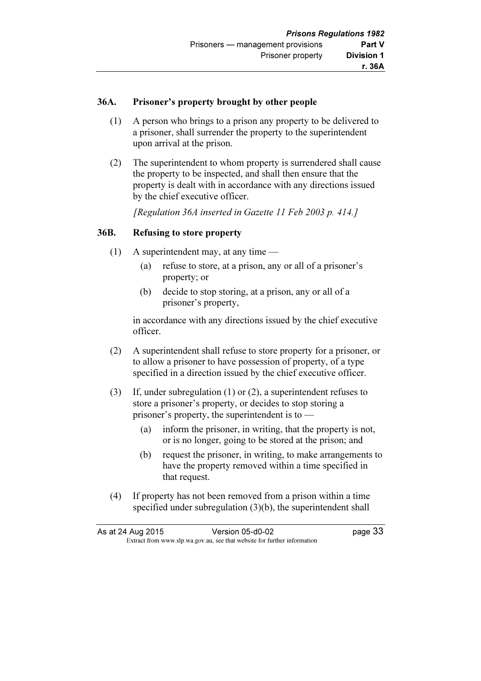#### 36A. Prisoner's property brought by other people

- (1) A person who brings to a prison any property to be delivered to a prisoner, shall surrender the property to the superintendent upon arrival at the prison.
- (2) The superintendent to whom property is surrendered shall cause the property to be inspected, and shall then ensure that the property is dealt with in accordance with any directions issued by the chief executive officer.

[Regulation 36A inserted in Gazette 11 Feb 2003 p. 414.]

#### 36B. Refusing to store property

- (1) A superintendent may, at any time
	- (a) refuse to store, at a prison, any or all of a prisoner's property; or
	- (b) decide to stop storing, at a prison, any or all of a prisoner's property,

 in accordance with any directions issued by the chief executive officer.

- (2) A superintendent shall refuse to store property for a prisoner, or to allow a prisoner to have possession of property, of a type specified in a direction issued by the chief executive officer.
- (3) If, under subregulation (1) or (2), a superintendent refuses to store a prisoner's property, or decides to stop storing a prisoner's property, the superintendent is to —
	- (a) inform the prisoner, in writing, that the property is not, or is no longer, going to be stored at the prison; and
	- (b) request the prisoner, in writing, to make arrangements to have the property removed within a time specified in that request.
- (4) If property has not been removed from a prison within a time specified under subregulation (3)(b), the superintendent shall

| As at 24 Aug 2015 | Version 05-d0-02                                                         | page 33 |
|-------------------|--------------------------------------------------------------------------|---------|
|                   | Extract from www.slp.wa.gov.au, see that website for further information |         |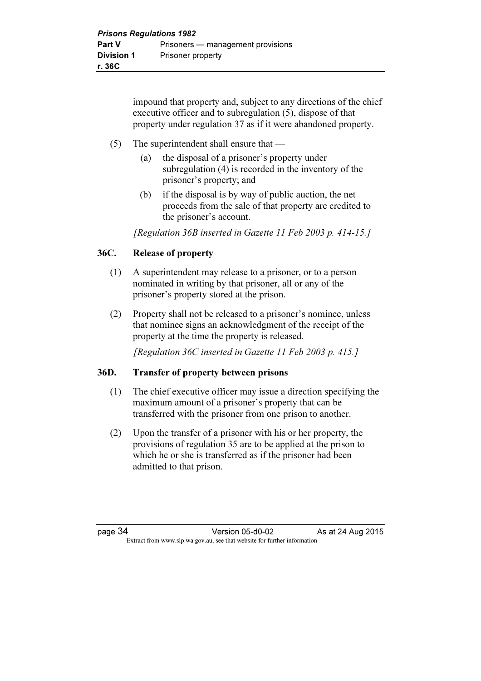impound that property and, subject to any directions of the chief executive officer and to subregulation (5), dispose of that property under regulation 37 as if it were abandoned property.

# (5) The superintendent shall ensure that —

- (a) the disposal of a prisoner's property under subregulation (4) is recorded in the inventory of the prisoner's property; and
- (b) if the disposal is by way of public auction, the net proceeds from the sale of that property are credited to the prisoner's account.

[Regulation 36B inserted in Gazette 11 Feb 2003 p. 414-15.]

# 36C. Release of property

- (1) A superintendent may release to a prisoner, or to a person nominated in writing by that prisoner, all or any of the prisoner's property stored at the prison.
- (2) Property shall not be released to a prisoner's nominee, unless that nominee signs an acknowledgment of the receipt of the property at the time the property is released.

[Regulation 36C inserted in Gazette 11 Feb 2003 p. 415.]

# 36D. Transfer of property between prisons

- (1) The chief executive officer may issue a direction specifying the maximum amount of a prisoner's property that can be transferred with the prisoner from one prison to another.
- (2) Upon the transfer of a prisoner with his or her property, the provisions of regulation 35 are to be applied at the prison to which he or she is transferred as if the prisoner had been admitted to that prison.

page 34 Version 05-d0-02 As at 24 Aug 2015  $\mathbf{F}$  from which we be the website for further information for further information  $\mathbf{F}$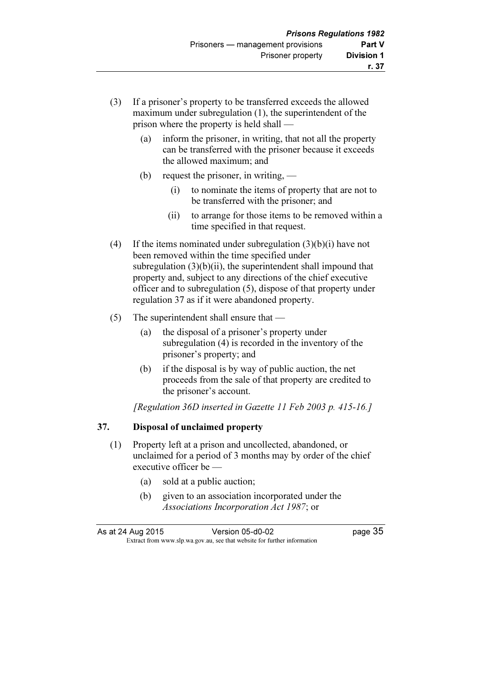- (3) If a prisoner's property to be transferred exceeds the allowed maximum under subregulation (1), the superintendent of the prison where the property is held shall —
	- (a) inform the prisoner, in writing, that not all the property can be transferred with the prisoner because it exceeds the allowed maximum; and
	- (b) request the prisoner, in writing,
		- (i) to nominate the items of property that are not to be transferred with the prisoner; and
		- (ii) to arrange for those items to be removed within a time specified in that request.
- (4) If the items nominated under subregulation  $(3)(b)(i)$  have not been removed within the time specified under subregulation  $(3)(b)(ii)$ , the superintendent shall impound that property and, subject to any directions of the chief executive officer and to subregulation (5), dispose of that property under regulation 37 as if it were abandoned property.
- (5) The superintendent shall ensure that
	- (a) the disposal of a prisoner's property under subregulation (4) is recorded in the inventory of the prisoner's property; and
	- (b) if the disposal is by way of public auction, the net proceeds from the sale of that property are credited to the prisoner's account.

[Regulation 36D inserted in Gazette 11 Feb 2003 p. 415-16.]

# 37. Disposal of unclaimed property

- (1) Property left at a prison and uncollected, abandoned, or unclaimed for a period of 3 months may by order of the chief executive officer be —
	- (a) sold at a public auction;
	- (b) given to an association incorporated under the Associations Incorporation Act 1987; or

As at 24 Aug 2015 Version 05-d0-02 page 35  $\mathbf{F}$  from which we be the website for further information for further information  $\mathbf{F}$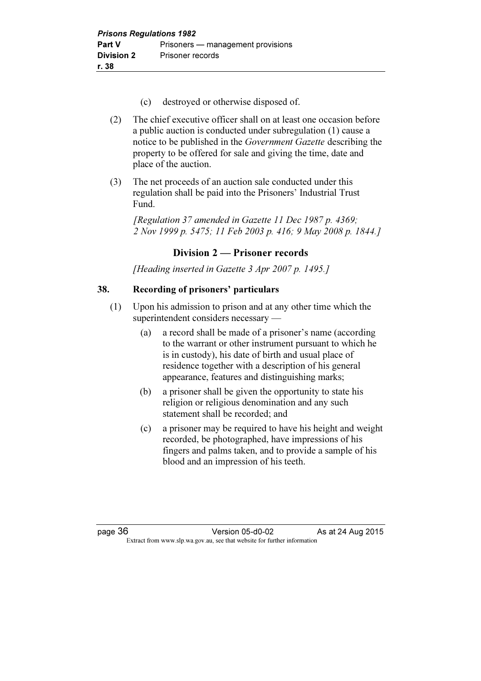- (c) destroyed or otherwise disposed of.
- (2) The chief executive officer shall on at least one occasion before a public auction is conducted under subregulation (1) cause a notice to be published in the Government Gazette describing the property to be offered for sale and giving the time, date and place of the auction.
- (3) The net proceeds of an auction sale conducted under this regulation shall be paid into the Prisoners' Industrial Trust Fund.

 [Regulation 37 amended in Gazette 11 Dec 1987 p. 4369; 2 Nov 1999 p. 5475; 11 Feb 2003 p. 416; 9 May 2008 p. 1844.]

# Division 2 — Prisoner records

[Heading inserted in Gazette 3 Apr 2007 p. 1495.]

# 38. Recording of prisoners' particulars

- (1) Upon his admission to prison and at any other time which the superintendent considers necessary —
	- (a) a record shall be made of a prisoner's name (according to the warrant or other instrument pursuant to which he is in custody), his date of birth and usual place of residence together with a description of his general appearance, features and distinguishing marks;
	- (b) a prisoner shall be given the opportunity to state his religion or religious denomination and any such statement shall be recorded; and
	- (c) a prisoner may be required to have his height and weight recorded, be photographed, have impressions of his fingers and palms taken, and to provide a sample of his blood and an impression of his teeth.

page 36 **Version 05-d0-02** As at 24 Aug 2015  $\mathbf{F}$  from which we be the website for further information for further information  $\mathbf{F}$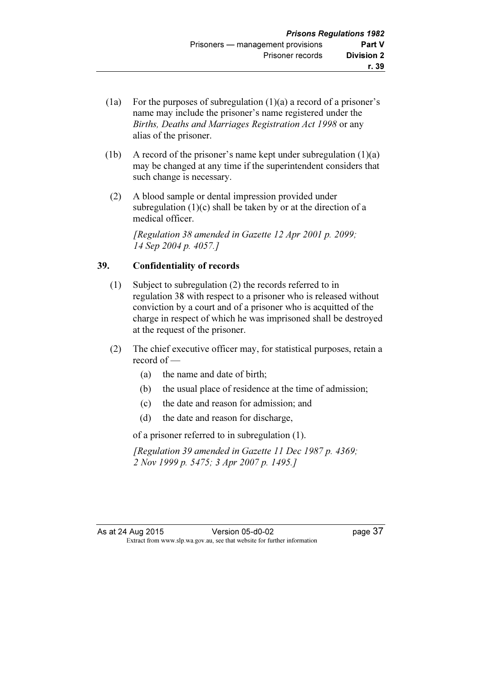- (1a) For the purposes of subregulation  $(1)(a)$  a record of a prisoner's name may include the prisoner's name registered under the Births, Deaths and Marriages Registration Act 1998 or any alias of the prisoner.
- (1b) A record of the prisoner's name kept under subregulation (1)(a) may be changed at any time if the superintendent considers that such change is necessary.
- (2) A blood sample or dental impression provided under subregulation  $(1)(c)$  shall be taken by or at the direction of a medical officer.

 [Regulation 38 amended in Gazette 12 Apr 2001 p. 2099; 14 Sep 2004 p. 4057.]

# 39. Confidentiality of records

- (1) Subject to subregulation (2) the records referred to in regulation 38 with respect to a prisoner who is released without conviction by a court and of a prisoner who is acquitted of the charge in respect of which he was imprisoned shall be destroyed at the request of the prisoner.
- (2) The chief executive officer may, for statistical purposes, retain a record of —
	- (a) the name and date of birth;
	- (b) the usual place of residence at the time of admission;
	- (c) the date and reason for admission; and
	- (d) the date and reason for discharge,

of a prisoner referred to in subregulation (1).

 [Regulation 39 amended in Gazette 11 Dec 1987 p. 4369; 2 Nov 1999 p. 5475; 3 Apr 2007 p. 1495.]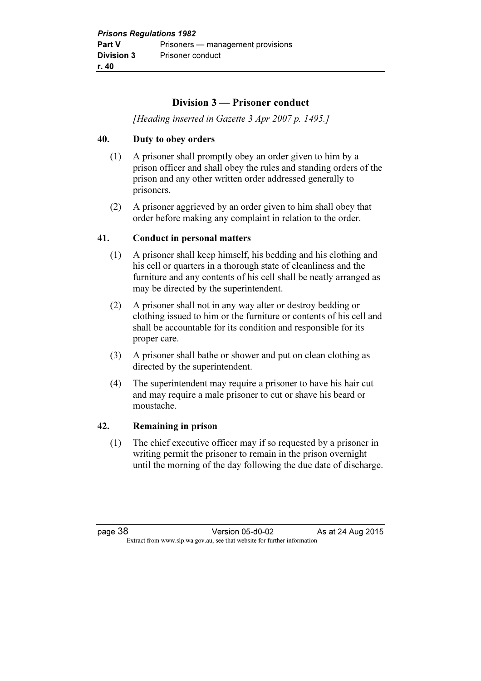# Division 3 — Prisoner conduct

[Heading inserted in Gazette 3 Apr 2007 p. 1495.]

# 40. Duty to obey orders

- (1) A prisoner shall promptly obey an order given to him by a prison officer and shall obey the rules and standing orders of the prison and any other written order addressed generally to prisoners.
- (2) A prisoner aggrieved by an order given to him shall obey that order before making any complaint in relation to the order.

#### 41. Conduct in personal matters

- (1) A prisoner shall keep himself, his bedding and his clothing and his cell or quarters in a thorough state of cleanliness and the furniture and any contents of his cell shall be neatly arranged as may be directed by the superintendent.
- (2) A prisoner shall not in any way alter or destroy bedding or clothing issued to him or the furniture or contents of his cell and shall be accountable for its condition and responsible for its proper care.
- (3) A prisoner shall bathe or shower and put on clean clothing as directed by the superintendent.
- (4) The superintendent may require a prisoner to have his hair cut and may require a male prisoner to cut or shave his beard or moustache.

#### 42. Remaining in prison

 (1) The chief executive officer may if so requested by a prisoner in writing permit the prisoner to remain in the prison overnight until the morning of the day following the due date of discharge.

page 38 Version 05-d0-02 As at 24 Aug 2015  $\mathbf{F}$  from which we be the website for further information for further information  $\mathbf{F}$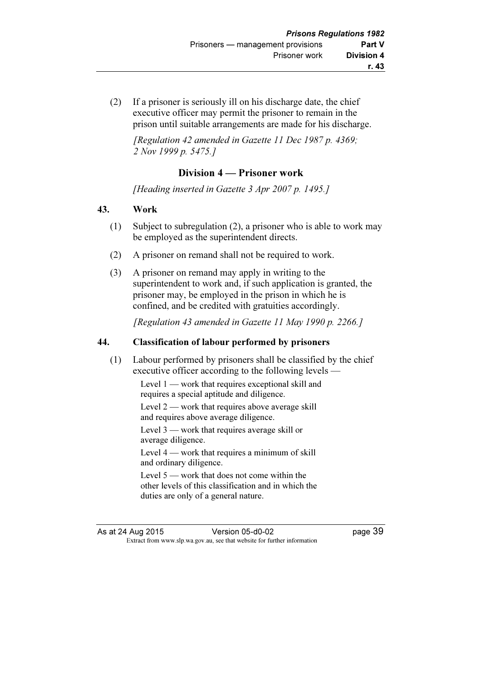(2) If a prisoner is seriously ill on his discharge date, the chief executive officer may permit the prisoner to remain in the prison until suitable arrangements are made for his discharge.

 $[Re$  guaranteed in Gazette 11 Dec 1987 p. 4369; 2 Nov 1999 p. 5475.1

# Division 4 — Prisoner work

[Heading inserted in Gazette 3 Apr 2007 p. 1495.]

#### 43. Work

- (1) Subject to subregulation (2), a prisoner who is able to work may be employed as the superintendent directs.
- (2) A prisoner on remand shall not be required to work.
- (3) A prisoner on remand may apply in writing to the superintendent to work and, if such application is granted, the prisoner may, be employed in the prison in which he is confined, and be credited with gratuities accordingly.

[Regulation 43 amended in Gazette 11 May 1990 p. 2266.]

# 44. Classification of labour performed by prisoners

 (1) Labour performed by prisoners shall be classified by the chief executive officer according to the following levels —

> Level 1 — work that requires exceptional skill and requires a special aptitude and diligence.

Level  $2$  — work that requires above average skill and requires above average diligence.

Level 3 — work that requires average skill or average diligence.

Level 4 — work that requires a minimum of skill and ordinary diligence.

Level 5 — work that does not come within the other levels of this classification and in which the duties are only of a general nature.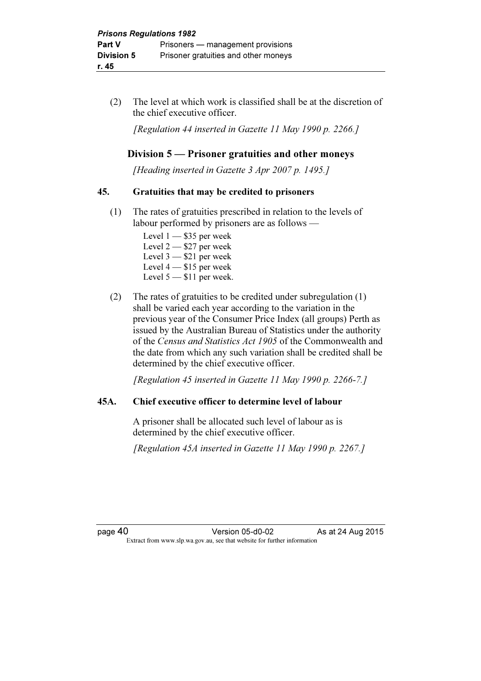(2) The level at which work is classified shall be at the discretion of the chief executive officer.

[Regulation 44 inserted in Gazette 11 May 1990 p. 2266.]

# Division 5 — Prisoner gratuities and other moneys

[Heading inserted in Gazette 3 Apr 2007 p. 1495.]

#### 45. Gratuities that may be credited to prisoners

- (1) The rates of gratuities prescribed in relation to the levels of labour performed by prisoners are as follows —
	- Level  $1 $35$  per week Level 2 — \$27 per week Level 3 — \$21 per week Level 4 — \$15 per week Level 5 - \$11 per week.
- (2) The rates of gratuities to be credited under subregulation (1) shall be varied each year according to the variation in the previous year of the Consumer Price Index (all groups) Perth as issued by the Australian Bureau of Statistics under the authority of the Census and Statistics Act 1905 of the Commonwealth and the date from which any such variation shall be credited shall be determined by the chief executive officer.

[Regulation 45 inserted in Gazette 11 May 1990 p. 2266-7.]

# 45A. Chief executive officer to determine level of labour

 A prisoner shall be allocated such level of labour as is determined by the chief executive officer.

[Regulation 45A inserted in Gazette 11 May 1990 p. 2267.]

page 40 Version 05-d0-02 As at 24 Aug 2015 Extract from www.slp.wa.gov.au, see that website for further information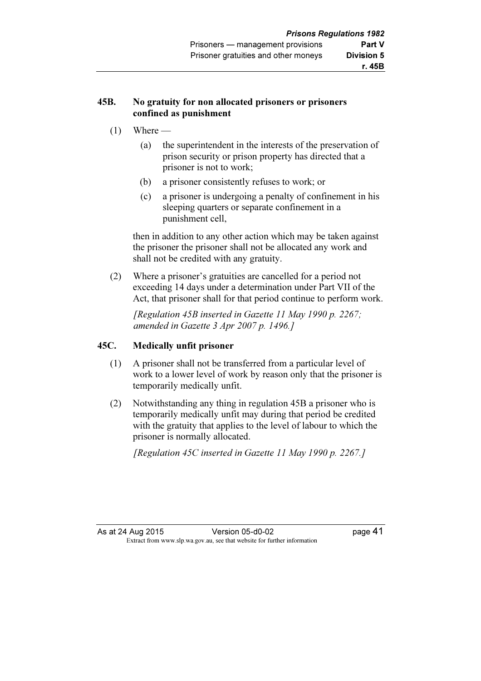#### 45B. No gratuity for non allocated prisoners or prisoners confined as punishment

- $(1)$  Where
	- (a) the superintendent in the interests of the preservation of prison security or prison property has directed that a prisoner is not to work;
	- (b) a prisoner consistently refuses to work; or
	- (c) a prisoner is undergoing a penalty of confinement in his sleeping quarters or separate confinement in a punishment cell,

 then in addition to any other action which may be taken against the prisoner the prisoner shall not be allocated any work and shall not be credited with any gratuity.

 (2) Where a prisoner's gratuities are cancelled for a period not exceeding 14 days under a determination under Part VII of the Act, that prisoner shall for that period continue to perform work.

 [Regulation 45B inserted in Gazette 11 May 1990 p. 2267; amended in Gazette 3 Apr 2007 p. 1496.]

# 45C. Medically unfit prisoner

- (1) A prisoner shall not be transferred from a particular level of work to a lower level of work by reason only that the prisoner is temporarily medically unfit.
- (2) Notwithstanding any thing in regulation 45B a prisoner who is temporarily medically unfit may during that period be credited with the gratuity that applies to the level of labour to which the prisoner is normally allocated.

[Regulation 45C inserted in Gazette 11 May 1990 p. 2267.]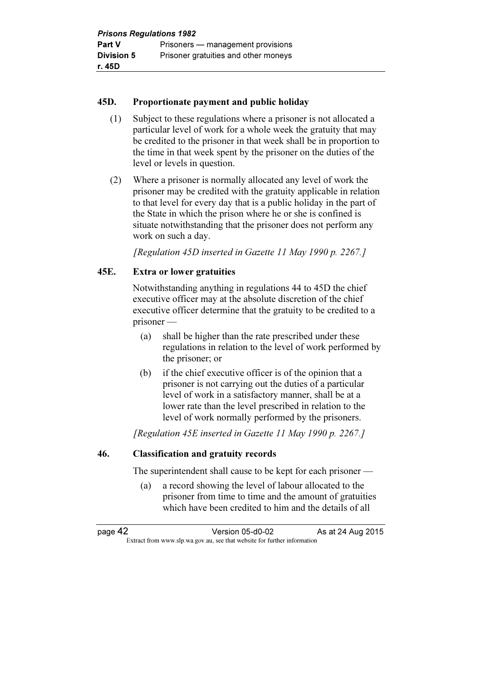# 45D. Proportionate payment and public holiday

- (1) Subject to these regulations where a prisoner is not allocated a particular level of work for a whole week the gratuity that may be credited to the prisoner in that week shall be in proportion to the time in that week spent by the prisoner on the duties of the level or levels in question.
- (2) Where a prisoner is normally allocated any level of work the prisoner may be credited with the gratuity applicable in relation to that level for every day that is a public holiday in the part of the State in which the prison where he or she is confined is situate notwithstanding that the prisoner does not perform any work on such a day.

[Regulation 45D inserted in Gazette 11 May 1990 p. 2267.]

# 45E. Extra or lower gratuities

 Notwithstanding anything in regulations 44 to 45D the chief executive officer may at the absolute discretion of the chief executive officer determine that the gratuity to be credited to a prisoner —

- (a) shall be higher than the rate prescribed under these regulations in relation to the level of work performed by the prisoner; or
- (b) if the chief executive officer is of the opinion that a prisoner is not carrying out the duties of a particular level of work in a satisfactory manner, shall be at a lower rate than the level prescribed in relation to the level of work normally performed by the prisoners.

[Regulation 45E inserted in Gazette 11 May 1990 p. 2267.]

# 46. Classification and gratuity records

The superintendent shall cause to be kept for each prisoner —

 (a) a record showing the level of labour allocated to the prisoner from time to time and the amount of gratuities which have been credited to him and the details of all

page 42 Version 05-d0-02 As at 24 Aug 2015  $\mathbf{F}$  from which we be the website for further information for further information  $\mathbf{F}$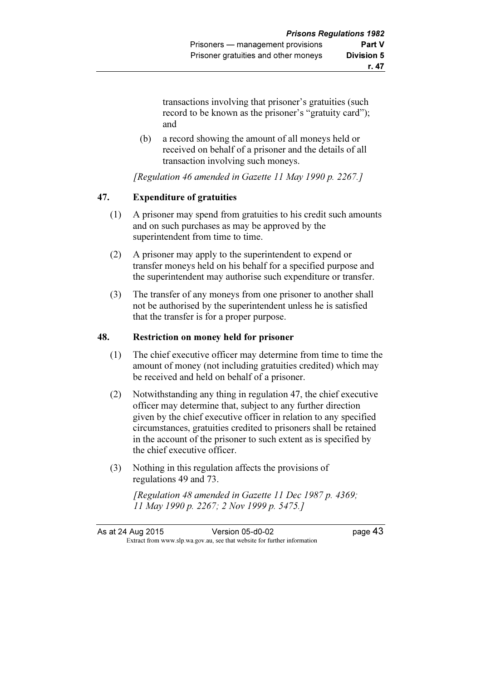transactions involving that prisoner's gratuities (such record to be known as the prisoner's "gratuity card"); and

 (b) a record showing the amount of all moneys held or received on behalf of a prisoner and the details of all transaction involving such moneys.

[Regulation 46 amended in Gazette 11 May 1990 p. 2267.]

# 47. Expenditure of gratuities

- (1) A prisoner may spend from gratuities to his credit such amounts and on such purchases as may be approved by the superintendent from time to time.
- (2) A prisoner may apply to the superintendent to expend or transfer moneys held on his behalf for a specified purpose and the superintendent may authorise such expenditure or transfer.
- (3) The transfer of any moneys from one prisoner to another shall not be authorised by the superintendent unless he is satisfied that the transfer is for a proper purpose.

# 48. Restriction on money held for prisoner

- (1) The chief executive officer may determine from time to time the amount of money (not including gratuities credited) which may be received and held on behalf of a prisoner.
- (2) Notwithstanding any thing in regulation 47, the chief executive officer may determine that, subject to any further direction given by the chief executive officer in relation to any specified circumstances, gratuities credited to prisoners shall be retained in the account of the prisoner to such extent as is specified by the chief executive officer.
- (3) Nothing in this regulation affects the provisions of regulations 49 and 73.

 [Regulation 48 amended in Gazette 11 Dec 1987 p. 4369; 11 May 1990 p. 2267; 2 Nov 1999 p. 5475.]

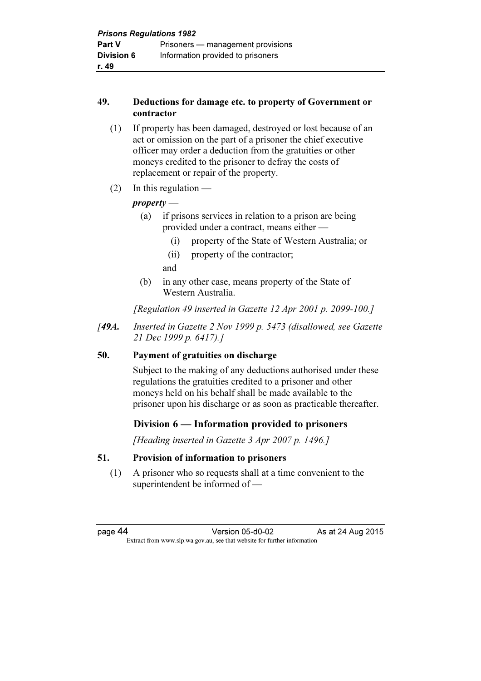#### 49. Deductions for damage etc. to property of Government or contractor

- (1) If property has been damaged, destroyed or lost because of an act or omission on the part of a prisoner the chief executive officer may order a deduction from the gratuities or other moneys credited to the prisoner to defray the costs of replacement or repair of the property.
- $(2)$  In this regulation —

# property —

- (a) if prisons services in relation to a prison are being provided under a contract, means either —
	- (i) property of the State of Western Australia; or
	- (ii) property of the contractor;
	- and
- (b) in any other case, means property of the State of Western Australia.

[Regulation 49 inserted in Gazette 12 Apr 2001 p. 2099-100.]

[49A. Inserted in Gazette 2 Nov 1999 p. 5473 (disallowed, see Gazette 21 Dec 1999 p. 6417).]

# 50. Payment of gratuities on discharge

 Subject to the making of any deductions authorised under these regulations the gratuities credited to a prisoner and other moneys held on his behalf shall be made available to the prisoner upon his discharge or as soon as practicable thereafter.

# Division 6 — Information provided to prisoners

[Heading inserted in Gazette 3 Apr 2007 p. 1496.]

# 51. Provision of information to prisoners

 (1) A prisoner who so requests shall at a time convenient to the superintendent be informed of —

page 44 Version 05-d0-02 As at 24 Aug 2015  $\mathbf{F}$  from which we be the website for further information for further information  $\mathbf{F}$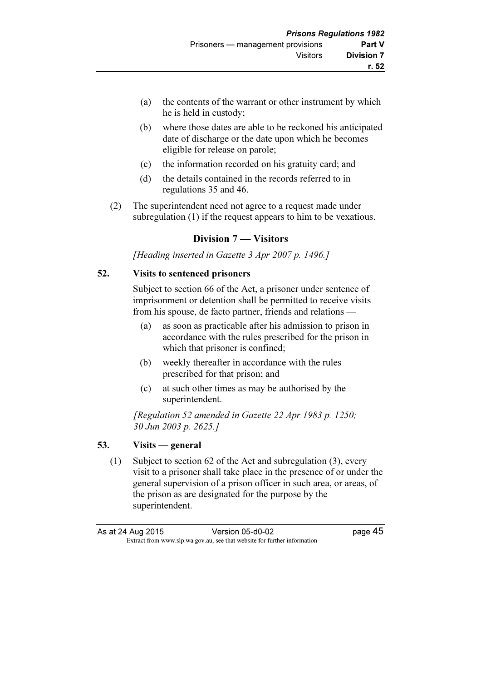- (a) the contents of the warrant or other instrument by which he is held in custody;
- (b) where those dates are able to be reckoned his anticipated date of discharge or the date upon which he becomes eligible for release on parole;
- (c) the information recorded on his gratuity card; and
- (d) the details contained in the records referred to in regulations 35 and 46.
- (2) The superintendent need not agree to a request made under subregulation (1) if the request appears to him to be vexatious.

# Division 7 — Visitors

[Heading inserted in Gazette 3 Apr 2007 p. 1496.]

#### 52. Visits to sentenced prisoners

 Subject to section 66 of the Act, a prisoner under sentence of imprisonment or detention shall be permitted to receive visits from his spouse, de facto partner, friends and relations —

- (a) as soon as practicable after his admission to prison in accordance with the rules prescribed for the prison in which that prisoner is confined;
- (b) weekly thereafter in accordance with the rules prescribed for that prison; and
- (c) at such other times as may be authorised by the superintendent.

[Regulation 52 amended in Gazette 22 Apr 1983 p. 1250; 30 Jun 2003 p. 2625.]

# 53. Visits — general

 (1) Subject to section 62 of the Act and subregulation (3), every visit to a prisoner shall take place in the presence of or under the general supervision of a prison officer in such area, or areas, of the prison as are designated for the purpose by the superintendent.

| As at 24 Aug 2015 | Version 05-d0-02                                                         | page 45 |
|-------------------|--------------------------------------------------------------------------|---------|
|                   | Extract from www.slp.wa.gov.au, see that website for further information |         |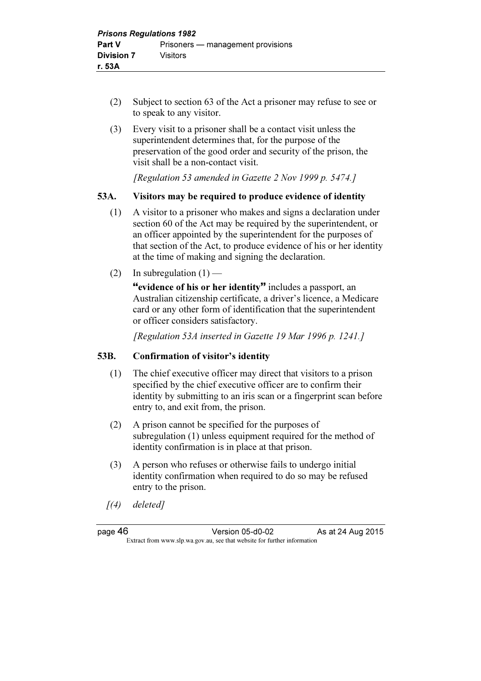- (2) Subject to section 63 of the Act a prisoner may refuse to see or to speak to any visitor.
- (3) Every visit to a prisoner shall be a contact visit unless the superintendent determines that, for the purpose of the preservation of the good order and security of the prison, the visit shall be a non-contact visit.

[Regulation 53 amended in Gazette 2 Nov 1999 p. 5474.]

# 53A. Visitors may be required to produce evidence of identity

- (1) A visitor to a prisoner who makes and signs a declaration under section 60 of the Act may be required by the superintendent, or an officer appointed by the superintendent for the purposes of that section of the Act, to produce evidence of his or her identity at the time of making and signing the declaration.
- (2) In subregulation  $(1)$  —

"evidence of his or her identity" includes a passport, an Australian citizenship certificate, a driver's licence, a Medicare card or any other form of identification that the superintendent or officer considers satisfactory.

[Regulation 53A inserted in Gazette 19 Mar 1996 p. 1241.]

# 53B. Confirmation of visitor's identity

- (1) The chief executive officer may direct that visitors to a prison specified by the chief executive officer are to confirm their identity by submitting to an iris scan or a fingerprint scan before entry to, and exit from, the prison.
- (2) A prison cannot be specified for the purposes of subregulation (1) unless equipment required for the method of identity confirmation is in place at that prison.
- (3) A person who refuses or otherwise fails to undergo initial identity confirmation when required to do so may be refused entry to the prison.
- $(4)$  deleted]

page 46 Version 05-d0-02 As at 24 Aug 2015  $\mathbf{F}$  from which we be the website for further information for further information  $\mathbf{F}$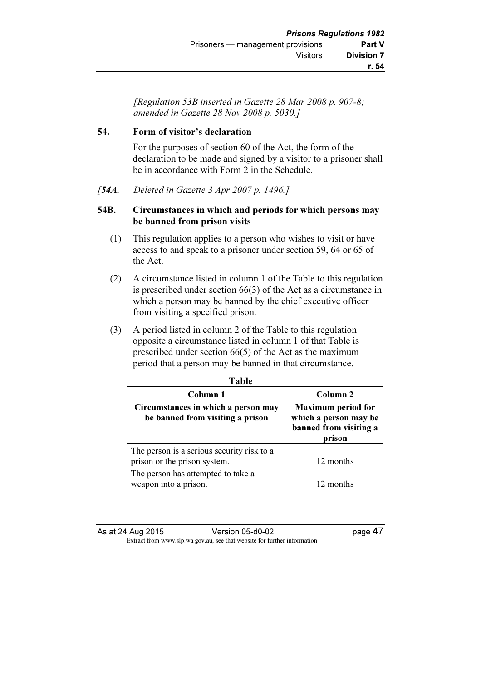[Regulation 53B inserted in Gazette 28 Mar 2008 p. 907-8; amended in Gazette 28 Nov 2008 p. 5030.]

# 54. Form of visitor's declaration

 For the purposes of section 60 of the Act, the form of the declaration to be made and signed by a visitor to a prisoner shall be in accordance with Form 2 in the Schedule.

[54A. Deleted in Gazette 3 Apr 2007 p. 1496.]

#### 54B. Circumstances in which and periods for which persons may be banned from prison visits

- (1) This regulation applies to a person who wishes to visit or have access to and speak to a prisoner under section 59, 64 or 65 of the Act.
- (2) A circumstance listed in column 1 of the Table to this regulation is prescribed under section 66(3) of the Act as a circumstance in which a person may be banned by the chief executive officer from visiting a specified prison.
- (3) A period listed in column 2 of the Table to this regulation opposite a circumstance listed in column 1 of that Table is prescribed under section 66(5) of the Act as the maximum period that a person may be banned in that circumstance.

| Table                                                                      |                                                                                        |  |
|----------------------------------------------------------------------------|----------------------------------------------------------------------------------------|--|
| Column 1                                                                   | Column <sub>2</sub>                                                                    |  |
| Circumstances in which a person may<br>be banned from visiting a prison    | <b>Maximum</b> period for<br>which a person may be<br>banned from visiting a<br>prison |  |
| The person is a serious security risk to a<br>prison or the prison system. | 12 months                                                                              |  |
| The person has attempted to take a<br>weapon into a prison.                | 12 months                                                                              |  |

As at 24 Aug 2015 Version 05-d0-02 page 47 Extract from www.slp.wa.gov.au, see that website for further information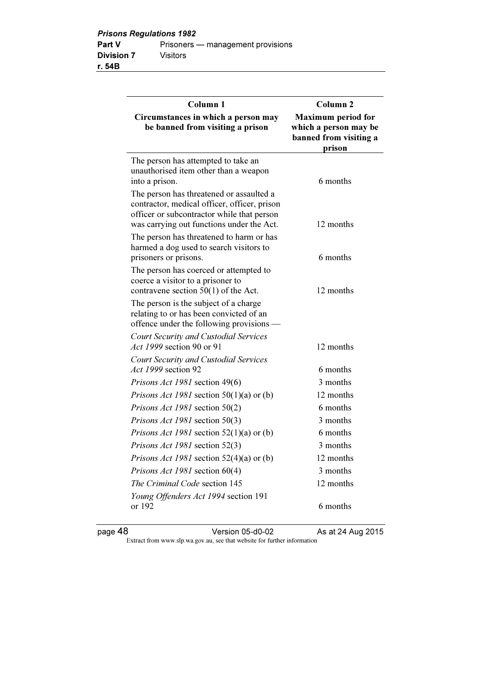| Column <sub>1</sub>                                                                                                                                                                 | Column <sub>2</sub>                                                                    |
|-------------------------------------------------------------------------------------------------------------------------------------------------------------------------------------|----------------------------------------------------------------------------------------|
| Circumstances in which a person may<br>be banned from visiting a prison                                                                                                             | <b>Maximum</b> period for<br>which a person may be<br>banned from visiting a<br>prison |
| The person has attempted to take an<br>unauthorised item other than a weapon<br>into a prison.                                                                                      | 6 months                                                                               |
| The person has threatened or assaulted a<br>contractor, medical officer, officer, prison<br>officer or subcontractor while that person<br>was carrying out functions under the Act. | 12 months                                                                              |
| The person has threatened to harm or has<br>harmed a dog used to search visitors to<br>prisoners or prisons.                                                                        | 6 months                                                                               |
| The person has coerced or attempted to<br>coerce a visitor to a prisoner to<br>contravene section $50(1)$ of the Act.                                                               | 12 months                                                                              |
| The person is the subject of a charge<br>relating to or has been convicted of an<br>offence under the following provisions —                                                        |                                                                                        |
| <b>Court Security and Custodial Services</b><br>Act 1999 section 90 or 91                                                                                                           | 12 months                                                                              |
| <b>Court Security and Custodial Services</b><br>Act 1999 section 92                                                                                                                 | 6 months                                                                               |
| Prisons Act 1981 section 49(6)                                                                                                                                                      | 3 months                                                                               |
| <i>Prisons Act 1981</i> section 50(1)(a) or (b)                                                                                                                                     | 12 months                                                                              |
| Prisons Act 1981 section 50(2)                                                                                                                                                      | 6 months                                                                               |
| Prisons Act 1981 section 50(3)                                                                                                                                                      | 3 months                                                                               |
| <i>Prisons Act 1981</i> section $52(1)(a)$ or (b)                                                                                                                                   | 6 months                                                                               |
| Prisons Act 1981 section 52(3)                                                                                                                                                      | 3 months                                                                               |
| <i>Prisons Act 1981</i> section $52(4)(a)$ or (b)                                                                                                                                   | 12 months                                                                              |
| Prisons Act 1981 section 60(4)                                                                                                                                                      | 3 months                                                                               |
| <i>The Criminal Code section 145</i>                                                                                                                                                | 12 months                                                                              |
| Young Offenders Act 1994 section 191<br>or 192                                                                                                                                      | 6 months                                                                               |

page 48 Version 05-d0-02 As at 24 Aug 2015

Extract from www.slp.wa.gov.au, see that website for further information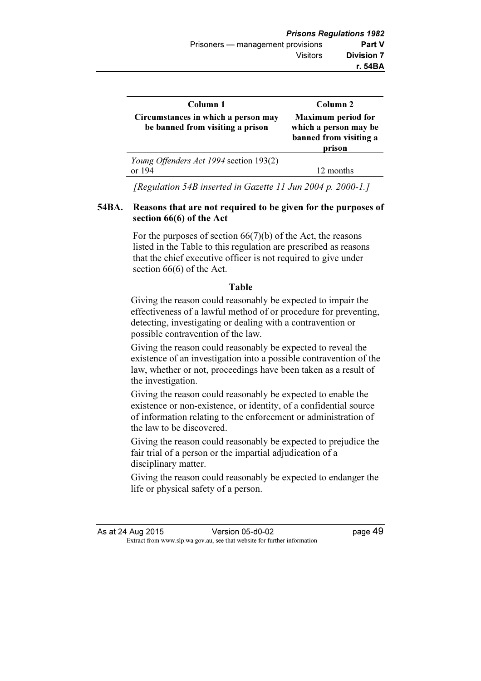| Column 1                                                                | Column 2                                                                               |
|-------------------------------------------------------------------------|----------------------------------------------------------------------------------------|
| Circumstances in which a person may<br>be banned from visiting a prison | <b>Maximum</b> period for<br>which a person may be<br>banned from visiting a<br>prison |
| Young Offenders Act 1994 section 193(2)<br>or $194$                     | 12 months                                                                              |

[Regulation 54B inserted in Gazette 11 Jun 2004 p. 2000-1.]

#### 54BA. Reasons that are not required to be given for the purposes of section 66(6) of the Act

 For the purposes of section 66(7)(b) of the Act, the reasons listed in the Table to this regulation are prescribed as reasons that the chief executive officer is not required to give under section 66(6) of the Act.

# Table

Giving the reason could reasonably be expected to impair the effectiveness of a lawful method of or procedure for preventing, detecting, investigating or dealing with a contravention or possible contravention of the law.

Giving the reason could reasonably be expected to reveal the existence of an investigation into a possible contravention of the law, whether or not, proceedings have been taken as a result of the investigation.

Giving the reason could reasonably be expected to enable the existence or non-existence, or identity, of a confidential source of information relating to the enforcement or administration of the law to be discovered.

Giving the reason could reasonably be expected to prejudice the fair trial of a person or the impartial adjudication of a disciplinary matter.

Giving the reason could reasonably be expected to endanger the life or physical safety of a person.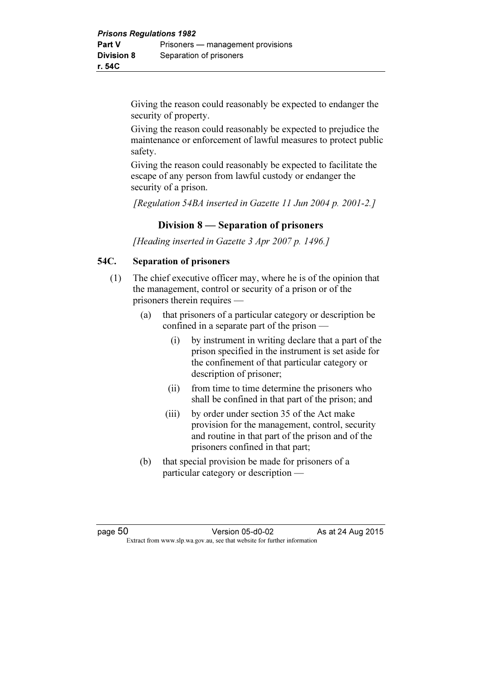Giving the reason could reasonably be expected to endanger the security of property.

Giving the reason could reasonably be expected to prejudice the maintenance or enforcement of lawful measures to protect public safety.

Giving the reason could reasonably be expected to facilitate the escape of any person from lawful custody or endanger the security of a prison.

[Regulation 54BA inserted in Gazette 11 Jun 2004 p. 2001-2.]

# Division 8 — Separation of prisoners

[Heading inserted in Gazette 3 Apr 2007 p. 1496.]

# 54C. Separation of prisoners

- (1) The chief executive officer may, where he is of the opinion that the management, control or security of a prison or of the prisoners therein requires —
	- (a) that prisoners of a particular category or description be confined in a separate part of the prison —
		- (i) by instrument in writing declare that a part of the prison specified in the instrument is set aside for the confinement of that particular category or description of prisoner;
		- (ii) from time to time determine the prisoners who shall be confined in that part of the prison; and
		- (iii) by order under section 35 of the Act make provision for the management, control, security and routine in that part of the prison and of the prisoners confined in that part;
	- (b) that special provision be made for prisoners of a particular category or description —

page 50 **Version 05-d0-02** As at 24 Aug 2015  $\mathbf{F}$  from which we be the website for further information for further information  $\mathbf{F}$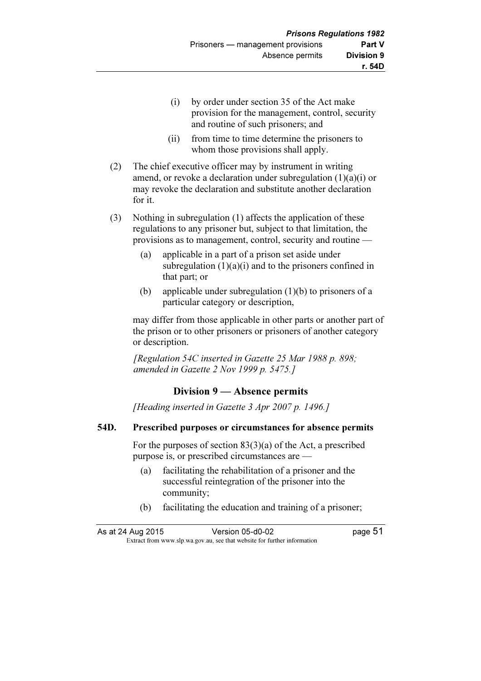- (i) by order under section 35 of the Act make provision for the management, control, security and routine of such prisoners; and
- (ii) from time to time determine the prisoners to whom those provisions shall apply.
- (2) The chief executive officer may by instrument in writing amend, or revoke a declaration under subregulation  $(1)(a)(i)$  or may revoke the declaration and substitute another declaration for it.
- (3) Nothing in subregulation (1) affects the application of these regulations to any prisoner but, subject to that limitation, the provisions as to management, control, security and routine —
	- (a) applicable in a part of a prison set aside under subregulation  $(1)(a)(i)$  and to the prisoners confined in that part; or
	- (b) applicable under subregulation (1)(b) to prisoners of a particular category or description,

 may differ from those applicable in other parts or another part of the prison or to other prisoners or prisoners of another category or description.

 [Regulation 54C inserted in Gazette 25 Mar 1988 p. 898; amended in Gazette 2 Nov 1999 p. 5475.]

# Division 9 — Absence permits

[Heading inserted in Gazette 3 Apr 2007 p. 1496.]

#### 54D. Prescribed purposes or circumstances for absence permits

 For the purposes of section 83(3)(a) of the Act, a prescribed purpose is, or prescribed circumstances are —

- (a) facilitating the rehabilitation of a prisoner and the successful reintegration of the prisoner into the community;
- (b) facilitating the education and training of a prisoner;

As at 24 Aug 2015 Version 05-d0-02 page 51  $\mathbf{F}$  from which we be the website for further information for further information  $\mathbf{F}$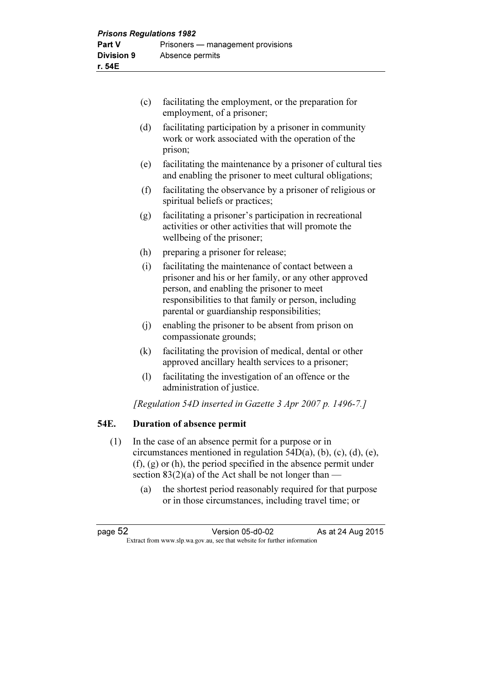|      | (c) | facilitating the employment, or the preparation for<br>employment, of a prisoner;                                                                                                                                                                             |
|------|-----|---------------------------------------------------------------------------------------------------------------------------------------------------------------------------------------------------------------------------------------------------------------|
|      | (d) | facilitating participation by a prisoner in community<br>work or work associated with the operation of the<br>prison;                                                                                                                                         |
|      | (e) | facilitating the maintenance by a prisoner of cultural ties<br>and enabling the prisoner to meet cultural obligations;                                                                                                                                        |
|      | (f) | facilitating the observance by a prisoner of religious or<br>spiritual beliefs or practices;                                                                                                                                                                  |
|      | (g) | facilitating a prisoner's participation in recreational<br>activities or other activities that will promote the<br>wellbeing of the prisoner;                                                                                                                 |
|      | (h) | preparing a prisoner for release;                                                                                                                                                                                                                             |
|      | (i) | facilitating the maintenance of contact between a<br>prisoner and his or her family, or any other approved<br>person, and enabling the prisoner to meet<br>responsibilities to that family or person, including<br>parental or guardianship responsibilities; |
|      | (j) | enabling the prisoner to be absent from prison on<br>compassionate grounds;                                                                                                                                                                                   |
|      | (k) | facilitating the provision of medical, dental or other<br>approved ancillary health services to a prisoner;                                                                                                                                                   |
|      | (1) | facilitating the investigation of an offence or the<br>administration of justice.                                                                                                                                                                             |
|      |     | [Regulation 54D inserted in Gazette 3 Apr 2007 p. 1496-7.]                                                                                                                                                                                                    |
| 54E. |     | <b>Duration of absence permit</b>                                                                                                                                                                                                                             |

- (1) In the case of an absence permit for a purpose or in circumstances mentioned in regulation 54D(a), (b), (c), (d), (e), (f), (g) or (h), the period specified in the absence permit under section 83(2)(a) of the Act shall be not longer than —
	- (a) the shortest period reasonably required for that purpose or in those circumstances, including travel time; or

page 52 Version 05-d0-02 As at 24 Aug 2015 Extract from www.slp.wa.gov.au, see that website for further information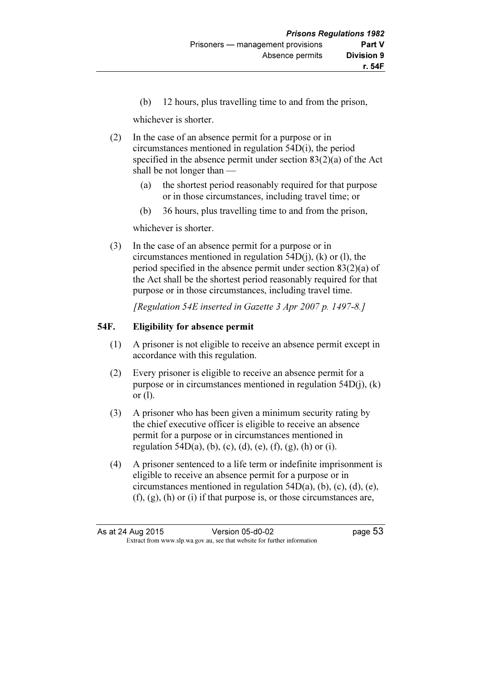(b) 12 hours, plus travelling time to and from the prison,

whichever is shorter.

- (2) In the case of an absence permit for a purpose or in circumstances mentioned in regulation 54D(i), the period specified in the absence permit under section 83(2)(a) of the Act shall be not longer than —
	- (a) the shortest period reasonably required for that purpose or in those circumstances, including travel time; or
	- (b) 36 hours, plus travelling time to and from the prison,

whichever is shorter.

 (3) In the case of an absence permit for a purpose or in circumstances mentioned in regulation  $54D(i)$ , (k) or (l), the period specified in the absence permit under section 83(2)(a) of the Act shall be the shortest period reasonably required for that purpose or in those circumstances, including travel time.

[Regulation 54E inserted in Gazette 3 Apr 2007 p. 1497-8.]

#### 54F. Eligibility for absence permit

- (1) A prisoner is not eligible to receive an absence permit except in accordance with this regulation.
- (2) Every prisoner is eligible to receive an absence permit for a purpose or in circumstances mentioned in regulation 54D(j), (k) or (l).
- (3) A prisoner who has been given a minimum security rating by the chief executive officer is eligible to receive an absence permit for a purpose or in circumstances mentioned in regulation 54D(a), (b), (c), (d), (e), (f), (g), (h) or (i).
- (4) A prisoner sentenced to a life term or indefinite imprisonment is eligible to receive an absence permit for a purpose or in circumstances mentioned in regulation 54D(a), (b), (c), (d), (e),  $(f)$ ,  $(g)$ ,  $(h)$  or  $(i)$  if that purpose is, or those circumstances are,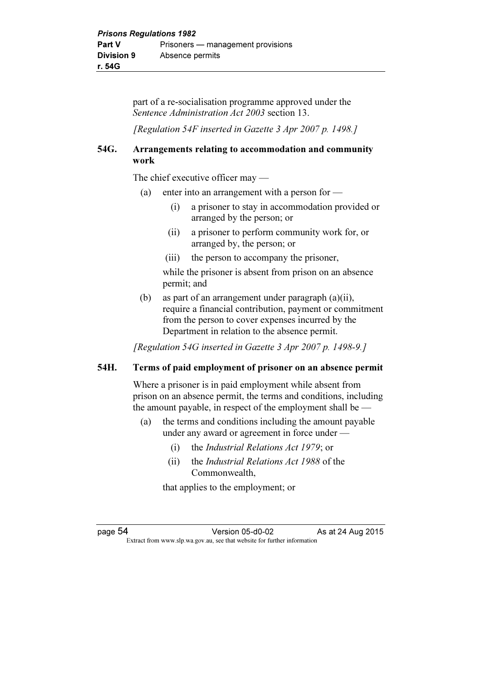part of a re-socialisation programme approved under the Sentence Administration Act 2003 section 13.

[Regulation 54F inserted in Gazette 3 Apr 2007 p. 1498.]

# 54G. Arrangements relating to accommodation and community work

The chief executive officer may —

- (a) enter into an arrangement with a person for
	- (i) a prisoner to stay in accommodation provided or arranged by the person; or
	- (ii) a prisoner to perform community work for, or arranged by, the person; or
	- (iii) the person to accompany the prisoner,

while the prisoner is absent from prison on an absence permit; and

 (b) as part of an arrangement under paragraph (a)(ii), require a financial contribution, payment or commitment from the person to cover expenses incurred by the Department in relation to the absence permit.

[Regulation 54G inserted in Gazette 3 Apr 2007 p. 1498-9.]

# 54H. Terms of paid employment of prisoner on an absence permit

 Where a prisoner is in paid employment while absent from prison on an absence permit, the terms and conditions, including the amount payable, in respect of the employment shall be —

- (a) the terms and conditions including the amount payable under any award or agreement in force under —
	- (i) the Industrial Relations Act 1979; or
	- (ii) the Industrial Relations Act 1988 of the Commonwealth,

that applies to the employment; or

page 54 Version 05-d0-02 As at 24 Aug 2015  $\mathbf{F}$  from which we be the website for further information for further information  $\mathbf{F}$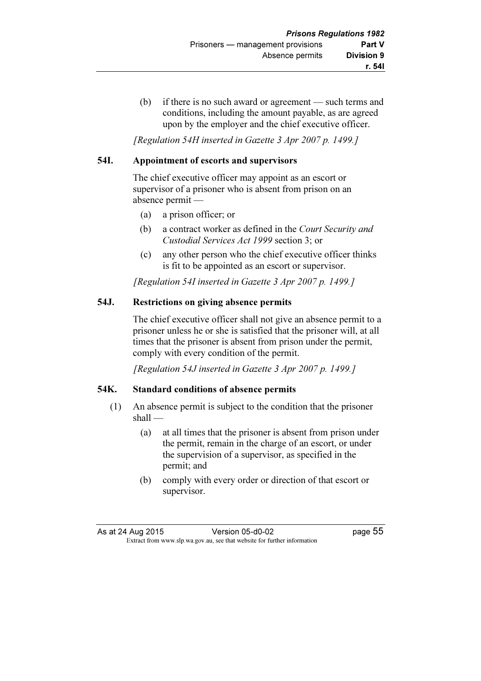(b) if there is no such award or agreement — such terms and conditions, including the amount payable, as are agreed upon by the employer and the chief executive officer.

[Regulation 54H inserted in Gazette 3 Apr 2007 p. 1499.]

# 54I. Appointment of escorts and supervisors

 The chief executive officer may appoint as an escort or supervisor of a prisoner who is absent from prison on an absence permit —

- (a) a prison officer; or
- (b) a contract worker as defined in the Court Security and Custodial Services Act 1999 section 3; or
- (c) any other person who the chief executive officer thinks is fit to be appointed as an escort or supervisor.

[Regulation 54I inserted in Gazette 3 Apr 2007 p. 1499.]

# 54J. Restrictions on giving absence permits

 The chief executive officer shall not give an absence permit to a prisoner unless he or she is satisfied that the prisoner will, at all times that the prisoner is absent from prison under the permit, comply with every condition of the permit.

[Regulation 54J inserted in Gazette 3 Apr 2007 p. 1499.]

# 54K. Standard conditions of absence permits

- (1) An absence permit is subject to the condition that the prisoner shall —
	- (a) at all times that the prisoner is absent from prison under the permit, remain in the charge of an escort, or under the supervision of a supervisor, as specified in the permit; and
	- (b) comply with every order or direction of that escort or supervisor.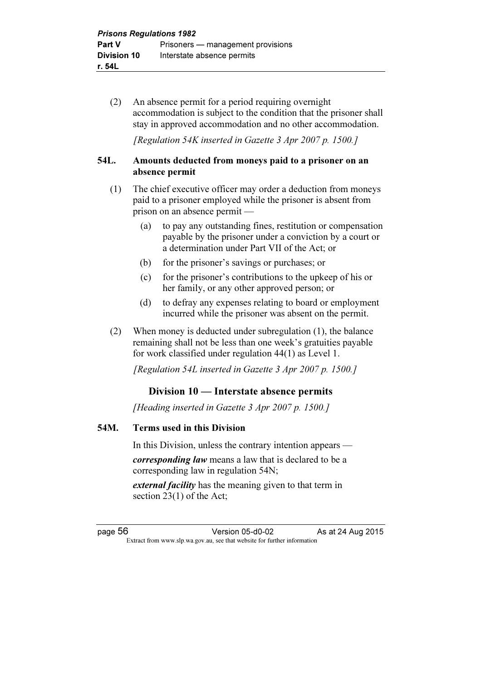(2) An absence permit for a period requiring overnight accommodation is subject to the condition that the prisoner shall stay in approved accommodation and no other accommodation.

[Regulation 54K inserted in Gazette 3 Apr 2007 p. 1500.]

#### 54L. Amounts deducted from moneys paid to a prisoner on an absence permit

- (1) The chief executive officer may order a deduction from moneys paid to a prisoner employed while the prisoner is absent from prison on an absence permit —
	- (a) to pay any outstanding fines, restitution or compensation payable by the prisoner under a conviction by a court or a determination under Part VII of the Act; or
	- (b) for the prisoner's savings or purchases; or
	- (c) for the prisoner's contributions to the upkeep of his or her family, or any other approved person; or
	- (d) to defray any expenses relating to board or employment incurred while the prisoner was absent on the permit.
- (2) When money is deducted under subregulation (1), the balance remaining shall not be less than one week's gratuities payable for work classified under regulation 44(1) as Level 1.

[Regulation 54L inserted in Gazette 3 Apr 2007 p. 1500.]

# Division 10 — Interstate absence permits

[Heading inserted in Gazette 3 Apr 2007 p. 1500.]

#### 54M. Terms used in this Division

In this Division, unless the contrary intention appears —

corresponding law means a law that is declared to be a corresponding law in regulation 54N;

external facility has the meaning given to that term in section 23(1) of the Act;

page 56 Version 05-d0-02 As at 24 Aug 2015  $\mathbf{F}$  from which we be the website for further information for further information  $\mathbf{F}$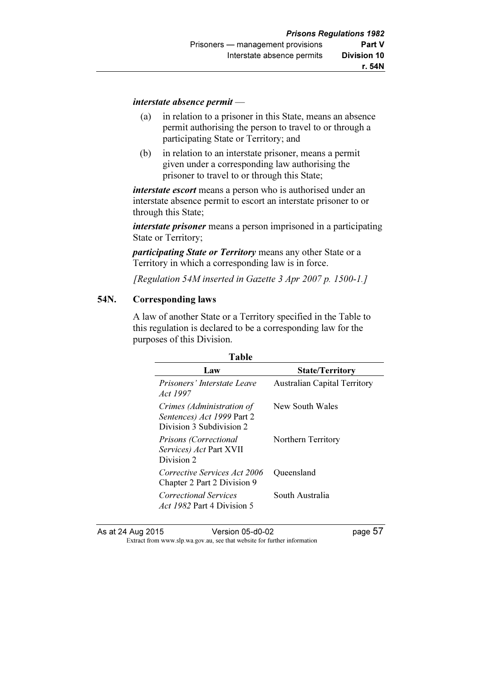#### interstate absence permit —

- (a) in relation to a prisoner in this State, means an absence permit authorising the person to travel to or through a participating State or Territory; and
- (b) in relation to an interstate prisoner, means a permit given under a corresponding law authorising the prisoner to travel to or through this State;

*interstate escort* means a person who is authorised under an interstate absence permit to escort an interstate prisoner to or through this State;

*interstate prisoner* means a person imprisoned in a participating State or Territory;

participating State or Territory means any other State or a Territory in which a corresponding law is in force.

[Regulation 54M inserted in Gazette 3 Apr 2007 p. 1500-1.]

#### 54N. Corresponding laws

 A law of another State or a Territory specified in the Table to this regulation is declared to be a corresponding law for the purposes of this Division.

| Table                               |  |
|-------------------------------------|--|
| <b>State/Territory</b>              |  |
| <b>Australian Capital Territory</b> |  |
| New South Wales                     |  |
| Northern Territory                  |  |
| Queensland                          |  |
| South Australia                     |  |
|                                     |  |

As at 24 Aug 2015<br>Extract from www.slp.wa.gov.au, see that website for further information<br>Extract from www.slp.wa.gov.au, see that website for further information  $\mathbf{F}$  from which we be the website for further information for further information  $\mathbf{F}$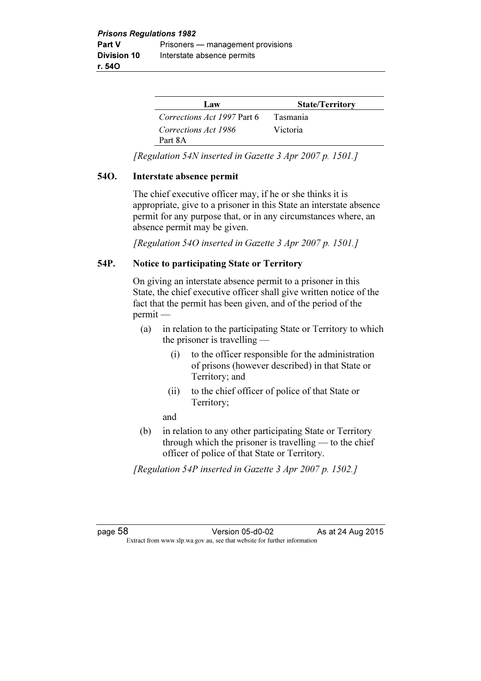| Law                         | <b>State/Territory</b> |
|-----------------------------|------------------------|
| Corrections Act 1997 Part 6 | <b>Tasmania</b>        |
| Corrections Act 1986        | Victoria               |
| Part 8A                     |                        |

[Regulation 54N inserted in Gazette 3 Apr 2007 p. 1501.]

#### 54O. Interstate absence permit

 The chief executive officer may, if he or she thinks it is appropriate, give to a prisoner in this State an interstate absence permit for any purpose that, or in any circumstances where, an absence permit may be given.

[Regulation 54O inserted in Gazette 3 Apr 2007 p. 1501.]

# 54P. Notice to participating State or Territory

 On giving an interstate absence permit to a prisoner in this State, the chief executive officer shall give written notice of the fact that the permit has been given, and of the period of the permit —

- (a) in relation to the participating State or Territory to which the prisoner is travelling —
	- (i) to the officer responsible for the administration of prisons (however described) in that State or Territory; and
	- (ii) to the chief officer of police of that State or Territory;

and

 (b) in relation to any other participating State or Territory through which the prisoner is travelling — to the chief officer of police of that State or Territory.

[Regulation 54P inserted in Gazette 3 Apr 2007 p. 1502.]

page 58 Version 05-d0-02 As at 24 Aug 2015  $\mathbf{F}$  from which we be the website for further information for further information  $\mathbf{F}$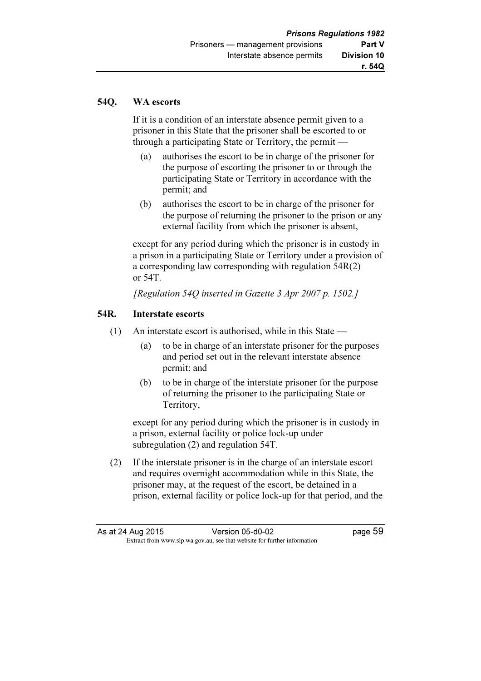#### 54Q. WA escorts

 If it is a condition of an interstate absence permit given to a prisoner in this State that the prisoner shall be escorted to or through a participating State or Territory, the permit —

- (a) authorises the escort to be in charge of the prisoner for the purpose of escorting the prisoner to or through the participating State or Territory in accordance with the permit; and
- (b) authorises the escort to be in charge of the prisoner for the purpose of returning the prisoner to the prison or any external facility from which the prisoner is absent,

 except for any period during which the prisoner is in custody in a prison in a participating State or Territory under a provision of a corresponding law corresponding with regulation 54R(2) or 54T.

[Regulation 54Q inserted in Gazette 3 Apr 2007 p. 1502.]

#### 54R. Interstate escorts

- (1) An interstate escort is authorised, while in this State
	- (a) to be in charge of an interstate prisoner for the purposes and period set out in the relevant interstate absence permit; and
	- (b) to be in charge of the interstate prisoner for the purpose of returning the prisoner to the participating State or Territory,

 except for any period during which the prisoner is in custody in a prison, external facility or police lock-up under subregulation (2) and regulation 54T.

 (2) If the interstate prisoner is in the charge of an interstate escort and requires overnight accommodation while in this State, the prisoner may, at the request of the escort, be detained in a prison, external facility or police lock-up for that period, and the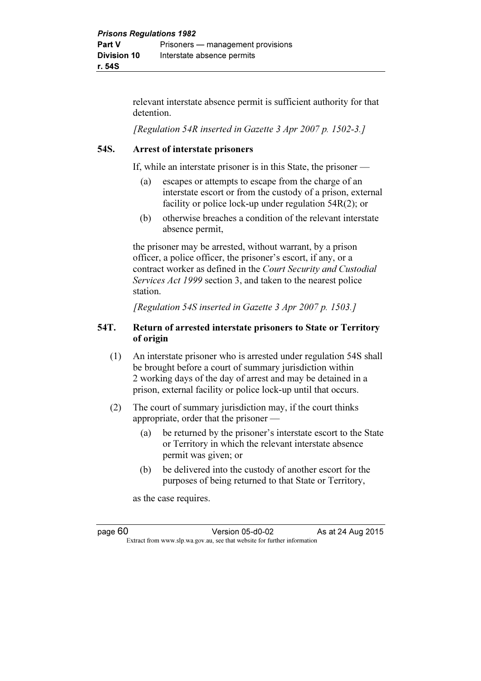relevant interstate absence permit is sufficient authority for that detention.

[Regulation 54R inserted in Gazette 3 Apr 2007 p. 1502-3.]

#### 54S. Arrest of interstate prisoners

If, while an interstate prisoner is in this State, the prisoner —

- (a) escapes or attempts to escape from the charge of an interstate escort or from the custody of a prison, external facility or police lock-up under regulation 54R(2); or
- (b) otherwise breaches a condition of the relevant interstate absence permit,

 the prisoner may be arrested, without warrant, by a prison officer, a police officer, the prisoner's escort, if any, or a contract worker as defined in the Court Security and Custodial Services Act 1999 section 3, and taken to the nearest police station.

[Regulation 54S inserted in Gazette 3 Apr 2007 p. 1503.]

# 54T. Return of arrested interstate prisoners to State or Territory of origin

- (1) An interstate prisoner who is arrested under regulation 54S shall be brought before a court of summary jurisdiction within 2 working days of the day of arrest and may be detained in a prison, external facility or police lock-up until that occurs.
- (2) The court of summary jurisdiction may, if the court thinks appropriate, order that the prisoner —
	- (a) be returned by the prisoner's interstate escort to the State or Territory in which the relevant interstate absence permit was given; or
	- (b) be delivered into the custody of another escort for the purposes of being returned to that State or Territory,

as the case requires.

page 60 Version 05-d0-02 As at 24 Aug 2015  $\mathbf{F}$  from which we be the website for further information for further information  $\mathbf{F}$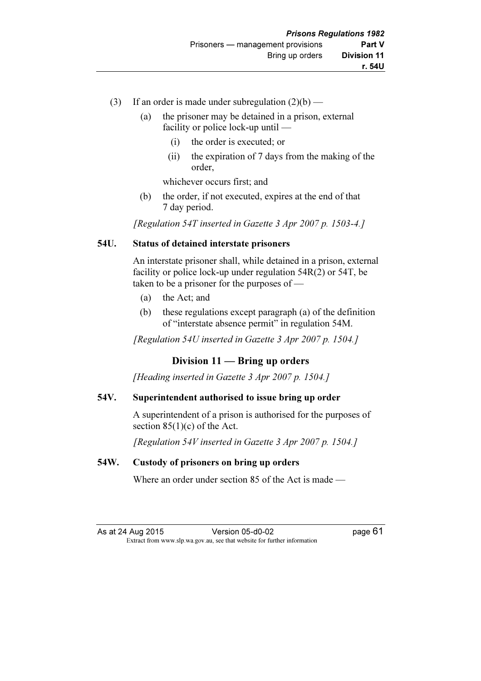- (3) If an order is made under subregulation  $(2)(b)$ 
	- (a) the prisoner may be detained in a prison, external facility or police lock-up until —
		- (i) the order is executed; or
		- (ii) the expiration of 7 days from the making of the order,

whichever occurs first; and

 (b) the order, if not executed, expires at the end of that 7 day period.

[Regulation 54T inserted in Gazette 3 Apr 2007 p. 1503-4.]

# 54U. Status of detained interstate prisoners

 An interstate prisoner shall, while detained in a prison, external facility or police lock-up under regulation 54R(2) or 54T, be taken to be a prisoner for the purposes of —

- (a) the Act; and
- (b) these regulations except paragraph (a) of the definition of "interstate absence permit" in regulation 54M.

[Regulation 54U inserted in Gazette 3 Apr 2007 p. 1504.]

# Division 11 — Bring up orders

[Heading inserted in Gazette 3 Apr 2007 p. 1504.]

# 54V. Superintendent authorised to issue bring up order

 A superintendent of a prison is authorised for the purposes of section  $85(1)(c)$  of the Act.

[Regulation 54V inserted in Gazette 3 Apr 2007 p. 1504.]

# 54W. Custody of prisoners on bring up orders

Where an order under section 85 of the Act is made —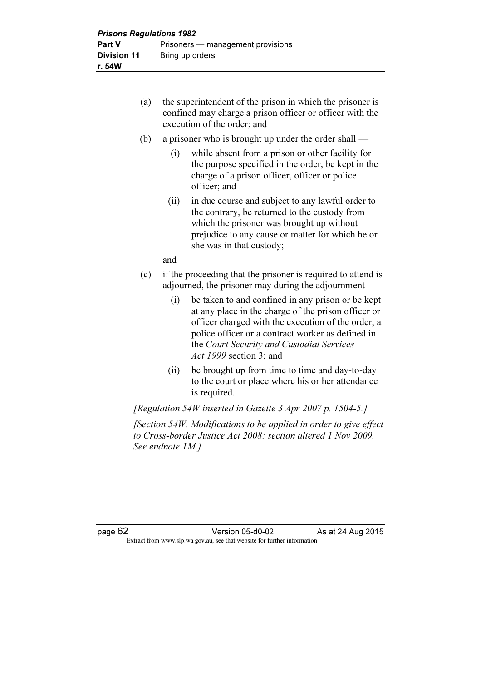- (a) the superintendent of the prison in which the prisoner is confined may charge a prison officer or officer with the execution of the order; and
- (b) a prisoner who is brought up under the order shall
	- (i) while absent from a prison or other facility for the purpose specified in the order, be kept in the charge of a prison officer, officer or police officer; and
	- (ii) in due course and subject to any lawful order to the contrary, be returned to the custody from which the prisoner was brought up without prejudice to any cause or matter for which he or she was in that custody;

and

- (c) if the proceeding that the prisoner is required to attend is adjourned, the prisoner may during the adjournment —
	- (i) be taken to and confined in any prison or be kept at any place in the charge of the prison officer or officer charged with the execution of the order, a police officer or a contract worker as defined in the Court Security and Custodial Services Act 1999 section 3; and
	- (ii) be brought up from time to time and day-to-day to the court or place where his or her attendance is required.

[Regulation 54W inserted in Gazette 3 Apr 2007 p. 1504-5.]

 [Section 54W. Modifications to be applied in order to give effect to Cross-border Justice Act 2008: section altered 1 Nov 2009. See endnote 1M.]

page 62 Version 05-d0-02 As at 24 Aug 2015  $\mathbf{F}$  from which we be the website for further information for further information  $\mathbf{F}$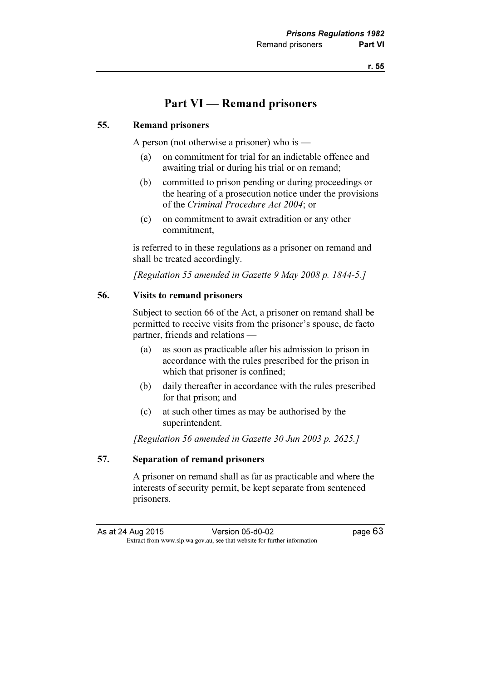# Part VI — Remand prisoners

#### 55. Remand prisoners

A person (not otherwise a prisoner) who is —

- (a) on commitment for trial for an indictable offence and awaiting trial or during his trial or on remand;
- (b) committed to prison pending or during proceedings or the hearing of a prosecution notice under the provisions of the Criminal Procedure Act 2004; or
- (c) on commitment to await extradition or any other commitment,

 is referred to in these regulations as a prisoner on remand and shall be treated accordingly.

[Regulation 55 amended in Gazette 9 May 2008 p. 1844-5.]

#### 56. Visits to remand prisoners

 Subject to section 66 of the Act, a prisoner on remand shall be permitted to receive visits from the prisoner's spouse, de facto partner, friends and relations —

- (a) as soon as practicable after his admission to prison in accordance with the rules prescribed for the prison in which that prisoner is confined;
- (b) daily thereafter in accordance with the rules prescribed for that prison; and
- (c) at such other times as may be authorised by the superintendent.

[Regulation 56 amended in Gazette 30 Jun 2003 p. 2625.]

#### 57. Separation of remand prisoners

 A prisoner on remand shall as far as practicable and where the interests of security permit, be kept separate from sentenced prisoners.

As at 24 Aug 2015 Version 05-d0-02 page 63<br>Extract from www.slp.wa.gov.au, see that website for further information  $\mathbf{F}$  from which we be the website for further information for further information  $\mathbf{F}$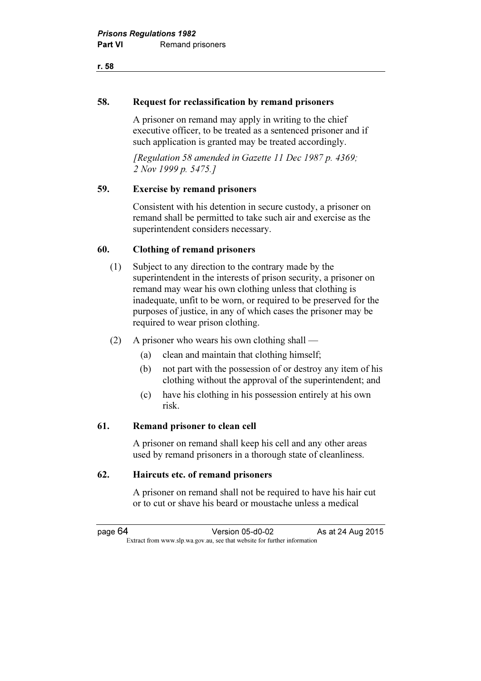### 58. Request for reclassification by remand prisoners

 A prisoner on remand may apply in writing to the chief executive officer, to be treated as a sentenced prisoner and if such application is granted may be treated accordingly.

 [Regulation 58 amended in Gazette 11 Dec 1987 p. 4369; 2 Nov 1999 p. 5475.]

## 59. Exercise by remand prisoners

 Consistent with his detention in secure custody, a prisoner on remand shall be permitted to take such air and exercise as the superintendent considers necessary.

## 60. Clothing of remand prisoners

- (1) Subject to any direction to the contrary made by the superintendent in the interests of prison security, a prisoner on remand may wear his own clothing unless that clothing is inadequate, unfit to be worn, or required to be preserved for the purposes of justice, in any of which cases the prisoner may be required to wear prison clothing.
- (2) A prisoner who wears his own clothing shall
	- (a) clean and maintain that clothing himself;
	- (b) not part with the possession of or destroy any item of his clothing without the approval of the superintendent; and
	- (c) have his clothing in his possession entirely at his own risk.

#### 61. Remand prisoner to clean cell

 A prisoner on remand shall keep his cell and any other areas used by remand prisoners in a thorough state of cleanliness.

#### 62. Haircuts etc. of remand prisoners

 A prisoner on remand shall not be required to have his hair cut or to cut or shave his beard or moustache unless a medical

page 64 Version 05-d0-02 As at 24 Aug 2015  $\mathbf{F}$  from which we be the website for further information for further information  $\mathbf{F}$ 

#### r. 58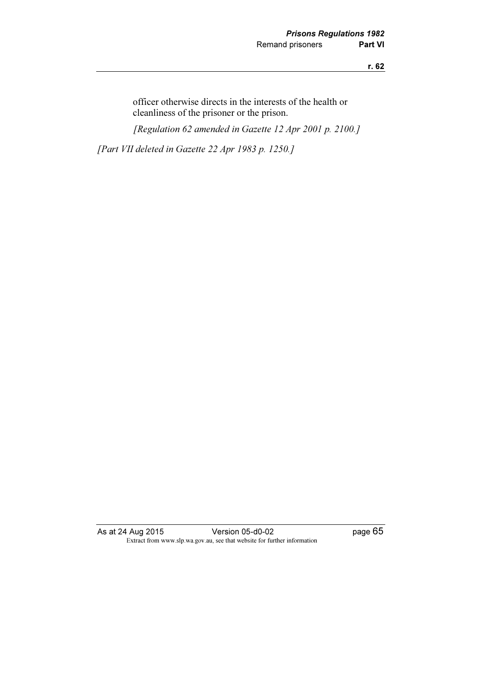officer otherwise directs in the interests of the health or cleanliness of the prisoner or the prison. [Regulation 62 amended in Gazette 12 Apr 2001 p. 2100.] [Part VII deleted in Gazette 22 Apr 1983 p. 1250.]

As at 24 Aug 2015 Version 05-d0-02 Page 65 Extract from www.slp.wa.gov.au, see that website for further information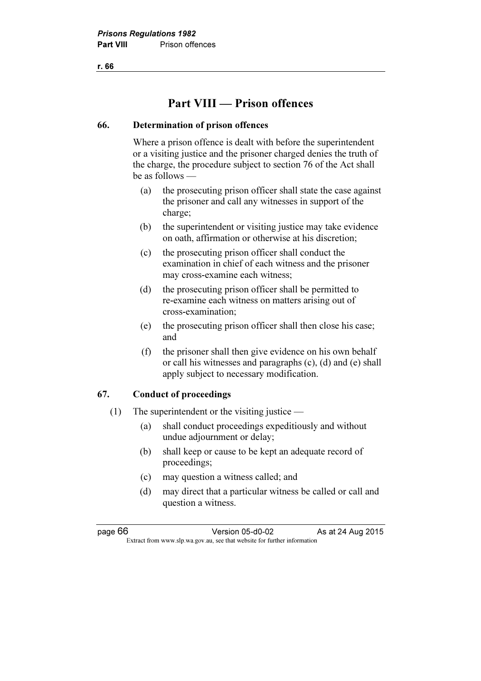# Part VIII — Prison offences

## 66. Determination of prison offences

 Where a prison offence is dealt with before the superintendent or a visiting justice and the prisoner charged denies the truth of the charge, the procedure subject to section 76 of the Act shall be as follows —

- (a) the prosecuting prison officer shall state the case against the prisoner and call any witnesses in support of the charge;
- (b) the superintendent or visiting justice may take evidence on oath, affirmation or otherwise at his discretion;
- (c) the prosecuting prison officer shall conduct the examination in chief of each witness and the prisoner may cross-examine each witness;
- (d) the prosecuting prison officer shall be permitted to re-examine each witness on matters arising out of cross-examination;
- (e) the prosecuting prison officer shall then close his case; and
- (f) the prisoner shall then give evidence on his own behalf or call his witnesses and paragraphs (c), (d) and (e) shall apply subject to necessary modification.

## 67. Conduct of proceedings

- (1) The superintendent or the visiting justice
	- (a) shall conduct proceedings expeditiously and without undue adjournment or delay;
	- (b) shall keep or cause to be kept an adequate record of proceedings;
	- (c) may question a witness called; and
	- (d) may direct that a particular witness be called or call and question a witness.

page 66 Version 05-d0-02 As at 24 Aug 2015  $\mathbf{F}$  from which we be the website for further information for further information  $\mathbf{F}$ 

r. 66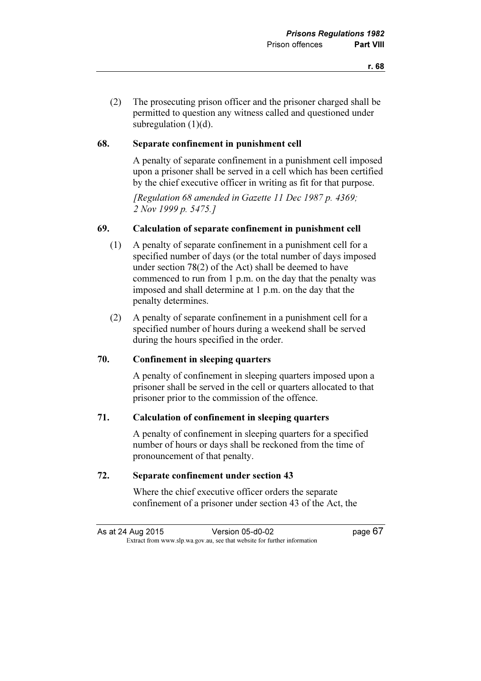#### 68. Separate confinement in punishment cell

 A penalty of separate confinement in a punishment cell imposed upon a prisoner shall be served in a cell which has been certified by the chief executive officer in writing as fit for that purpose.

[Regulation 68 amended in Gazette 11 Dec 1987 p. 4369; 2 Nov 1999 p. 5475.]

#### 69. Calculation of separate confinement in punishment cell

- (1) A penalty of separate confinement in a punishment cell for a specified number of days (or the total number of days imposed under section 78(2) of the Act) shall be deemed to have commenced to run from 1 p.m. on the day that the penalty was imposed and shall determine at 1 p.m. on the day that the penalty determines.
- (2) A penalty of separate confinement in a punishment cell for a specified number of hours during a weekend shall be served during the hours specified in the order.

## 70. Confinement in sleeping quarters

 A penalty of confinement in sleeping quarters imposed upon a prisoner shall be served in the cell or quarters allocated to that prisoner prior to the commission of the offence.

#### 71. Calculation of confinement in sleeping quarters

 A penalty of confinement in sleeping quarters for a specified number of hours or days shall be reckoned from the time of pronouncement of that penalty.

### 72. Separate confinement under section 43

 Where the chief executive officer orders the separate confinement of a prisoner under section 43 of the Act, the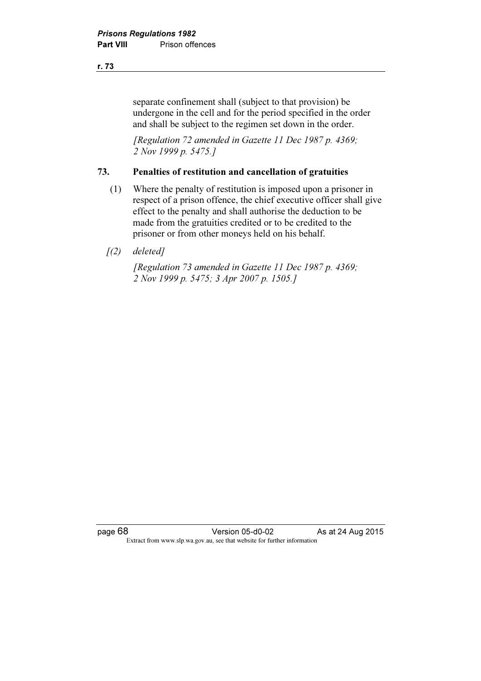separate confinement shall (subject to that provision) be undergone in the cell and for the period specified in the order and shall be subject to the regimen set down in the order.

 [Regulation 72 amended in Gazette 11 Dec 1987 p. 4369; 2 Nov 1999 p. 5475.]

#### 73. Penalties of restitution and cancellation of gratuities

- (1) Where the penalty of restitution is imposed upon a prisoner in respect of a prison offence, the chief executive officer shall give effect to the penalty and shall authorise the deduction to be made from the gratuities credited or to be credited to the prisoner or from other moneys held on his behalf.
- $(2)$  deleted]

 [Regulation 73 amended in Gazette 11 Dec 1987 p. 4369; 2 Nov 1999 p. 5475; 3 Apr 2007 p. 1505.]

page 68 Version 05-d0-02 As at 24 Aug 2015 Extract from www.slp.wa.gov.au, see that website for further information

#### r. 73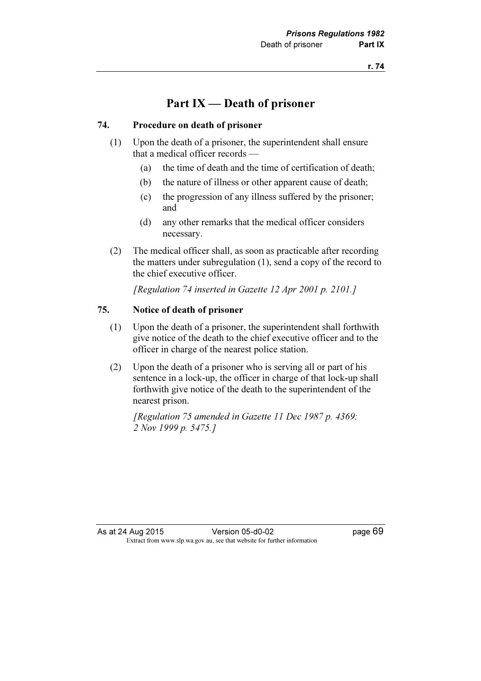## Part IX — Death of prisoner

### 74. Procedure on death of prisoner

- (1) Upon the death of a prisoner, the superintendent shall ensure that a medical officer records —
	- (a) the time of death and the time of certification of death;
	- (b) the nature of illness or other apparent cause of death;
	- (c) the progression of any illness suffered by the prisoner; and
	- (d) any other remarks that the medical officer considers necessary.
- (2) The medical officer shall, as soon as practicable after recording the matters under subregulation (1), send a copy of the record to the chief executive officer.

[Regulation 74 inserted in Gazette 12 Apr 2001 p. 2101.]

### 75. Notice of death of prisoner

- (1) Upon the death of a prisoner, the superintendent shall forthwith give notice of the death to the chief executive officer and to the officer in charge of the nearest police station.
- (2) Upon the death of a prisoner who is serving all or part of his sentence in a lock-up, the officer in charge of that lock-up shall forthwith give notice of the death to the superintendent of the nearest prison.

 [Regulation 75 amended in Gazette 11 Dec 1987 p. 4369; 2 Nov 1999 p. 5475.]

As at 24 Aug 2015 Version 05-d0-02 page 69 Extract from www.slp.wa.gov.au, see that website for further information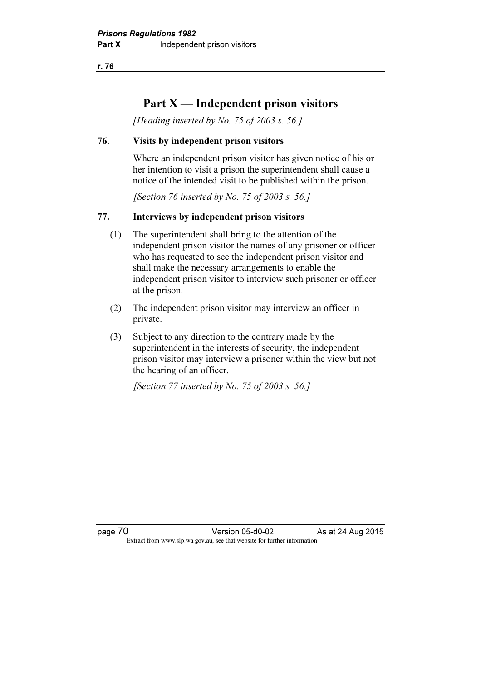r. 76

# Part  $X$  — Independent prison visitors

[Heading inserted by No. 75 of 2003 s. 56.]

### 76. Visits by independent prison visitors

 Where an independent prison visitor has given notice of his or her intention to visit a prison the superintendent shall cause a notice of the intended visit to be published within the prison.

[Section 76 inserted by No. 75 of 2003 s. 56.]

## 77. Interviews by independent prison visitors

- (1) The superintendent shall bring to the attention of the independent prison visitor the names of any prisoner or officer who has requested to see the independent prison visitor and shall make the necessary arrangements to enable the independent prison visitor to interview such prisoner or officer at the prison.
- (2) The independent prison visitor may interview an officer in private.
- (3) Subject to any direction to the contrary made by the superintendent in the interests of security, the independent prison visitor may interview a prisoner within the view but not the hearing of an officer.

[Section 77 inserted by No. 75 of 2003 s. 56.]

page 70 **Version 05-d0-02** As at 24 Aug 2015  $\mathbf{F}$  from which we be the website for further information for further information  $\mathbf{F}$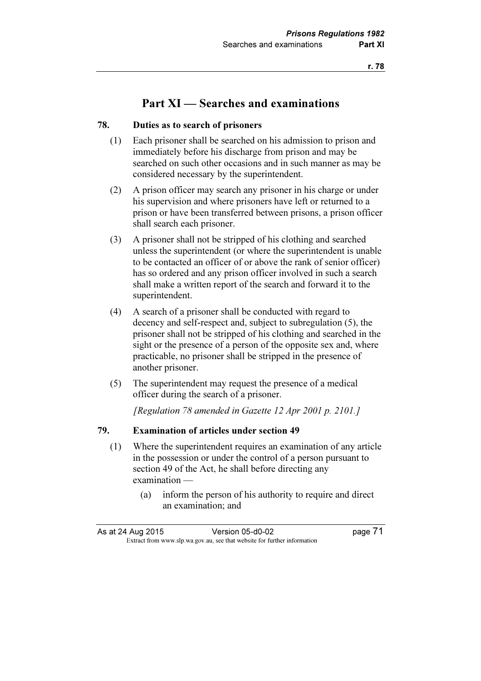# Part XI — Searches and examinations

### 78. Duties as to search of prisoners

- (1) Each prisoner shall be searched on his admission to prison and immediately before his discharge from prison and may be searched on such other occasions and in such manner as may be considered necessary by the superintendent.
- (2) A prison officer may search any prisoner in his charge or under his supervision and where prisoners have left or returned to a prison or have been transferred between prisons, a prison officer shall search each prisoner.
- (3) A prisoner shall not be stripped of his clothing and searched unless the superintendent (or where the superintendent is unable to be contacted an officer of or above the rank of senior officer) has so ordered and any prison officer involved in such a search shall make a written report of the search and forward it to the superintendent.
- (4) A search of a prisoner shall be conducted with regard to decency and self-respect and, subject to subregulation (5), the prisoner shall not be stripped of his clothing and searched in the sight or the presence of a person of the opposite sex and, where practicable, no prisoner shall be stripped in the presence of another prisoner.
- (5) The superintendent may request the presence of a medical officer during the search of a prisoner.

[Regulation 78 amended in Gazette 12 Apr 2001 p. 2101.]

## 79. Examination of articles under section 49

- (1) Where the superintendent requires an examination of any article in the possession or under the control of a person pursuant to section 49 of the Act, he shall before directing any examination —
	- (a) inform the person of his authority to require and direct an examination; and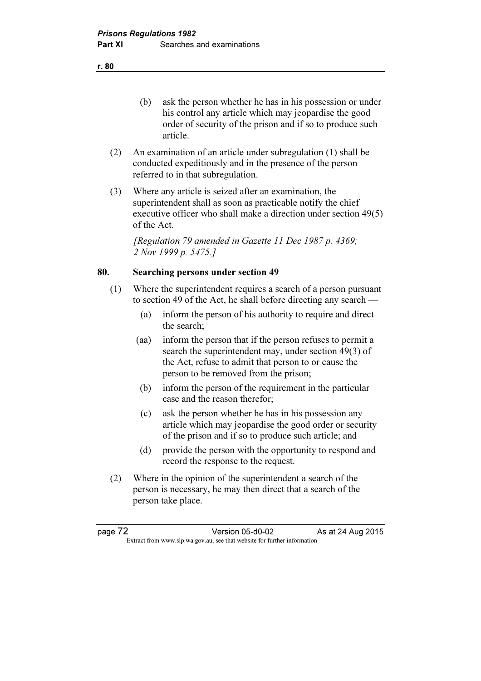(b) ask the person whether he has in his possession or under his control any article which may jeopardise the good order of security of the prison and if so to produce such article.

- (2) An examination of an article under subregulation (1) shall be conducted expeditiously and in the presence of the person referred to in that subregulation.
- (3) Where any article is seized after an examination, the superintendent shall as soon as practicable notify the chief executive officer who shall make a direction under section 49(5) of the Act.

 [Regulation 79 amended in Gazette 11 Dec 1987 p. 4369; 2 Nov 1999 p. 5475.1

## 80. Searching persons under section 49

- (1) Where the superintendent requires a search of a person pursuant to section 49 of the Act, he shall before directing any search —
	- (a) inform the person of his authority to require and direct the search;
	- (aa) inform the person that if the person refuses to permit a search the superintendent may, under section 49(3) of the Act, refuse to admit that person to or cause the person to be removed from the prison;
	- (b) inform the person of the requirement in the particular case and the reason therefor;
	- (c) ask the person whether he has in his possession any article which may jeopardise the good order or security of the prison and if so to produce such article; and
	- (d) provide the person with the opportunity to respond and record the response to the request.
- (2) Where in the opinion of the superintendent a search of the person is necessary, he may then direct that a search of the person take place.

page 72 Version 05-d0-02 As at 24 Aug 2015  $\mathbf{F}$  from which we be the website for further information for further information  $\mathbf{F}$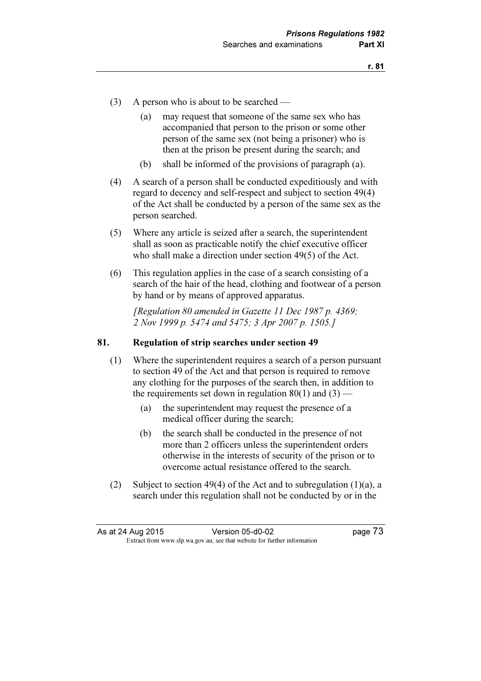- (3) A person who is about to be searched
	- (a) may request that someone of the same sex who has accompanied that person to the prison or some other person of the same sex (not being a prisoner) who is then at the prison be present during the search; and
	- (b) shall be informed of the provisions of paragraph (a).
- (4) A search of a person shall be conducted expeditiously and with regard to decency and self-respect and subject to section 49(4) of the Act shall be conducted by a person of the same sex as the person searched.
- (5) Where any article is seized after a search, the superintendent shall as soon as practicable notify the chief executive officer who shall make a direction under section 49(5) of the Act.
- (6) This regulation applies in the case of a search consisting of a search of the hair of the head, clothing and footwear of a person by hand or by means of approved apparatus.

 [Regulation 80 amended in Gazette 11 Dec 1987 p. 4369; 2 Nov 1999 p. 5474 and 5475; 3 Apr 2007 p. 1505.]

#### 81. Regulation of strip searches under section 49

- (1) Where the superintendent requires a search of a person pursuant to section 49 of the Act and that person is required to remove any clothing for the purposes of the search then, in addition to the requirements set down in regulation  $80(1)$  and  $(3)$  —
	- (a) the superintendent may request the presence of a medical officer during the search;
	- (b) the search shall be conducted in the presence of not more than 2 officers unless the superintendent orders otherwise in the interests of security of the prison or to overcome actual resistance offered to the search.
- (2) Subject to section 49(4) of the Act and to subregulation (1)(a), a search under this regulation shall not be conducted by or in the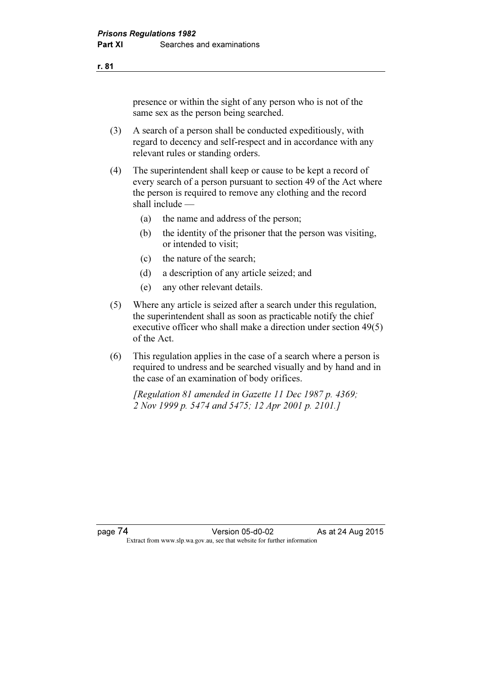presence or within the sight of any person who is not of the same sex as the person being searched.

- (3) A search of a person shall be conducted expeditiously, with regard to decency and self-respect and in accordance with any relevant rules or standing orders.
- (4) The superintendent shall keep or cause to be kept a record of every search of a person pursuant to section 49 of the Act where the person is required to remove any clothing and the record shall include —
	- (a) the name and address of the person;
	- (b) the identity of the prisoner that the person was visiting, or intended to visit;
	- (c) the nature of the search;
	- (d) a description of any article seized; and
	- (e) any other relevant details.
- (5) Where any article is seized after a search under this regulation, the superintendent shall as soon as practicable notify the chief executive officer who shall make a direction under section 49(5) of the Act.
- (6) This regulation applies in the case of a search where a person is required to undress and be searched visually and by hand and in the case of an examination of body orifices.

[Regulation 81 amended in Gazette 11 Dec 1987 p. 4369; 2 Nov 1999 p. 5474 and 5475; 12 Apr 2001 p. 2101.]

r. 81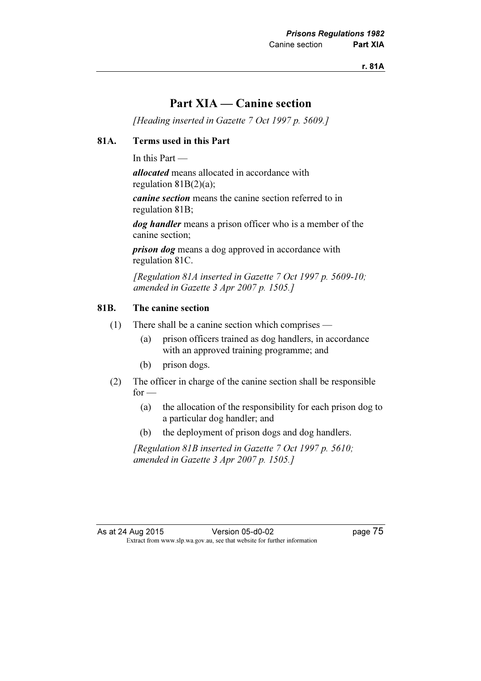## Part XIA — Canine section

[Heading inserted in Gazette 7 Oct 1997 p. 5609.]

## 81A. Terms used in this Part

In this Part —

allocated means allocated in accordance with regulation 81B(2)(a);

canine section means the canine section referred to in regulation 81B;

dog handler means a prison officer who is a member of the canine section;

*prison dog* means a dog approved in accordance with regulation 81C.

 [Regulation 81A inserted in Gazette 7 Oct 1997 p. 5609-10; amended in Gazette 3 Apr 2007 p. 1505.]

### 81B. The canine section

- (1) There shall be a canine section which comprises
	- (a) prison officers trained as dog handlers, in accordance with an approved training programme; and
	- (b) prison dogs.
- (2) The officer in charge of the canine section shall be responsible  $for -$ 
	- (a) the allocation of the responsibility for each prison dog to a particular dog handler; and
	- (b) the deployment of prison dogs and dog handlers.

 [Regulation 81B inserted in Gazette 7 Oct 1997 p. 5610; amended in Gazette 3 Apr 2007 p. 1505.]

As at 24 Aug 2015 Version 05-d0-02 page 75 Extract from www.slp.wa.gov.au, see that website for further information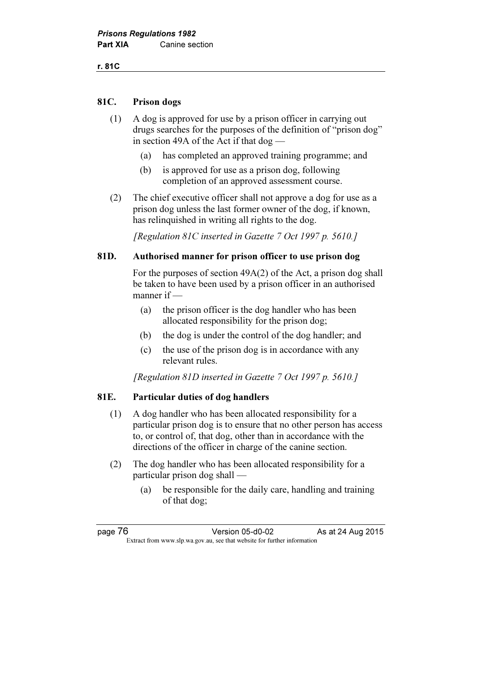## 81C. Prison dogs

- (1) A dog is approved for use by a prison officer in carrying out drugs searches for the purposes of the definition of "prison dog" in section 49A of the Act if that dog —
	- (a) has completed an approved training programme; and
	- (b) is approved for use as a prison dog, following completion of an approved assessment course.
- (2) The chief executive officer shall not approve a dog for use as a prison dog unless the last former owner of the dog, if known, has relinquished in writing all rights to the dog.

[Regulation 81C inserted in Gazette 7 Oct 1997 p. 5610.]

## 81D. Authorised manner for prison officer to use prison dog

 For the purposes of section 49A(2) of the Act, a prison dog shall be taken to have been used by a prison officer in an authorised manner if —

- (a) the prison officer is the dog handler who has been allocated responsibility for the prison dog;
- (b) the dog is under the control of the dog handler; and
- (c) the use of the prison dog is in accordance with any relevant rules.

[Regulation 81D inserted in Gazette 7 Oct 1997 p. 5610.]

#### 81E. Particular duties of dog handlers

- (1) A dog handler who has been allocated responsibility for a particular prison dog is to ensure that no other person has access to, or control of, that dog, other than in accordance with the directions of the officer in charge of the canine section.
- (2) The dog handler who has been allocated responsibility for a particular prison dog shall —
	- (a) be responsible for the daily care, handling and training of that dog;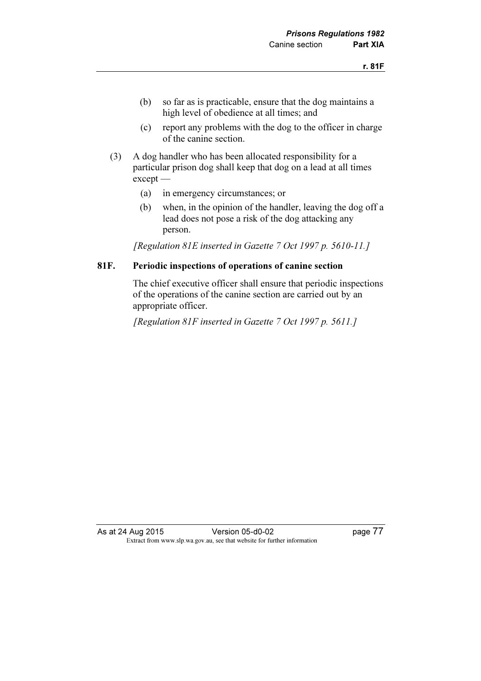- (b) so far as is practicable, ensure that the dog maintains a high level of obedience at all times; and
- (c) report any problems with the dog to the officer in charge of the canine section.
- (3) A dog handler who has been allocated responsibility for a particular prison dog shall keep that dog on a lead at all times except —
	- (a) in emergency circumstances; or
	- (b) when, in the opinion of the handler, leaving the dog off a lead does not pose a risk of the dog attacking any person.

[Regulation 81E inserted in Gazette 7 Oct 1997 p. 5610-11.]

#### 81F. Periodic inspections of operations of canine section

 The chief executive officer shall ensure that periodic inspections of the operations of the canine section are carried out by an appropriate officer.

[Regulation 81F inserted in Gazette 7 Oct 1997 p. 5611.]

As at 24 Aug 2015 Version 05-d0-02 page 77 Extract from www.slp.wa.gov.au, see that website for further information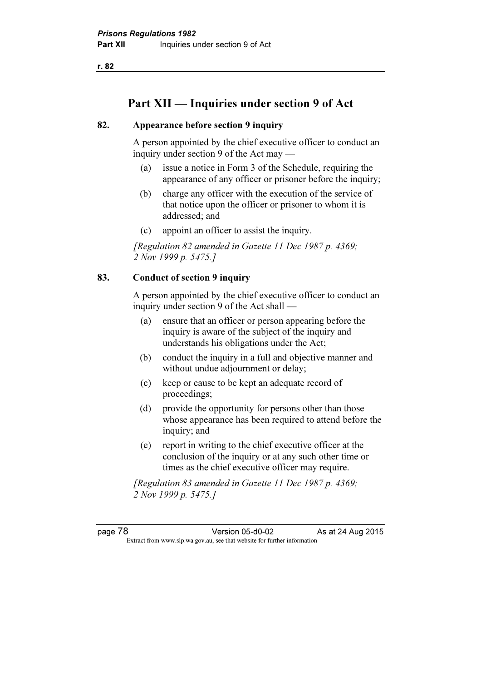r. 82

# Part XII — Inquiries under section 9 of Act

### 82. Appearance before section 9 inquiry

 A person appointed by the chief executive officer to conduct an inquiry under section 9 of the Act may —

- (a) issue a notice in Form 3 of the Schedule, requiring the appearance of any officer or prisoner before the inquiry;
- (b) charge any officer with the execution of the service of that notice upon the officer or prisoner to whom it is addressed; and
- (c) appoint an officer to assist the inquiry.

[Regulation 82 amended in Gazette 11 Dec 1987 p. 4369; 2 Nov 1999 p. 5475.]

## 83. Conduct of section 9 inquiry

 A person appointed by the chief executive officer to conduct an inquiry under section 9 of the Act shall —

- (a) ensure that an officer or person appearing before the inquiry is aware of the subject of the inquiry and understands his obligations under the Act;
- (b) conduct the inquiry in a full and objective manner and without undue adjournment or delay;
- (c) keep or cause to be kept an adequate record of proceedings;
- (d) provide the opportunity for persons other than those whose appearance has been required to attend before the inquiry; and
- (e) report in writing to the chief executive officer at the conclusion of the inquiry or at any such other time or times as the chief executive officer may require.

 [Regulation 83 amended in Gazette 11 Dec 1987 p. 4369; 2 Nov 1999 p. 5475.]

page 78 Version 05-d0-02 As at 24 Aug 2015  $\mathbf{F}$  from which we be the website for further information for further information  $\mathbf{F}$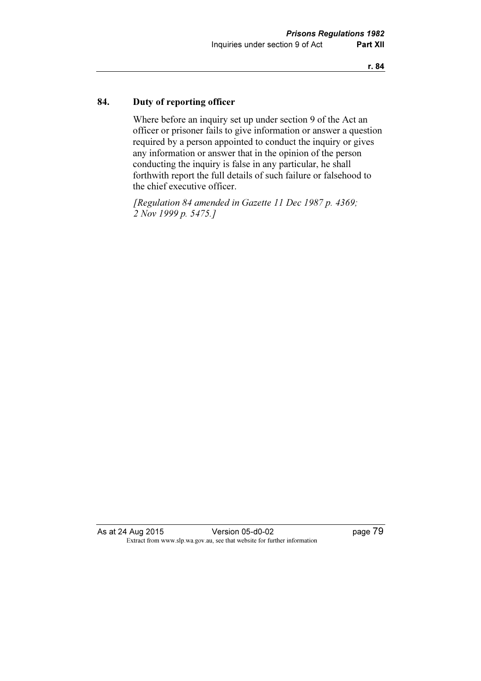## 84. Duty of reporting officer

 Where before an inquiry set up under section 9 of the Act an officer or prisoner fails to give information or answer a question required by a person appointed to conduct the inquiry or gives any information or answer that in the opinion of the person conducting the inquiry is false in any particular, he shall forthwith report the full details of such failure or falsehood to the chief executive officer.

 [Regulation 84 amended in Gazette 11 Dec 1987 p. 4369; 2 Nov 1999 p. 5475.]

As at 24 Aug 2015 Version 05-d0-02 page 79 Extract from www.slp.wa.gov.au, see that website for further information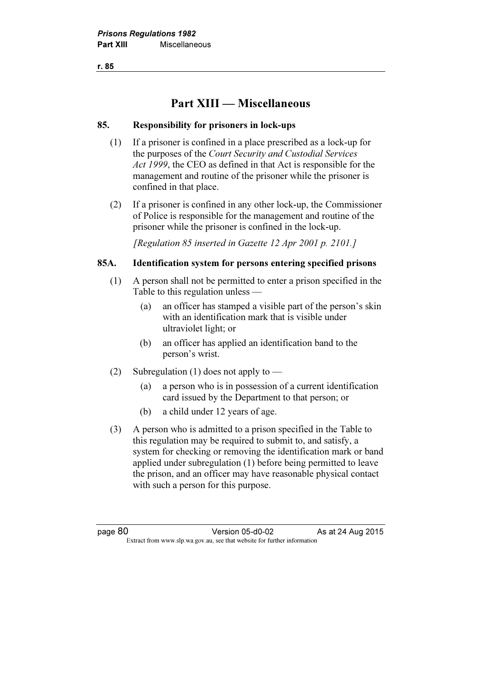r. 85

# Part XIII — Miscellaneous

## 85. Responsibility for prisoners in lock-ups

- (1) If a prisoner is confined in a place prescribed as a lock-up for the purposes of the Court Security and Custodial Services Act 1999, the CEO as defined in that Act is responsible for the management and routine of the prisoner while the prisoner is confined in that place.
- (2) If a prisoner is confined in any other lock-up, the Commissioner of Police is responsible for the management and routine of the prisoner while the prisoner is confined in the lock-up.

[Regulation 85 inserted in Gazette 12 Apr 2001 p. 2101.]

## 85A. Identification system for persons entering specified prisons

- (1) A person shall not be permitted to enter a prison specified in the Table to this regulation unless —
	- (a) an officer has stamped a visible part of the person's skin with an identification mark that is visible under ultraviolet light; or
	- (b) an officer has applied an identification band to the person's wrist.
- (2) Subregulation (1) does not apply to
	- (a) a person who is in possession of a current identification card issued by the Department to that person; or
	- (b) a child under 12 years of age.
- (3) A person who is admitted to a prison specified in the Table to this regulation may be required to submit to, and satisfy, a system for checking or removing the identification mark or band applied under subregulation (1) before being permitted to leave the prison, and an officer may have reasonable physical contact with such a person for this purpose.

page 80 Version 05-d0-02 As at 24 Aug 2015  $\mathbf{F}$  from which we be the website for further information for further information  $\mathbf{F}$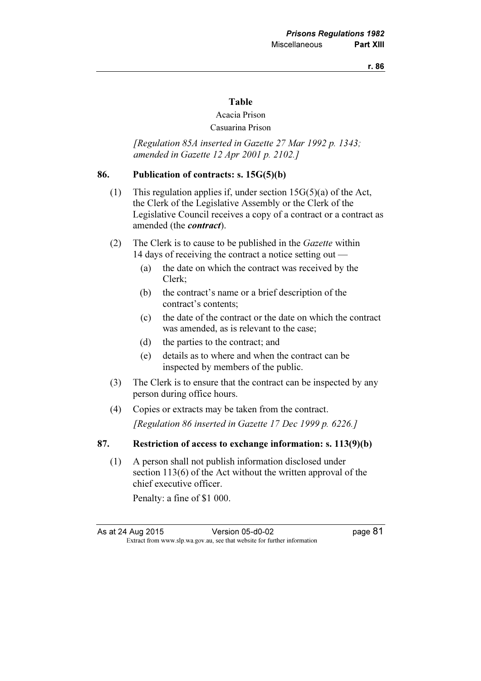#### r. 86

#### Table

#### Acacia Prison Casuarina Prison

## [Regulation 85A inserted in Gazette 27 Mar 1992 p. 1343; amended in Gazette 12 Apr 2001 p. 2102.]

#### 86. Publication of contracts: s. 15G(5)(b)

- (1) This regulation applies if, under section  $15G(5)(a)$  of the Act, the Clerk of the Legislative Assembly or the Clerk of the Legislative Council receives a copy of a contract or a contract as amended (the *contract*).
- (2) The Clerk is to cause to be published in the Gazette within 14 days of receiving the contract a notice setting out —
	- (a) the date on which the contract was received by the Clerk;
	- (b) the contract's name or a brief description of the contract's contents;
	- (c) the date of the contract or the date on which the contract was amended, as is relevant to the case;
	- (d) the parties to the contract; and
	- (e) details as to where and when the contract can be inspected by members of the public.
- (3) The Clerk is to ensure that the contract can be inspected by any person during office hours.
- (4) Copies or extracts may be taken from the contract. [Regulation 86 inserted in Gazette 17 Dec 1999 p. 6226.]

#### 87. Restriction of access to exchange information: s. 113(9)(b)

 (1) A person shall not publish information disclosed under section 113(6) of the Act without the written approval of the chief executive officer.

Penalty: a fine of \$1 000.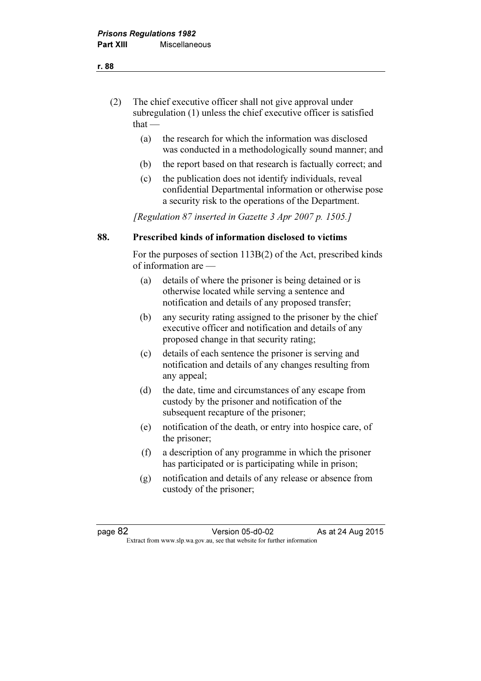- (2) The chief executive officer shall not give approval under subregulation (1) unless the chief executive officer is satisfied that $-$ 
	- (a) the research for which the information was disclosed was conducted in a methodologically sound manner; and
	- (b) the report based on that research is factually correct; and
	- (c) the publication does not identify individuals, reveal confidential Departmental information or otherwise pose a security risk to the operations of the Department.

[Regulation 87 inserted in Gazette 3 Apr 2007 p. 1505.]

## 88. Prescribed kinds of information disclosed to victims

 For the purposes of section 113B(2) of the Act, prescribed kinds of information are —

- (a) details of where the prisoner is being detained or is otherwise located while serving a sentence and notification and details of any proposed transfer;
- (b) any security rating assigned to the prisoner by the chief executive officer and notification and details of any proposed change in that security rating;
- (c) details of each sentence the prisoner is serving and notification and details of any changes resulting from any appeal;
- (d) the date, time and circumstances of any escape from custody by the prisoner and notification of the subsequent recapture of the prisoner;
- (e) notification of the death, or entry into hospice care, of the prisoner;
- (f) a description of any programme in which the prisoner has participated or is participating while in prison;
- (g) notification and details of any release or absence from custody of the prisoner;

page 82 Version 05-d0-02 As at 24 Aug 2015  $\mathbf{F}$  from which we be the website for further information for further information  $\mathbf{F}$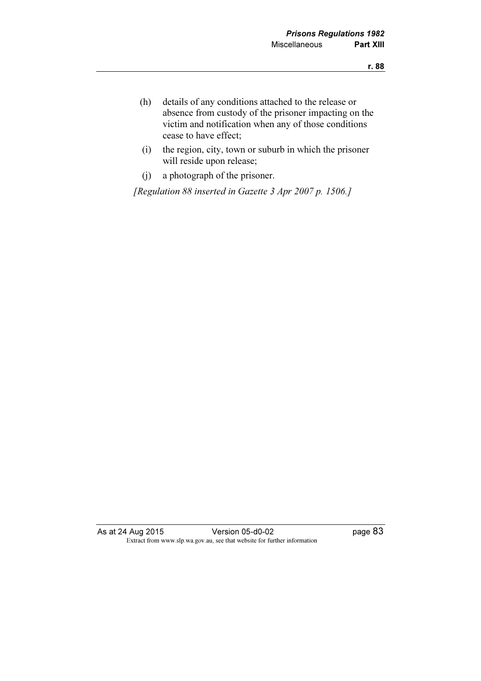- (h) details of any conditions attached to the release or absence from custody of the prisoner impacting on the victim and notification when any of those conditions cease to have effect;
- (i) the region, city, town or suburb in which the prisoner will reside upon release;
- (j) a photograph of the prisoner.

[Regulation 88 inserted in Gazette 3 Apr 2007 p. 1506.]

As at 24 Aug 2015 Version 05-d0-02 page 83 Extract from www.slp.wa.gov.au, see that website for further information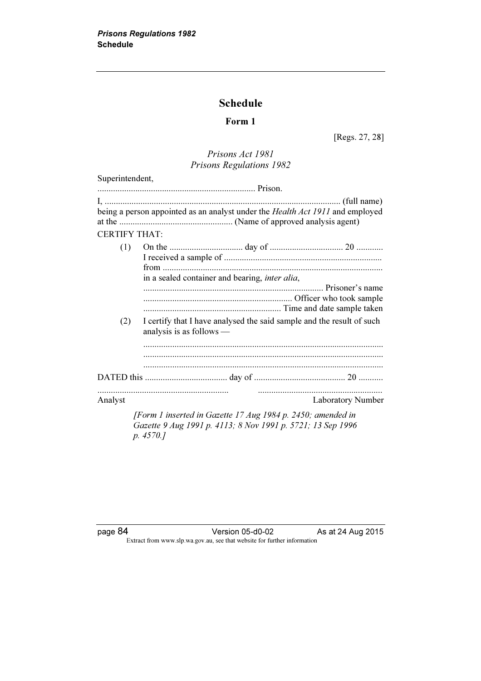## Schedule

## Form 1

[Regs. 27, 28]

## Prisons Act 1981 Prisons Regulations 1982

| Superintendent,      |                                                                                                   |
|----------------------|---------------------------------------------------------------------------------------------------|
|                      |                                                                                                   |
|                      | being a person appointed as an analyst under the Health Act 1911 and employed                     |
| <b>CERTIFY THAT:</b> |                                                                                                   |
| (1)                  | in a sealed container and bearing, inter alia,                                                    |
| (2)                  | I certify that I have analysed the said sample and the result of such<br>analysis is as follows — |
|                      |                                                                                                   |
| Analyst              | <b>Laboratory Number</b>                                                                          |
|                      | [Form 1 inserted in Gazette 17 Aug 1984 p. 2450; amended in                                       |

Gazette 9 Aug 1991 p. 4113; 8 Nov 1991 p. 5721; 13 Sep 1996 p. 4570.]

page 84 Version 05-d0-02 As at 24 Aug 2015 Extract from www.slp.wa.gov.au, see that website for further information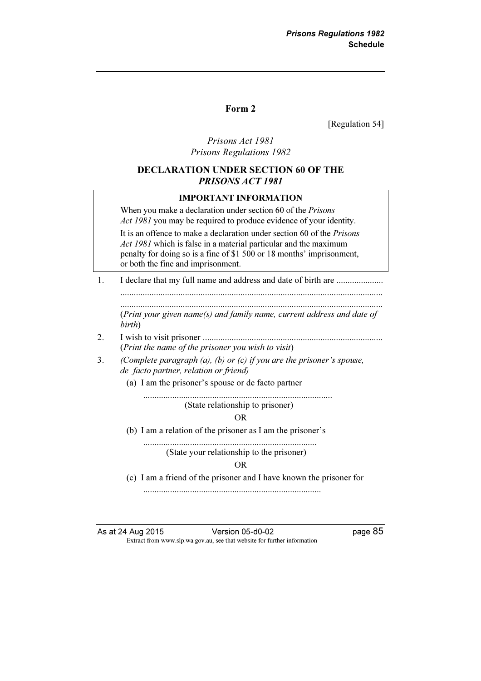#### Form 2

[Regulation 54]

### Prisons Act 1981 Prisons Regulations 1982

### DECLARATION UNDER SECTION 60 OF THE PRISONS ACT 1981

#### IMPORTANT INFORMATION

When you make a declaration under section 60 of the *Prisons* Act 1981 you may be required to produce evidence of your identity.

 It is an offence to make a declaration under section 60 of the Prisons Act 1981 which is false in a material particular and the maximum penalty for doing so is a fine of \$1 500 or 18 months' imprisonment, or both the fine and imprisonment.

1. I declare that my full name and address and date of birth are ..................... ...................................................................................................................... ......................................................................................................................

 (Print your given name(s) and family name, current address and date of birth)

- 2. I wish to visit prisoner ................................................................................. (Print the name of the prisoner you wish to visit)
- 3. (Complete paragraph  $(a)$ ,  $(b)$  or  $(c)$  if you are the prisoner's spouse, de facto partner, relation or friend)
	- (a) I am the prisoner's spouse or de facto partner

 ..................................................................................... (State relationship to prisoner)

#### OR

(b) I am a relation of the prisoner as I am the prisoner's

 .............................................................................. (State your relationship to the prisoner)

#### OR

(c) I am a friend of the prisoner and I have known the prisoner for

................................................................................

As at 24 Aug 2015 Version 05-d0-02 page 85 Extract from www.slp.wa.gov.au, see that website for further information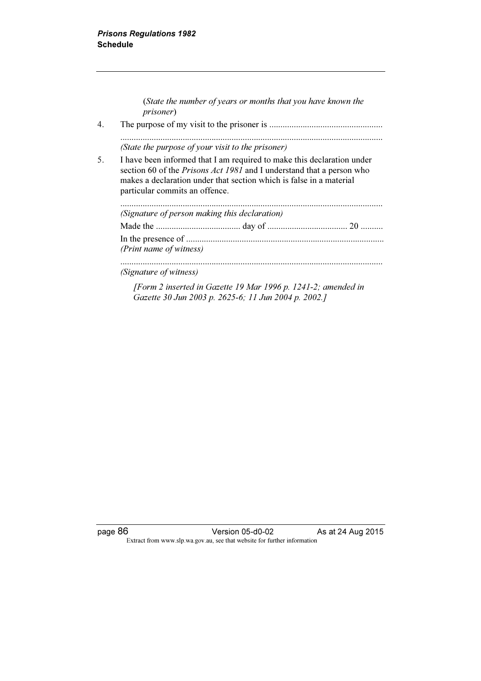|    | (State the number of years or months that you have known the<br><i>prisoner</i> )                                                                                                                                                                        |  |  |
|----|----------------------------------------------------------------------------------------------------------------------------------------------------------------------------------------------------------------------------------------------------------|--|--|
| 4. |                                                                                                                                                                                                                                                          |  |  |
|    | (State the purpose of your visit to the prisoner)                                                                                                                                                                                                        |  |  |
| 5. | I have been informed that I am required to make this declaration under<br>section 60 of the Prisons Act 1981 and I understand that a person who<br>makes a declaration under that section which is false in a material<br>particular commits an offence. |  |  |
|    | (Signature of person making this declaration)                                                                                                                                                                                                            |  |  |
|    |                                                                                                                                                                                                                                                          |  |  |
|    | (Print name of witness)                                                                                                                                                                                                                                  |  |  |
|    | (Signature of witness)                                                                                                                                                                                                                                   |  |  |
|    | [Form 2 inserted in Gazette 19 Mar 1996 p. 1241-2; amended in<br>Gazette 30 Jun 2003 p. 2625-6; 11 Jun 2004 p. 2002.]                                                                                                                                    |  |  |

page 86 Version 05-d0-02 As at 24 Aug 2015 Extract from www.slp.wa.gov.au, see that website for further information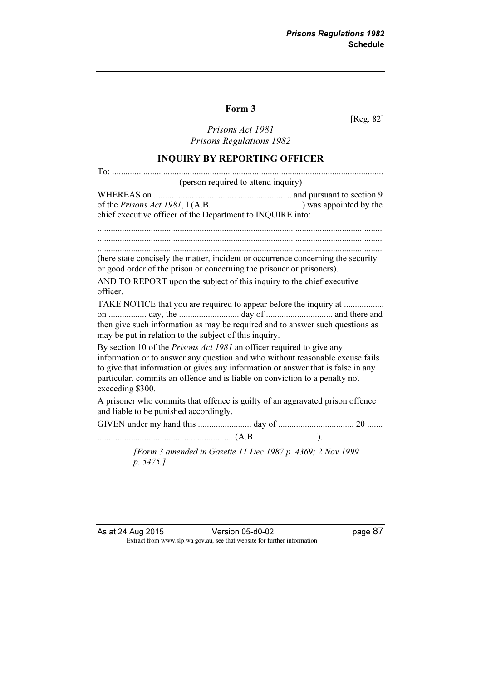#### Form 3

[Reg. 82]

Prisons Act 1981 Prisons Regulations 1982

#### INQUIRY BY REPORTING OFFICER

To: .......................................................................................................................... (person required to attend inquiry) WHEREAS on .............................................................. and pursuant to section 9 of the *Prisons Act 1981*, I (A.B. ) was appointed by the chief executive officer of the Department to INQUIRE into: ................................................................................................................................ ................................................................................................................................ ................................................................................................................................ (here state concisely the matter, incident or occurrence concerning the security or good order of the prison or concerning the prisoner or prisoners). AND TO REPORT upon the subject of this inquiry to the chief executive officer. TAKE NOTICE that you are required to appear before the inquiry at .................. on ................. day, the ........................... day of .............................. and there and then give such information as may be required and to answer such questions as may be put in relation to the subject of this inquiry. By section 10 of the *Prisons Act 1981* an officer required to give any information or to answer any question and who without reasonable excuse fails to give that information or gives any information or answer that is false in any particular, commits an offence and is liable on conviction to a penalty not exceeding \$300. A prisoner who commits that offence is guilty of an aggravated prison offence and liable to be punished accordingly. GIVEN under my hand this ........................ day of .................................. 20 ....... ............................................................. (A.B. ).

> [Form 3 amended in Gazette 11 Dec 1987 p. 4369; 2 Nov 1999 p. 5475.]

As at 24 Aug 2015 Version 05-d0-02 page 87 Extract from www.slp.wa.gov.au, see that website for further information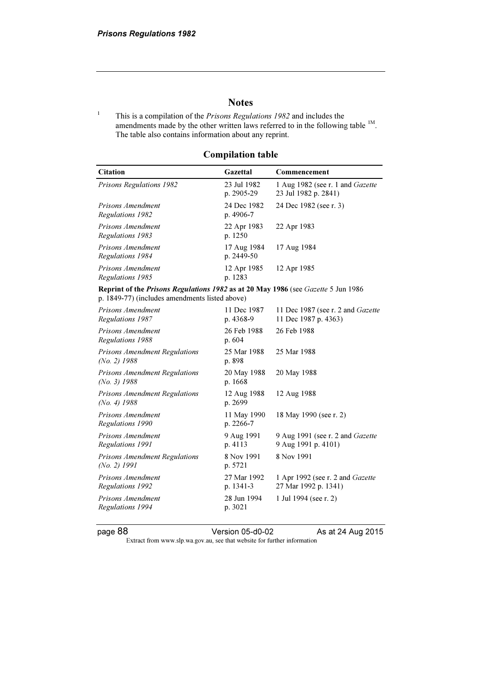## **Notes**

1 This is a compilation of the Prisons Regulations 1982 and includes the amendments made by the other written laws referred to in the following table <sup>1M</sup>. The table also contains information about any reprint.

Compilation table

| <b>Citation</b>                                                                                                                     | Gazettal                  | Commencement                                                     |  |  |
|-------------------------------------------------------------------------------------------------------------------------------------|---------------------------|------------------------------------------------------------------|--|--|
| <b>Prisons Regulations 1982</b>                                                                                                     | 23 Jul 1982<br>p. 2905-29 | 1 Aug 1982 (see r. 1 and <i>Gazette</i><br>23 Jul 1982 p. 2841)  |  |  |
| Prisons Amendment<br>Regulations 1982                                                                                               | 24 Dec 1982<br>p. 4906-7  | 24 Dec 1982 (see r. 3)                                           |  |  |
| Prisons Amendment<br>Regulations 1983                                                                                               | 22 Apr 1983<br>p. 1250    | 22 Apr 1983                                                      |  |  |
| Prisons Amendment<br>Regulations 1984                                                                                               | 17 Aug 1984<br>p. 2449-50 | 17 Aug 1984                                                      |  |  |
| Prisons Amendment<br>Regulations 1985                                                                                               | 12 Apr 1985<br>p. 1283    | 12 Apr 1985                                                      |  |  |
| Reprint of the Prisons Regulations 1982 as at 20 May 1986 (see Gazette 5 Jun 1986<br>p. 1849-77) (includes amendments listed above) |                           |                                                                  |  |  |
| Prisons Amendment<br>Regulations 1987                                                                                               | 11 Dec 1987<br>p. 4368-9  | 11 Dec 1987 (see r. 2 and <i>Gazette</i><br>11 Dec 1987 p. 4363) |  |  |
| <b>Prisons Amendment</b><br>Regulations 1988                                                                                        | 26 Feb 1988<br>p. 604     | 26 Feb 1988                                                      |  |  |
| <b>Prisons Amendment Regulations</b><br>$(No. 2)$ 1988                                                                              | 25 Mar 1988<br>p. 898     | 25 Mar 1988                                                      |  |  |
| <b>Prisons Amendment Regulations</b><br>$(No. 3)$ 1988                                                                              | 20 May 1988<br>p. 1668    | 20 May 1988                                                      |  |  |
| Prisons Amendment Regulations<br>$(No. 4)$ 1988                                                                                     | 12 Aug 1988<br>p. 2699    | 12 Aug 1988                                                      |  |  |
| Prisons Amendment<br>Regulations 1990                                                                                               | 11 May 1990<br>p. 2266-7  | 18 May 1990 (see r. 2)                                           |  |  |
| Prisons Amendment<br>Regulations 1991                                                                                               | 9 Aug 1991<br>p. 4113     | 9 Aug 1991 (see r. 2 and Gazette<br>9 Aug 1991 p. 4101)          |  |  |
| <b>Prisons Amendment Regulations</b><br>$(No. 2)$ 1991                                                                              | 8 Nov 1991<br>p. 5721     | 8 Nov 1991                                                       |  |  |
| <b>Prisons Amendment</b><br><b>Regulations 1992</b>                                                                                 | 27 Mar 1992<br>p. 1341-3  | 1 Apr 1992 (see r. 2 and <i>Gazette</i><br>27 Mar 1992 p. 1341)  |  |  |
| Prisons Amendment<br>Regulations 1994                                                                                               | 28 Jun 1994<br>p. 3021    | 1 Jul 1994 (see r. 2)                                            |  |  |

page 88 **Version 05-d0-02** As at 24 Aug 2015

Extract from www.slp.wa.gov.au, see that website for further information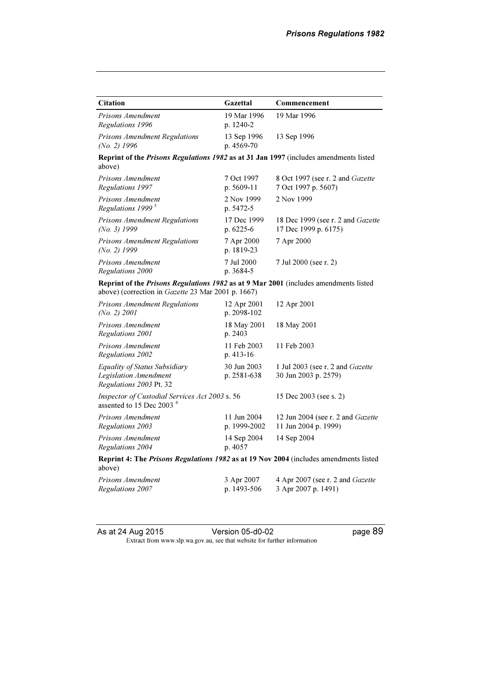| <b>Citation</b>                                                                                                                            | Gazettal                    | Commencement                                                     |  |  |
|--------------------------------------------------------------------------------------------------------------------------------------------|-----------------------------|------------------------------------------------------------------|--|--|
| Prisons Amendment<br>Regulations 1996                                                                                                      | 19 Mar 1996<br>p. 1240-2    | 19 Mar 1996                                                      |  |  |
| Prisons Amendment Regulations<br>$(No. 2)$ 1996                                                                                            | 13 Sep 1996<br>p. 4569-70   | 13 Sep 1996                                                      |  |  |
| Reprint of the Prisons Regulations 1982 as at 31 Jan 1997 (includes amendments listed<br>above)                                            |                             |                                                                  |  |  |
| Prisons Amendment<br>Regulations 1997                                                                                                      | 7 Oct 1997<br>p. $5609-11$  | 8 Oct 1997 (see r. 2 and Gazette<br>7 Oct 1997 p. 5607)          |  |  |
| Prisons Amendment<br>Regulations 1999 <sup>3</sup>                                                                                         | 2 Nov 1999<br>p. 5472-5     | 2 Nov 1999                                                       |  |  |
| <b>Prisons Amendment Regulations</b><br>$(No. 3)$ 1999                                                                                     | 17 Dec 1999<br>p. $6225-6$  | 18 Dec 1999 (see r. 2 and <i>Gazette</i><br>17 Dec 1999 p. 6175) |  |  |
| <b>Prisons Amendment Regulations</b><br>(No. 2) $1999$                                                                                     | 7 Apr 2000<br>p. 1819-23    | 7 Apr 2000                                                       |  |  |
| Prisons Amendment<br>Regulations 2000                                                                                                      | 7 Jul 2000<br>p. 3684-5     | 7 Jul 2000 (see r. 2)                                            |  |  |
| Reprint of the Prisons Regulations 1982 as at 9 Mar 2001 (includes amendments listed<br>above) (correction in Gazette 23 Mar 2001 p. 1667) |                             |                                                                  |  |  |
| Prisons Amendment Regulations<br>(No. 2) 2001                                                                                              | 12 Apr 2001<br>p. 2098-102  | 12 Apr 2001                                                      |  |  |
| Prisons Amendment<br>Regulations 2001                                                                                                      | 18 May 2001<br>p. 2403      | 18 May 2001                                                      |  |  |
| Prisons Amendment<br>Regulations 2002                                                                                                      | 11 Feb 2003<br>$p.413-16$   | 11 Feb 2003                                                      |  |  |
| Equality of Status Subsidiary<br><b>Legislation Amendment</b><br>Regulations 2003 Pt. 32                                                   | 30 Jun 2003<br>p. 2581-638  | 1 Jul 2003 (see r. 2 and <i>Gazette</i><br>30 Jun 2003 p. 2579)  |  |  |
| Inspector of Custodial Services Act 2003 s. 56<br>assented to 15 Dec 2003 <sup>4</sup>                                                     |                             | 15 Dec 2003 (see s. 2)                                           |  |  |
| Prisons Amendment<br>Regulations 2003                                                                                                      | 11 Jun 2004<br>p. 1999-2002 | 12 Jun 2004 (see r. 2 and Gazette<br>11 Jun 2004 p. 1999)        |  |  |
| Prisons Amendment<br>Regulations 2004                                                                                                      | 14 Sep 2004<br>p. 4057      | 14 Sep 2004                                                      |  |  |
| Reprint 4: The Prisons Regulations 1982 as at 19 Nov 2004 (includes amendments listed<br>above)                                            |                             |                                                                  |  |  |
| Prisons Amendment<br>Regulations 2007                                                                                                      | 3 Apr 2007<br>p. 1493-506   | 4 Apr 2007 (see r. 2 and Gazette<br>3 Apr 2007 p. 1491)          |  |  |

As at 24 Aug 2015 **Version 05-d0-02** page 89

 $\mathbf{F}$  from which we be the website for further information for further information  $\mathbf{F}$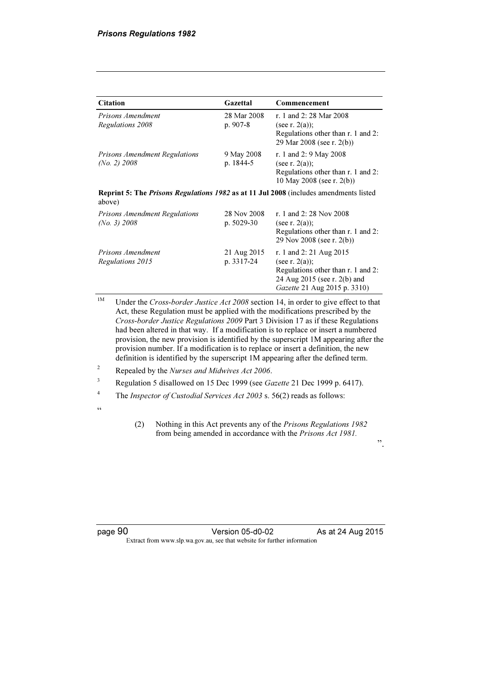| <b>Citation</b>                                                                                        | Gazettal                  | Commencement                                                                                                                                       |
|--------------------------------------------------------------------------------------------------------|---------------------------|----------------------------------------------------------------------------------------------------------------------------------------------------|
| Prisons Amendment<br>Regulations 2008                                                                  | 28 Mar 2008<br>p. 907-8   | r. 1 and 2: 28 Mar 2008<br>(see r. $2(a)$ );<br>Regulations other than r. 1 and 2:<br>29 Mar 2008 (see r. 2(b))                                    |
| <b>Prisons Amendment Regulations</b><br>$(No. 2)$ 2008                                                 | 9 May 2008<br>p. 1844-5   | r. 1 and 2: 9 May 2008<br>(see r. $2(a)$ );<br>Regulations other than r. 1 and 2:<br>10 May 2008 (see r. 2(b))                                     |
| <b>Reprint 5: The Prisons Regulations 1982 as at 11 Jul 2008</b> (includes amendments listed<br>above) |                           |                                                                                                                                                    |
| <b>Prisons Amendment Regulations</b><br>(No. 3) 2008                                                   | 28 Nov 2008<br>p. 5029-30 | r. 1 and 2: 28 Nov 2008<br>(see r. $2(a)$ );<br>Regulations other than r. 1 and 2:<br>29 Nov 2008 (see r. 2(b))                                    |
| Prisons Amendment<br>Regulations 2015                                                                  | 21 Aug 2015<br>p. 3317-24 | r. 1 and 2: 21 Aug 2015<br>(see r. $2(a)$ );<br>Regulations other than r. 1 and 2:<br>24 Aug 2015 (see r. 2(b) and<br>Gazette 21 Aug 2015 p. 3310) |

<sup>1M</sup> Under the Cross-border Justice Act 2008 section 14, in order to give effect to that Act, these Regulation must be applied with the modifications prescribed by the Cross-border Justice Regulations 2009 Part 3 Division 17 as if these Regulations had been altered in that way. If a modification is to replace or insert a numbered provision, the new provision is identified by the superscript 1M appearing after the provision number. If a modification is to replace or insert a definition, the new definition is identified by the superscript 1M appearing after the defined term.

- 2 Repealed by the Nurses and Midwives Act 2006.
- <sup>3</sup> Regulation 5 disallowed on 15 Dec 1999 (see Gazette 21 Dec 1999 p. 6417).
- 4 The Inspector of Custodial Services Act 2003 s. 56(2) reads as follows:
- $\epsilon$
- (2) Nothing in this Act prevents any of the Prisons Regulations 1982 from being amended in accordance with the Prisons Act 1981.

".

page 90 **Version 05-d0-02** As at 24 Aug 2015 Extract from www.slp.wa.gov.au, see that website for further information